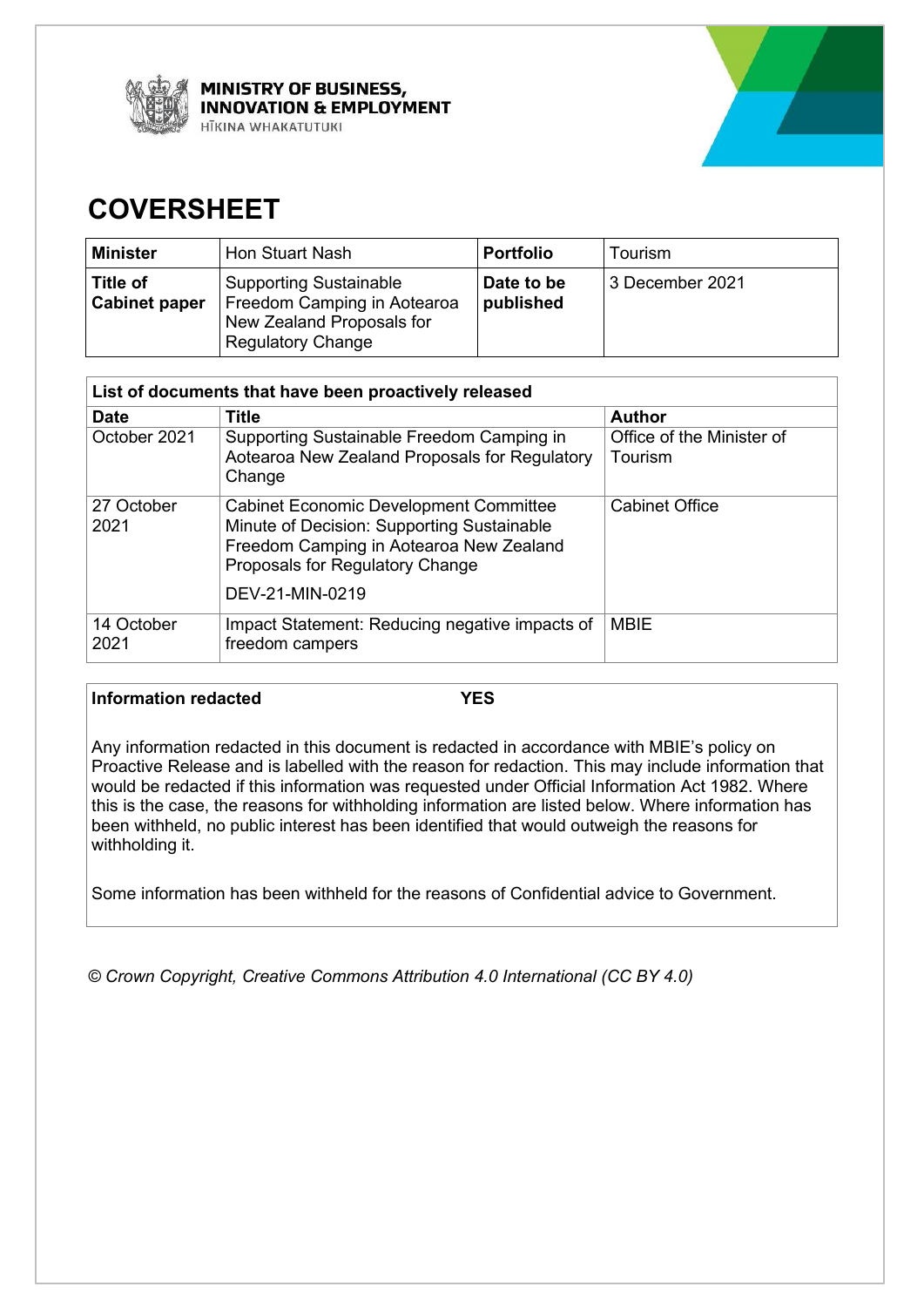



# **COVERSHEET**

| Minister                         | <b>Hon Stuart Nash</b>                                                                                                | <b>Portfolio</b>        | Tourism         |
|----------------------------------|-----------------------------------------------------------------------------------------------------------------------|-------------------------|-----------------|
| Title of<br><b>Cabinet paper</b> | <b>Supporting Sustainable</b><br>Freedom Camping in Aotearoa<br>New Zealand Proposals for<br><b>Regulatory Change</b> | Date to be<br>published | 3 December 2021 |

| List of documents that have been proactively released |                                                                                                                                                                                              |                                      |  |  |
|-------------------------------------------------------|----------------------------------------------------------------------------------------------------------------------------------------------------------------------------------------------|--------------------------------------|--|--|
| <b>Date</b>                                           | <b>Title</b>                                                                                                                                                                                 | <b>Author</b>                        |  |  |
| October 2021                                          | Supporting Sustainable Freedom Camping in<br>Aotearoa New Zealand Proposals for Regulatory<br>Change                                                                                         | Office of the Minister of<br>Tourism |  |  |
| 27 October<br>2021                                    | <b>Cabinet Economic Development Committee</b><br>Minute of Decision: Supporting Sustainable<br>Freedom Camping in Aotearoa New Zealand<br>Proposals for Regulatory Change<br>DEV-21-MIN-0219 | <b>Cabinet Office</b>                |  |  |
| 14 October<br>2021                                    | Impact Statement: Reducing negative impacts of<br>freedom campers                                                                                                                            | <b>MBIE</b>                          |  |  |

# **Information redacted YES**

Any information redacted in this document is redacted in accordance with MBIE's policy on Proactive Release and is labelled with the reason for redaction. This may include information that would be redacted if this information was requested under Official Information Act 1982. Where this is the case, the reasons for withholding information are listed below. Where information has been withheld, no public interest has been identified that would outweigh the reasons for withholding it.

Some information has been withheld for the reasons of Confidential advice to Government.

*© Crown Copyright, Creative Commons Attribution 4.0 International (CC BY 4.0)*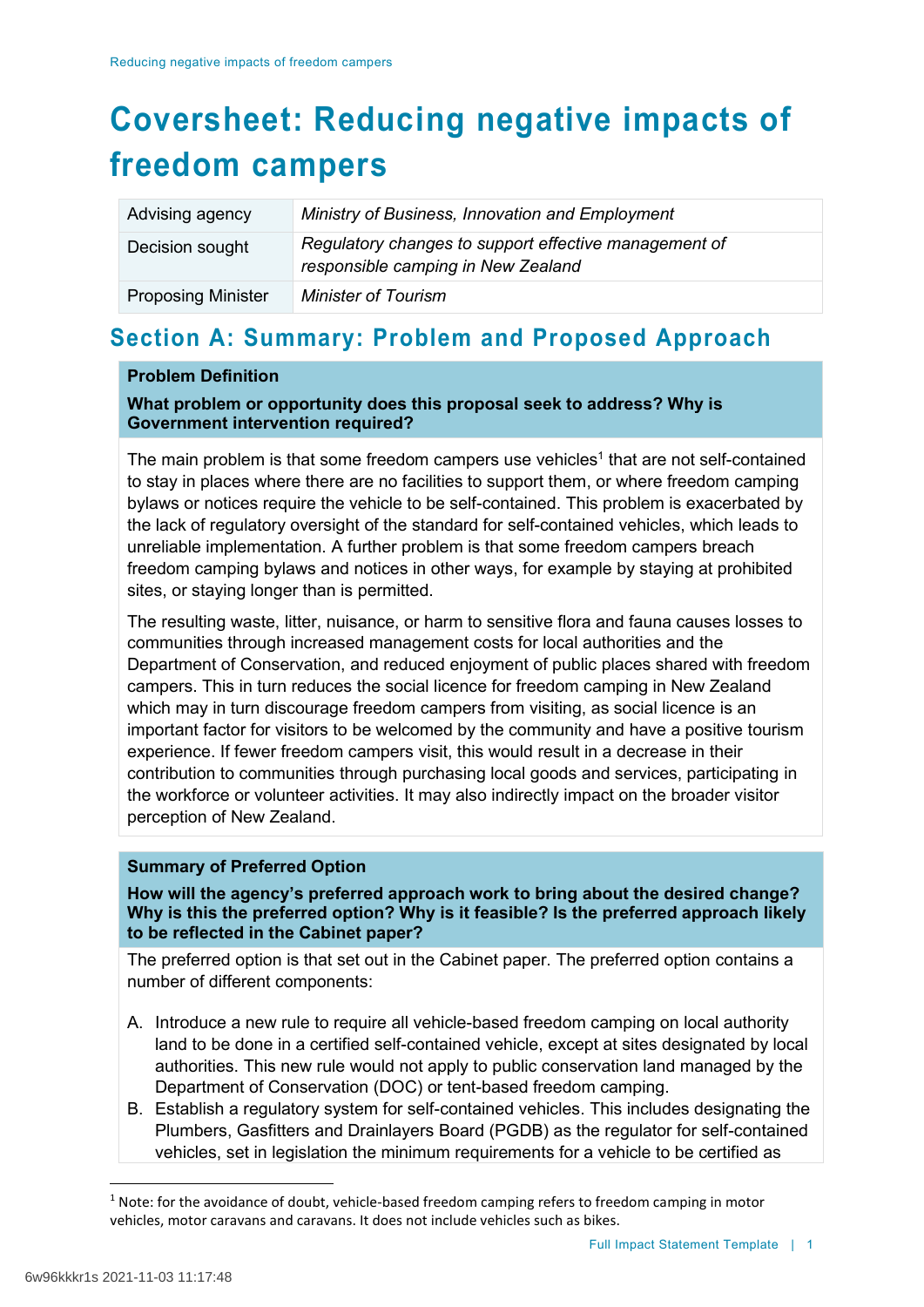# **Coversheet: Reducing negative impacts of freedom campers**

| Advising agency           | Ministry of Business, Innovation and Employment                                             |
|---------------------------|---------------------------------------------------------------------------------------------|
| Decision sought           | Regulatory changes to support effective management of<br>responsible camping in New Zealand |
| <b>Proposing Minister</b> | <b>Minister of Tourism</b>                                                                  |

# **Section A: Summary: Problem and Proposed Approach**

### **Problem Definition**

### **What problem or opportunity does this proposal seek to address? Why is Government intervention required?**

The main problem is that some freedom campers use vehicles<sup>1</sup> that are not self-contained to stay in places where there are no facilities to support them, or where freedom camping bylaws or notices require the vehicle to be self-contained. This problem is exacerbated by the lack of regulatory oversight of the standard for self-contained vehicles, which leads to unreliable implementation. A further problem is that some freedom campers breach freedom camping bylaws and notices in other ways, for example by staying at prohibited sites, or staying longer than is permitted.

The resulting waste, litter, nuisance, or harm to sensitive flora and fauna causes losses to communities through increased management costs for local authorities and the Department of Conservation, and reduced enjoyment of public places shared with freedom campers. This in turn reduces the social licence for freedom camping in New Zealand which may in turn discourage freedom campers from visiting, as social licence is an important factor for visitors to be welcomed by the community and have a positive tourism experience. If fewer freedom campers visit, this would result in a decrease in their contribution to communities through purchasing local goods and services, participating in the workforce or volunteer activities. It may also indirectly impact on the broader visitor perception of New Zealand.

### **Summary of Preferred Option**

**How will the agency's preferred approach work to bring about the desired change? Why is this the preferred option? Why is it feasible? Is the preferred approach likely to be reflected in the Cabinet paper?**

The preferred option is that set out in the Cabinet paper. The preferred option contains a number of different components:

- A. Introduce a new rule to require all vehicle-based freedom camping on local authority land to be done in a certified self-contained vehicle, except at sites designated by local authorities. This new rule would not apply to public conservation land managed by the Department of Conservation (DOC) or tent-based freedom camping.
- B. Establish a regulatory system for self-contained vehicles. This includes designating the Plumbers, Gasfitters and Drainlayers Board (PGDB) as the regulator for self-contained vehicles, set in legislation the minimum requirements for a vehicle to be certified as

<sup>&</sup>lt;sup>1</sup> Note: for the avoidance of doubt, vehicle-based freedom camping refers to freedom camping in motor vehicles, motor caravans and caravans. It does not include vehicles such as bikes.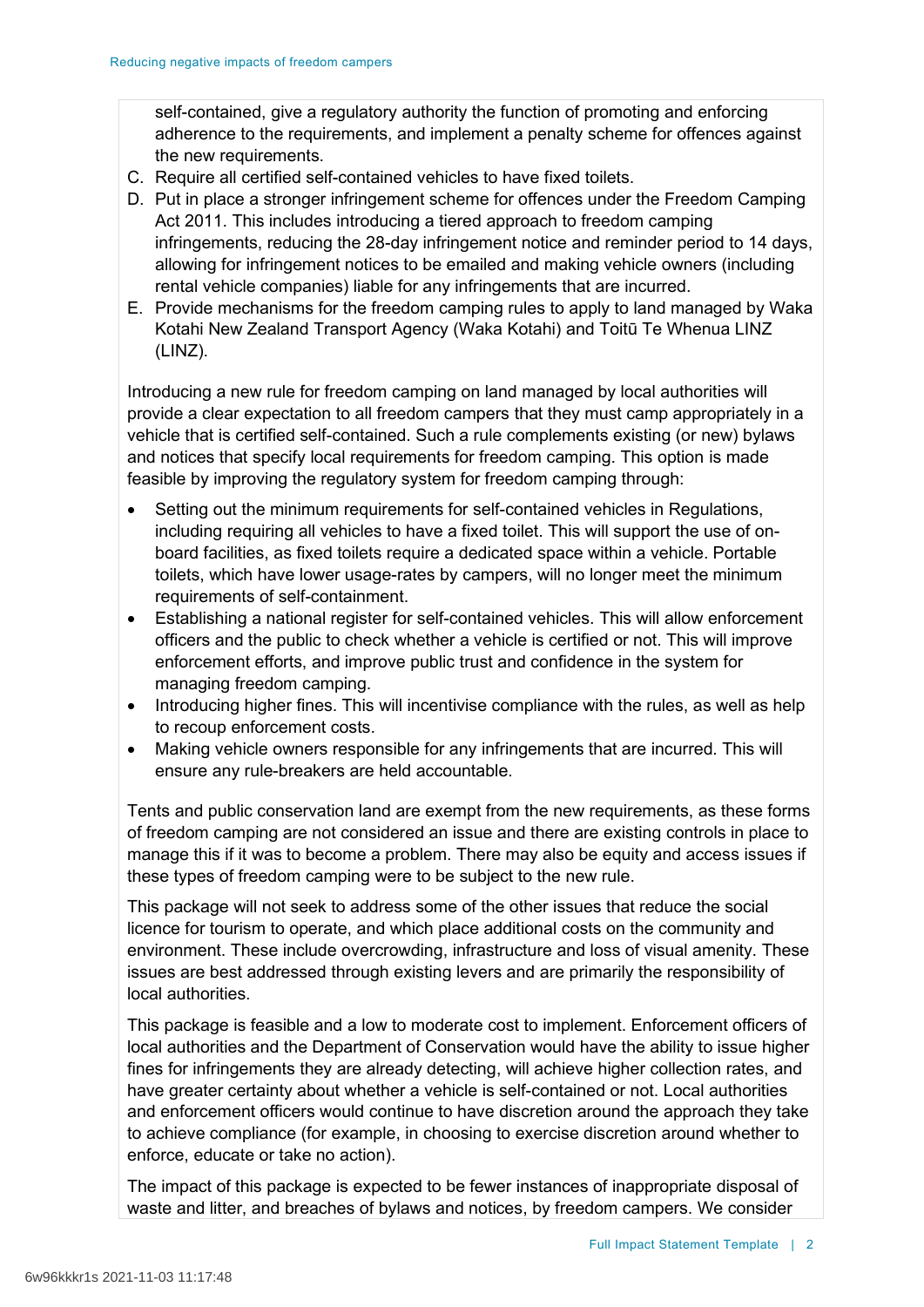self-contained, give a regulatory authority the function of promoting and enforcing adherence to the requirements, and implement a penalty scheme for offences against the new requirements.

- C. Require all certified self-contained vehicles to have fixed toilets.
- D. Put in place a stronger infringement scheme for offences under the Freedom Camping Act 2011. This includes introducing a tiered approach to freedom camping infringements, reducing the 28-day infringement notice and reminder period to 14 days, allowing for infringement notices to be emailed and making vehicle owners (including rental vehicle companies) liable for any infringements that are incurred.
- E. Provide mechanisms for the freedom camping rules to apply to land managed by Waka Kotahi New Zealand Transport Agency (Waka Kotahi) and Toitū Te Whenua LINZ (LINZ).

Introducing a new rule for freedom camping on land managed by local authorities will provide a clear expectation to all freedom campers that they must camp appropriately in a vehicle that is certified self-contained. Such a rule complements existing (or new) bylaws and notices that specify local requirements for freedom camping. This option is made feasible by improving the regulatory system for freedom camping through:

- Setting out the minimum requirements for self-contained vehicles in Regulations, including requiring all vehicles to have a fixed toilet. This will support the use of onboard facilities, as fixed toilets require a dedicated space within a vehicle. Portable toilets, which have lower usage-rates by campers, will no longer meet the minimum requirements of self-containment.
- Establishing a national register for self-contained vehicles. This will allow enforcement officers and the public to check whether a vehicle is certified or not. This will improve enforcement efforts, and improve public trust and confidence in the system for managing freedom camping.
- Introducing higher fines. This will incentivise compliance with the rules, as well as help to recoup enforcement costs.
- Making vehicle owners responsible for any infringements that are incurred. This will ensure any rule-breakers are held accountable.

Tents and public conservation land are exempt from the new requirements, as these forms of freedom camping are not considered an issue and there are existing controls in place to manage this if it was to become a problem. There may also be equity and access issues if these types of freedom camping were to be subject to the new rule.

This package will not seek to address some of the other issues that reduce the social licence for tourism to operate, and which place additional costs on the community and environment. These include overcrowding, infrastructure and loss of visual amenity. These issues are best addressed through existing levers and are primarily the responsibility of local authorities.

This package is feasible and a low to moderate cost to implement. Enforcement officers of local authorities and the Department of Conservation would have the ability to issue higher fines for infringements they are already detecting, will achieve higher collection rates, and have greater certainty about whether a vehicle is self-contained or not. Local authorities and enforcement officers would continue to have discretion around the approach they take to achieve compliance (for example, in choosing to exercise discretion around whether to enforce, educate or take no action).

The impact of this package is expected to be fewer instances of inappropriate disposal of waste and litter, and breaches of bylaws and notices, by freedom campers. We consider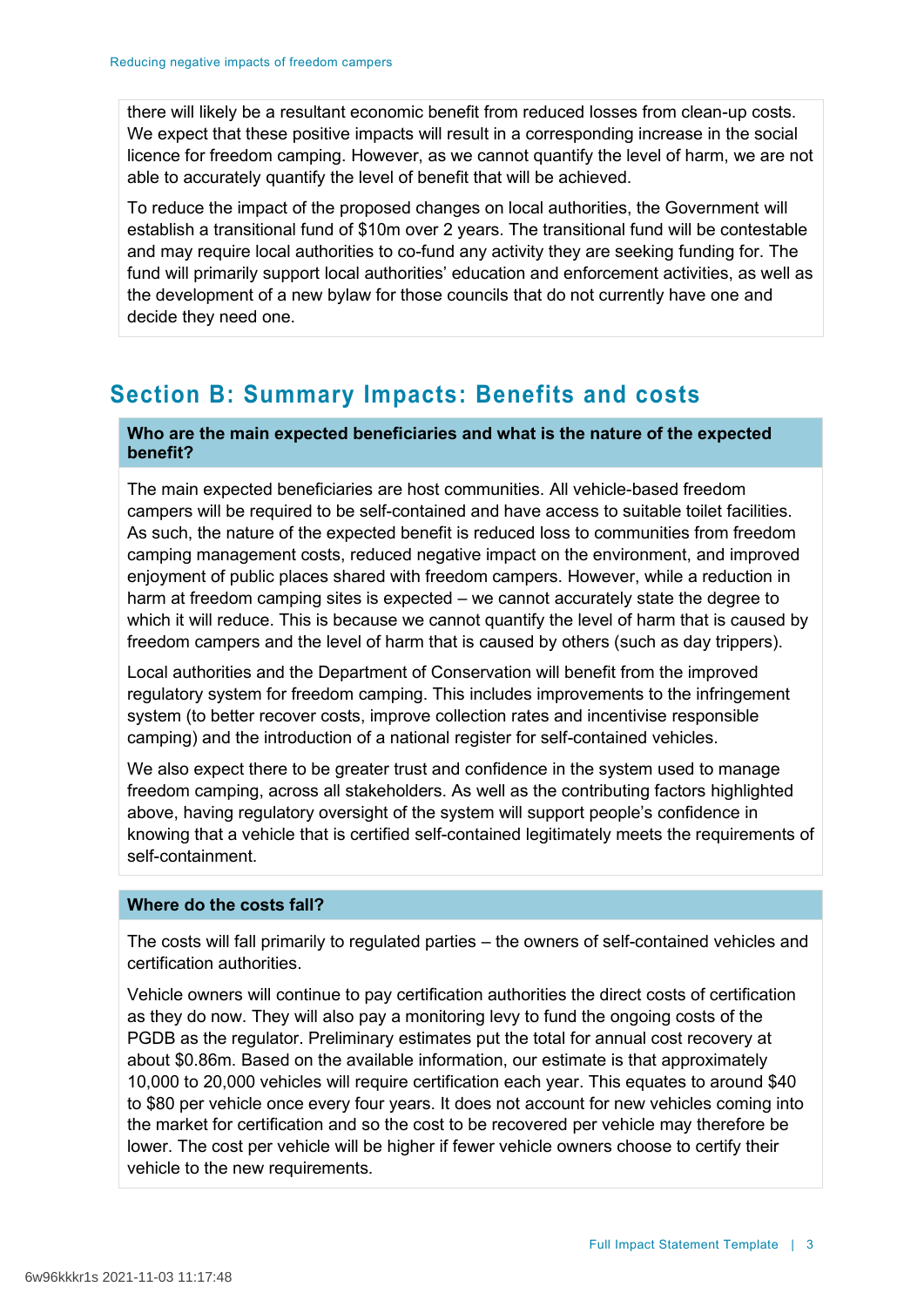there will likely be a resultant economic benefit from reduced losses from clean-up costs. We expect that these positive impacts will result in a corresponding increase in the social licence for freedom camping. However, as we cannot quantify the level of harm, we are not able to accurately quantify the level of benefit that will be achieved.

To reduce the impact of the proposed changes on local authorities, the Government will establish a transitional fund of \$10m over 2 years. The transitional fund will be contestable and may require local authorities to co-fund any activity they are seeking funding for. The fund will primarily support local authorities' education and enforcement activities, as well as the development of a new bylaw for those councils that do not currently have one and decide they need one.

# **Section B: Summary Impacts: Benefits and costs**

## **Who are the main expected beneficiaries and what is the nature of the expected benefit?**

The main expected beneficiaries are host communities. All vehicle-based freedom campers will be required to be self-contained and have access to suitable toilet facilities. As such, the nature of the expected benefit is reduced loss to communities from freedom camping management costs, reduced negative impact on the environment, and improved enjoyment of public places shared with freedom campers. However, while a reduction in harm at freedom camping sites is expected – we cannot accurately state the degree to which it will reduce. This is because we cannot quantify the level of harm that is caused by freedom campers and the level of harm that is caused by others (such as day trippers).

Local authorities and the Department of Conservation will benefit from the improved regulatory system for freedom camping. This includes improvements to the infringement system (to better recover costs, improve collection rates and incentivise responsible camping) and the introduction of a national register for self-contained vehicles.

We also expect there to be greater trust and confidence in the system used to manage freedom camping, across all stakeholders. As well as the contributing factors highlighted above, having regulatory oversight of the system will support people's confidence in knowing that a vehicle that is certified self-contained legitimately meets the requirements of self-containment.

## **Where do the costs fall?**

The costs will fall primarily to regulated parties – the owners of self-contained vehicles and certification authorities.

Vehicle owners will continue to pay certification authorities the direct costs of certification as they do now. They will also pay a monitoring levy to fund the ongoing costs of the PGDB as the regulator. Preliminary estimates put the total for annual cost recovery at about \$0.86m. Based on the available information, our estimate is that approximately 10,000 to 20,000 vehicles will require certification each year. This equates to around \$40 to \$80 per vehicle once every four years. It does not account for new vehicles coming into the market for certification and so the cost to be recovered per vehicle may therefore be lower. The cost per vehicle will be higher if fewer vehicle owners choose to certify their vehicle to the new requirements.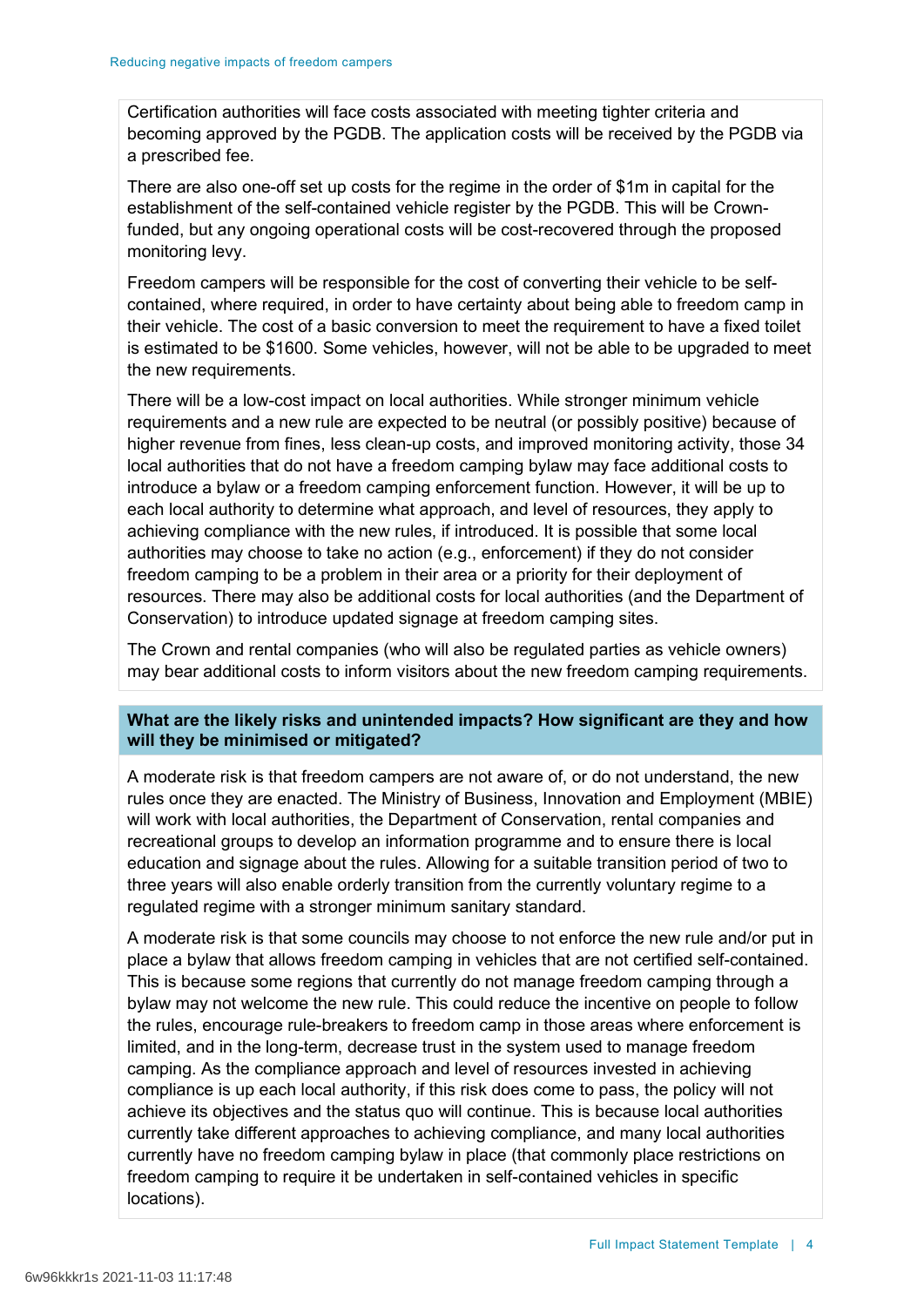Certification authorities will face costs associated with meeting tighter criteria and becoming approved by the PGDB. The application costs will be received by the PGDB via a prescribed fee.

There are also one-off set up costs for the regime in the order of \$1m in capital for the establishment of the self-contained vehicle register by the PGDB. This will be Crownfunded, but any ongoing operational costs will be cost-recovered through the proposed monitoring levy.

Freedom campers will be responsible for the cost of converting their vehicle to be selfcontained, where required, in order to have certainty about being able to freedom camp in their vehicle. The cost of a basic conversion to meet the requirement to have a fixed toilet is estimated to be \$1600. Some vehicles, however, will not be able to be upgraded to meet the new requirements.

There will be a low-cost impact on local authorities. While stronger minimum vehicle requirements and a new rule are expected to be neutral (or possibly positive) because of higher revenue from fines, less clean-up costs, and improved monitoring activity, those 34 local authorities that do not have a freedom camping bylaw may face additional costs to introduce a bylaw or a freedom camping enforcement function. However, it will be up to each local authority to determine what approach, and level of resources, they apply to achieving compliance with the new rules, if introduced. It is possible that some local authorities may choose to take no action (e.g., enforcement) if they do not consider freedom camping to be a problem in their area or a priority for their deployment of resources. There may also be additional costs for local authorities (and the Department of Conservation) to introduce updated signage at freedom camping sites.

The Crown and rental companies (who will also be regulated parties as vehicle owners) may bear additional costs to inform visitors about the new freedom camping requirements.

## **What are the likely risks and unintended impacts? How significant are they and how will they be minimised or mitigated?**

A moderate risk is that freedom campers are not aware of, or do not understand, the new rules once they are enacted. The Ministry of Business, Innovation and Employment (MBIE) will work with local authorities, the Department of Conservation, rental companies and recreational groups to develop an information programme and to ensure there is local education and signage about the rules. Allowing for a suitable transition period of two to three years will also enable orderly transition from the currently voluntary regime to a regulated regime with a stronger minimum sanitary standard.

A moderate risk is that some councils may choose to not enforce the new rule and/or put in place a bylaw that allows freedom camping in vehicles that are not certified self-contained. This is because some regions that currently do not manage freedom camping through a bylaw may not welcome the new rule. This could reduce the incentive on people to follow the rules, encourage rule-breakers to freedom camp in those areas where enforcement is limited, and in the long-term, decrease trust in the system used to manage freedom camping. As the compliance approach and level of resources invested in achieving compliance is up each local authority, if this risk does come to pass, the policy will not achieve its objectives and the status quo will continue. This is because local authorities currently take different approaches to achieving compliance, and many local authorities currently have no freedom camping bylaw in place (that commonly place restrictions on freedom camping to require it be undertaken in self-contained vehicles in specific locations).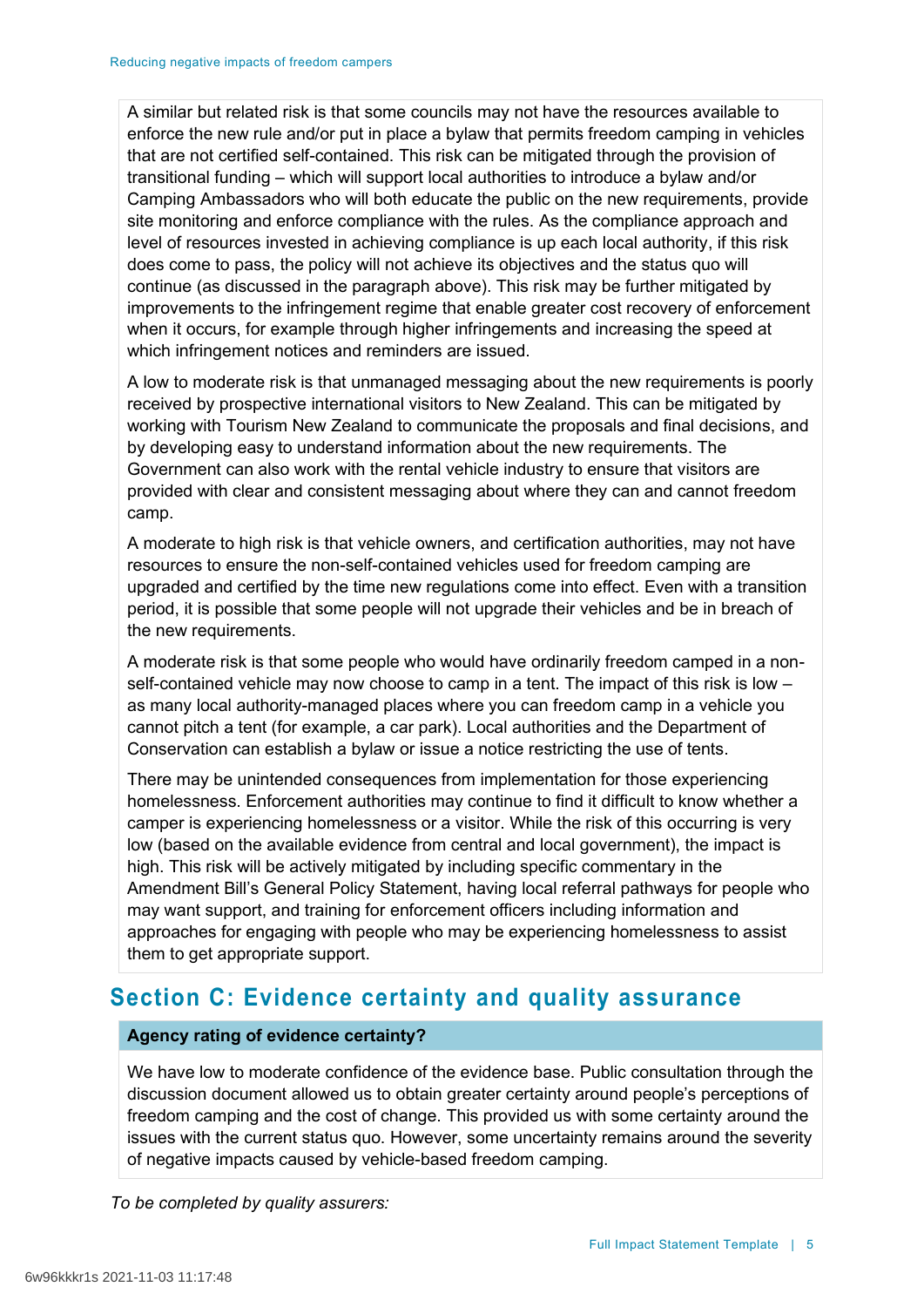A similar but related risk is that some councils may not have the resources available to enforce the new rule and/or put in place a bylaw that permits freedom camping in vehicles that are not certified self-contained. This risk can be mitigated through the provision of transitional funding – which will support local authorities to introduce a bylaw and/or Camping Ambassadors who will both educate the public on the new requirements, provide site monitoring and enforce compliance with the rules. As the compliance approach and level of resources invested in achieving compliance is up each local authority, if this risk does come to pass, the policy will not achieve its objectives and the status quo will continue (as discussed in the paragraph above). This risk may be further mitigated by improvements to the infringement regime that enable greater cost recovery of enforcement when it occurs, for example through higher infringements and increasing the speed at which infringement notices and reminders are issued.

A low to moderate risk is that unmanaged messaging about the new requirements is poorly received by prospective international visitors to New Zealand. This can be mitigated by working with Tourism New Zealand to communicate the proposals and final decisions, and by developing easy to understand information about the new requirements. The Government can also work with the rental vehicle industry to ensure that visitors are provided with clear and consistent messaging about where they can and cannot freedom camp.

A moderate to high risk is that vehicle owners, and certification authorities, may not have resources to ensure the non-self-contained vehicles used for freedom camping are upgraded and certified by the time new regulations come into effect. Even with a transition period, it is possible that some people will not upgrade their vehicles and be in breach of the new requirements.

A moderate risk is that some people who would have ordinarily freedom camped in a nonself-contained vehicle may now choose to camp in a tent. The impact of this risk is low – as many local authority-managed places where you can freedom camp in a vehicle you cannot pitch a tent (for example, a car park). Local authorities and the Department of Conservation can establish a bylaw or issue a notice restricting the use of tents.

There may be unintended consequences from implementation for those experiencing homelessness. Enforcement authorities may continue to find it difficult to know whether a camper is experiencing homelessness or a visitor. While the risk of this occurring is very low (based on the available evidence from central and local government), the impact is high. This risk will be actively mitigated by including specific commentary in the Amendment Bill's General Policy Statement, having local referral pathways for people who may want support, and training for enforcement officers including information and approaches for engaging with people who may be experiencing homelessness to assist them to get appropriate support.

# **Section C: Evidence certainty and quality assurance**

## **Agency rating of evidence certainty?**

We have low to moderate confidence of the evidence base. Public consultation through the discussion document allowed us to obtain greater certainty around people's perceptions of freedom camping and the cost of change. This provided us with some certainty around the issues with the current status quo. However, some uncertainty remains around the severity of negative impacts caused by vehicle-based freedom camping.

*To be completed by quality assurers:*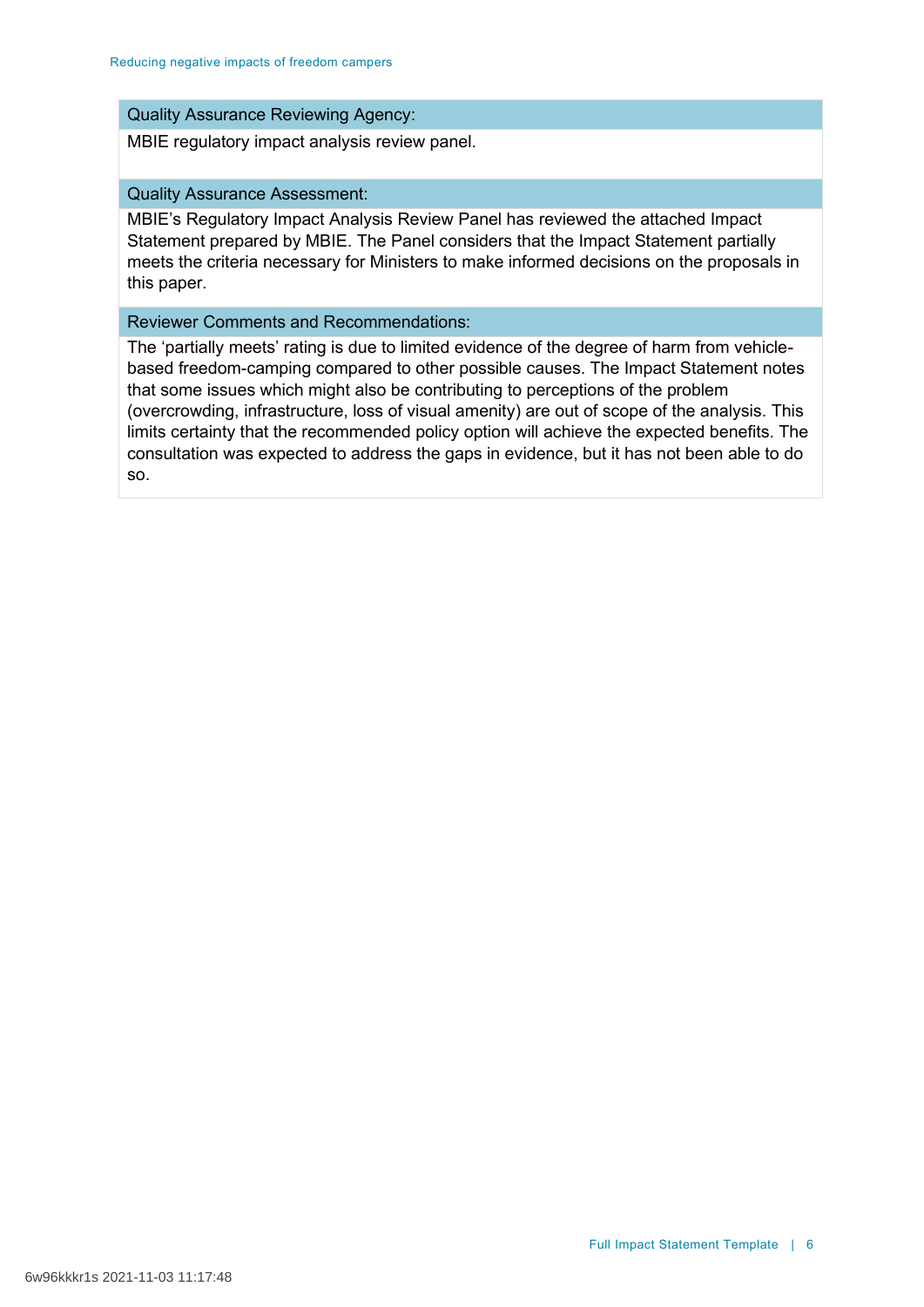### Quality Assurance Reviewing Agency:

MBIE regulatory impact analysis review panel.

### Quality Assurance Assessment:

MBIE's Regulatory Impact Analysis Review Panel has reviewed the attached Impact Statement prepared by MBIE. The Panel considers that the Impact Statement partially meets the criteria necessary for Ministers to make informed decisions on the proposals in this paper.

#### Reviewer Comments and Recommendations:

The 'partially meets' rating is due to limited evidence of the degree of harm from vehiclebased freedom-camping compared to other possible causes. The Impact Statement notes that some issues which might also be contributing to perceptions of the problem (overcrowding, infrastructure, loss of visual amenity) are out of scope of the analysis. This limits certainty that the recommended policy option will achieve the expected benefits. The consultation was expected to address the gaps in evidence, but it has not been able to do so.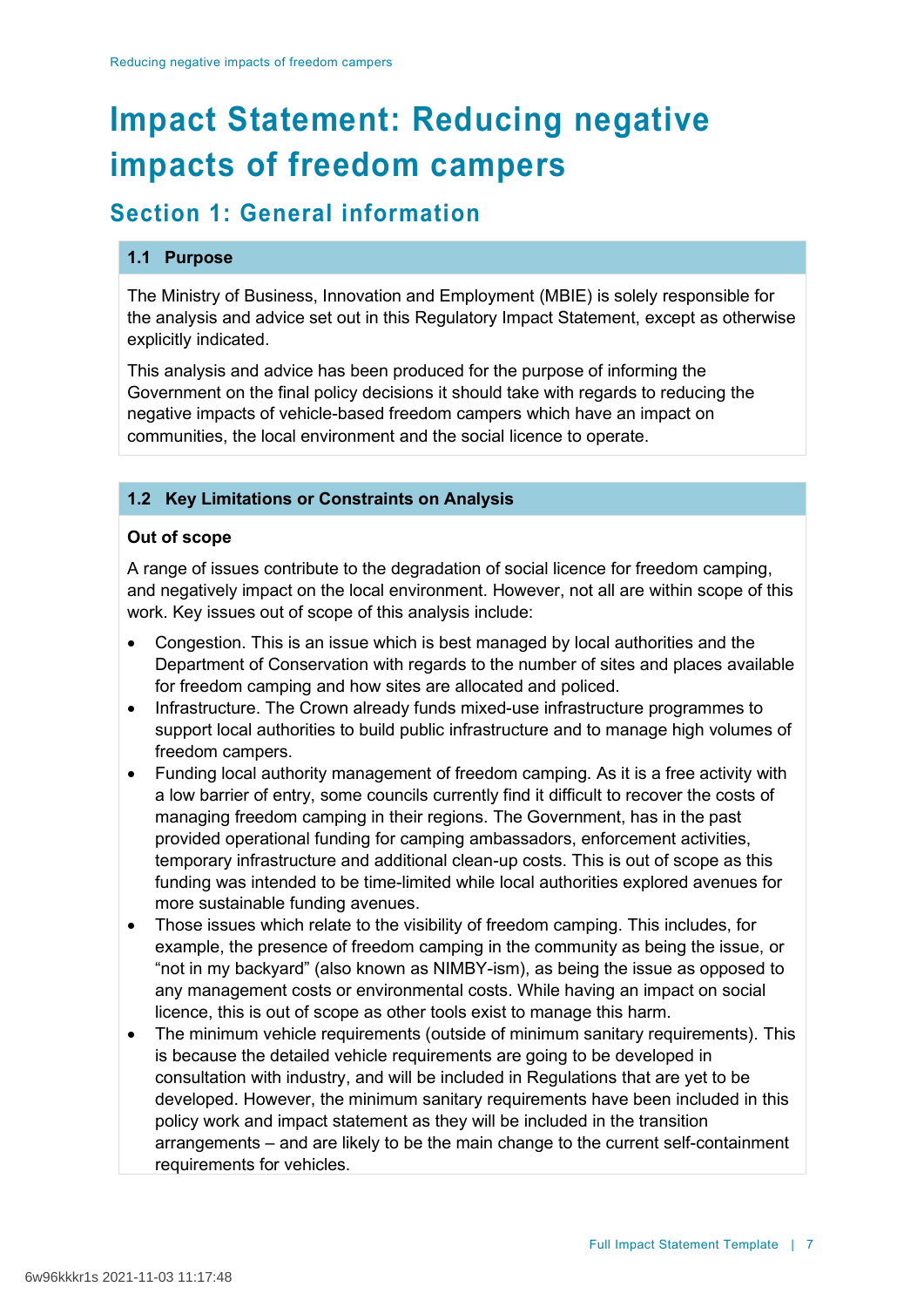# **Impact Statement: Reducing negative impacts of freedom campers**

# **Section 1: General information**

## **1.1 Purpose**

The Ministry of Business, Innovation and Employment (MBIE) is solely responsible for the analysis and advice set out in this Regulatory Impact Statement, except as otherwise explicitly indicated.

This analysis and advice has been produced for the purpose of informing the Government on the final policy decisions it should take with regards to reducing the negative impacts of vehicle-based freedom campers which have an impact on communities, the local environment and the social licence to operate.

# **1.2 Key Limitations or Constraints on Analysis**

## **Out of scope**

A range of issues contribute to the degradation of social licence for freedom camping, and negatively impact on the local environment. However, not all are within scope of this work. Key issues out of scope of this analysis include:

- Congestion. This is an issue which is best managed by local authorities and the Department of Conservation with regards to the number of sites and places available for freedom camping and how sites are allocated and policed.
- Infrastructure. The Crown already funds mixed-use infrastructure programmes to support local authorities to build public infrastructure and to manage high volumes of freedom campers.
- Funding local authority management of freedom camping. As it is a free activity with a low barrier of entry, some councils currently find it difficult to recover the costs of managing freedom camping in their regions. The Government, has in the past provided operational funding for camping ambassadors, enforcement activities, temporary infrastructure and additional clean-up costs. This is out of scope as this funding was intended to be time-limited while local authorities explored avenues for more sustainable funding avenues.
- Those issues which relate to the visibility of freedom camping. This includes, for example, the presence of freedom camping in the community as being the issue, or "not in my backyard" (also known as NIMBY-ism), as being the issue as opposed to any management costs or environmental costs. While having an impact on social licence, this is out of scope as other tools exist to manage this harm.
- The minimum vehicle requirements (outside of minimum sanitary requirements). This is because the detailed vehicle requirements are going to be developed in consultation with industry, and will be included in Regulations that are yet to be developed. However, the minimum sanitary requirements have been included in this policy work and impact statement as they will be included in the transition arrangements – and are likely to be the main change to the current self-containment requirements for vehicles.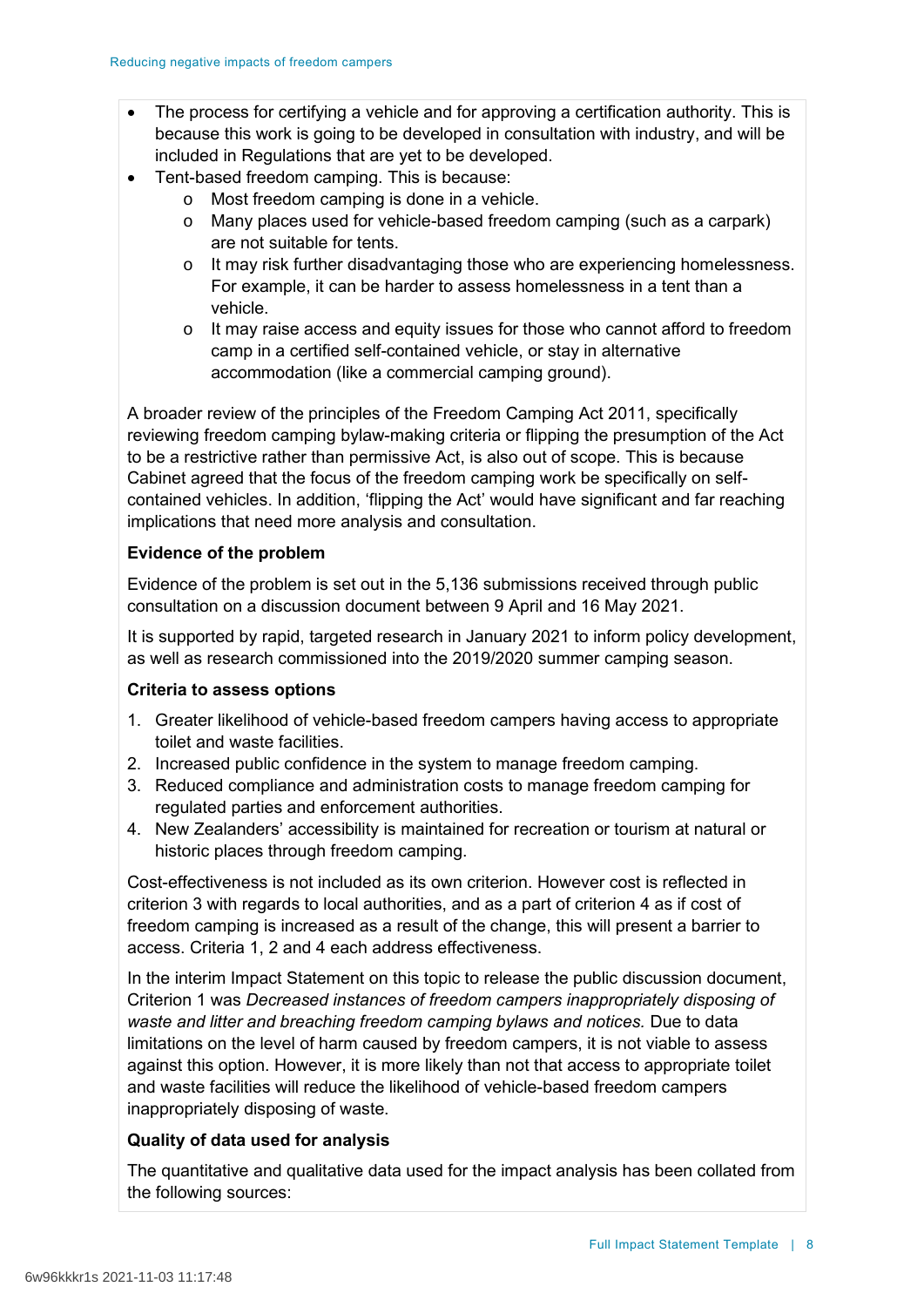- The process for certifying a vehicle and for approving a certification authority. This is because this work is going to be developed in consultation with industry, and will be included in Regulations that are yet to be developed.
- Tent-based freedom camping. This is because:
	- o Most freedom camping is done in a vehicle.
	- o Many places used for vehicle-based freedom camping (such as a carpark) are not suitable for tents.
	- $\circ$  It may risk further disadvantaging those who are experiencing homelessness. For example, it can be harder to assess homelessness in a tent than a vehicle.
	- o It may raise access and equity issues for those who cannot afford to freedom camp in a certified self-contained vehicle, or stay in alternative accommodation (like a commercial camping ground).

A broader review of the principles of the Freedom Camping Act 2011, specifically reviewing freedom camping bylaw-making criteria or flipping the presumption of the Act to be a restrictive rather than permissive Act, is also out of scope. This is because Cabinet agreed that the focus of the freedom camping work be specifically on selfcontained vehicles. In addition, 'flipping the Act' would have significant and far reaching implications that need more analysis and consultation.

### **Evidence of the problem**

Evidence of the problem is set out in the 5,136 submissions received through public consultation on a discussion document between 9 April and 16 May 2021.

It is supported by rapid, targeted research in January 2021 to inform policy development, as well as research commissioned into the 2019/2020 summer camping season.

### **Criteria to assess options**

- 1. Greater likelihood of vehicle-based freedom campers having access to appropriate toilet and waste facilities.
- 2. Increased public confidence in the system to manage freedom camping.
- 3. Reduced compliance and administration costs to manage freedom camping for regulated parties and enforcement authorities.
- 4. New Zealanders' accessibility is maintained for recreation or tourism at natural or historic places through freedom camping.

Cost-effectiveness is not included as its own criterion. However cost is reflected in criterion 3 with regards to local authorities, and as a part of criterion 4 as if cost of freedom camping is increased as a result of the change, this will present a barrier to access. Criteria 1, 2 and 4 each address effectiveness.

In the interim Impact Statement on this topic to release the public discussion document, Criterion 1 was *Decreased instances of freedom campers inappropriately disposing of*  waste and litter and breaching freedom camping bylaws and notices. Due to data limitations on the level of harm caused by freedom campers, it is not viable to assess against this option. However, it is more likely than not that access to appropriate toilet and waste facilities will reduce the likelihood of vehicle-based freedom campers inappropriately disposing of waste.

## **Quality of data used for analysis**

The quantitative and qualitative data used for the impact analysis has been collated from the following sources: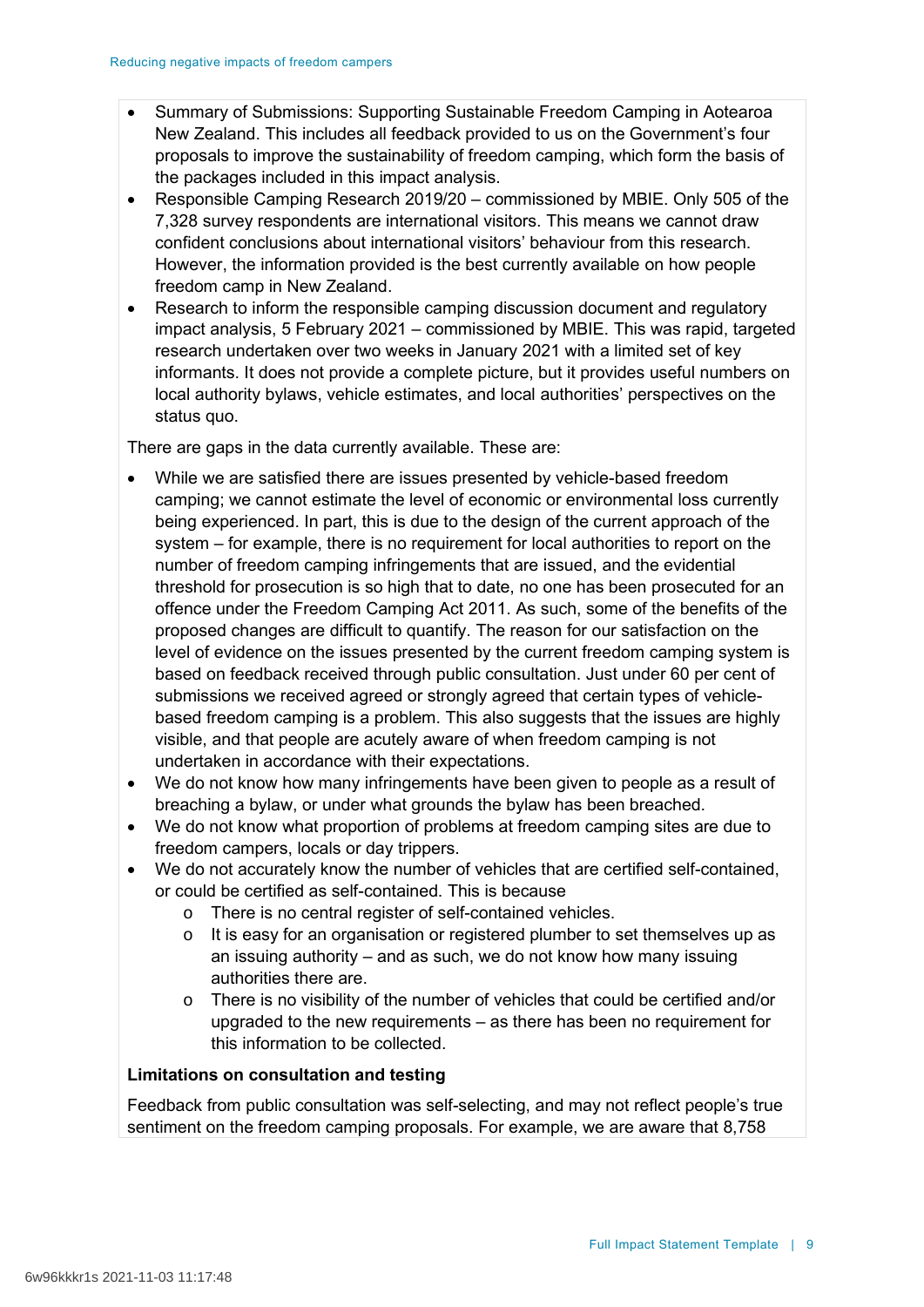- Summary of Submissions: Supporting Sustainable Freedom Camping in Aotearoa New Zealand. This includes all feedback provided to us on the Government's four proposals to improve the sustainability of freedom camping, which form the basis of the packages included in this impact analysis.
- Responsible Camping Research 2019/20 commissioned by MBIE. Only 505 of the 7,328 survey respondents are international visitors. This means we cannot draw confident conclusions about international visitors' behaviour from this research. However, the information provided is the best currently available on how people freedom camp in New Zealand.
- Research to inform the responsible camping discussion document and regulatory impact analysis, 5 February 2021 – commissioned by MBIE. This was rapid, targeted research undertaken over two weeks in January 2021 with a limited set of key informants. It does not provide a complete picture, but it provides useful numbers on local authority bylaws, vehicle estimates, and local authorities' perspectives on the status quo.

There are gaps in the data currently available. These are:

- While we are satisfied there are issues presented by vehicle-based freedom camping; we cannot estimate the level of economic or environmental loss currently being experienced. In part, this is due to the design of the current approach of the system – for example, there is no requirement for local authorities to report on the number of freedom camping infringements that are issued, and the evidential threshold for prosecution is so high that to date, no one has been prosecuted for an offence under the Freedom Camping Act 2011. As such, some of the benefits of the proposed changes are difficult to quantify. The reason for our satisfaction on the level of evidence on the issues presented by the current freedom camping system is based on feedback received through public consultation. Just under 60 per cent of submissions we received agreed or strongly agreed that certain types of vehiclebased freedom camping is a problem. This also suggests that the issues are highly visible, and that people are acutely aware of when freedom camping is not undertaken in accordance with their expectations.
- We do not know how many infringements have been given to people as a result of breaching a bylaw, or under what grounds the bylaw has been breached.
- We do not know what proportion of problems at freedom camping sites are due to freedom campers, locals or day trippers.
- We do not accurately know the number of vehicles that are certified self-contained, or could be certified as self-contained. This is because
	- o There is no central register of self-contained vehicles.
	- o It is easy for an organisation or registered plumber to set themselves up as an issuing authority – and as such, we do not know how many issuing authorities there are.
	- o There is no visibility of the number of vehicles that could be certified and/or upgraded to the new requirements – as there has been no requirement for this information to be collected.

### **Limitations on consultation and testing**

Feedback from public consultation was self-selecting, and may not reflect people's true sentiment on the freedom camping proposals. For example, we are aware that 8,758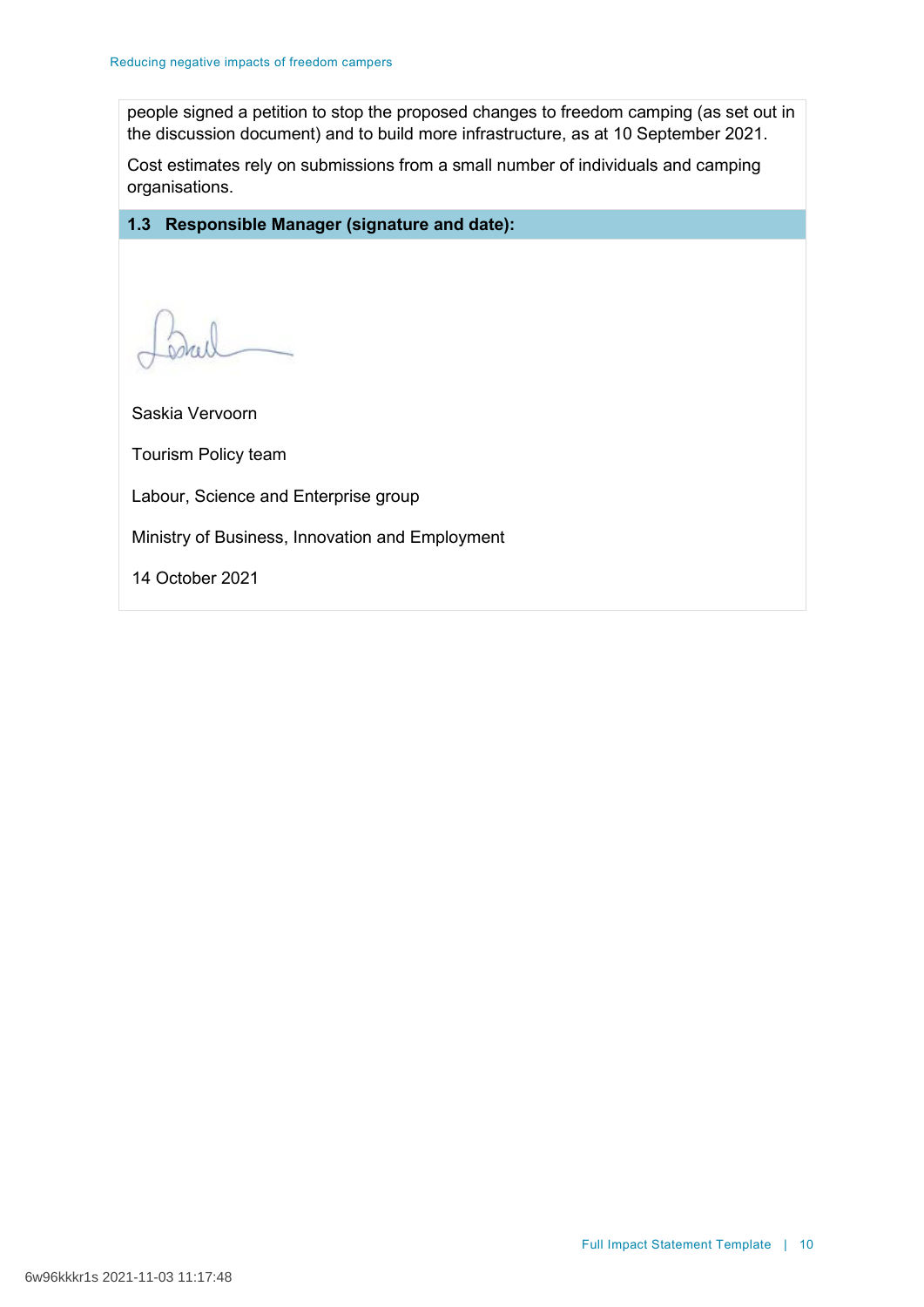people signed a petition to stop the proposed changes to freedom camping (as set out in the discussion document) and to build more infrastructure, as at 10 September 2021.

Cost estimates rely on submissions from a small number of individuals and camping organisations.

# **1.3 Responsible Manager (signature and date):**

Saskia Vervoorn Tourism Policy team Labour, Science and Enterprise group Ministry of Business, Innovation and Employment 14 October 2021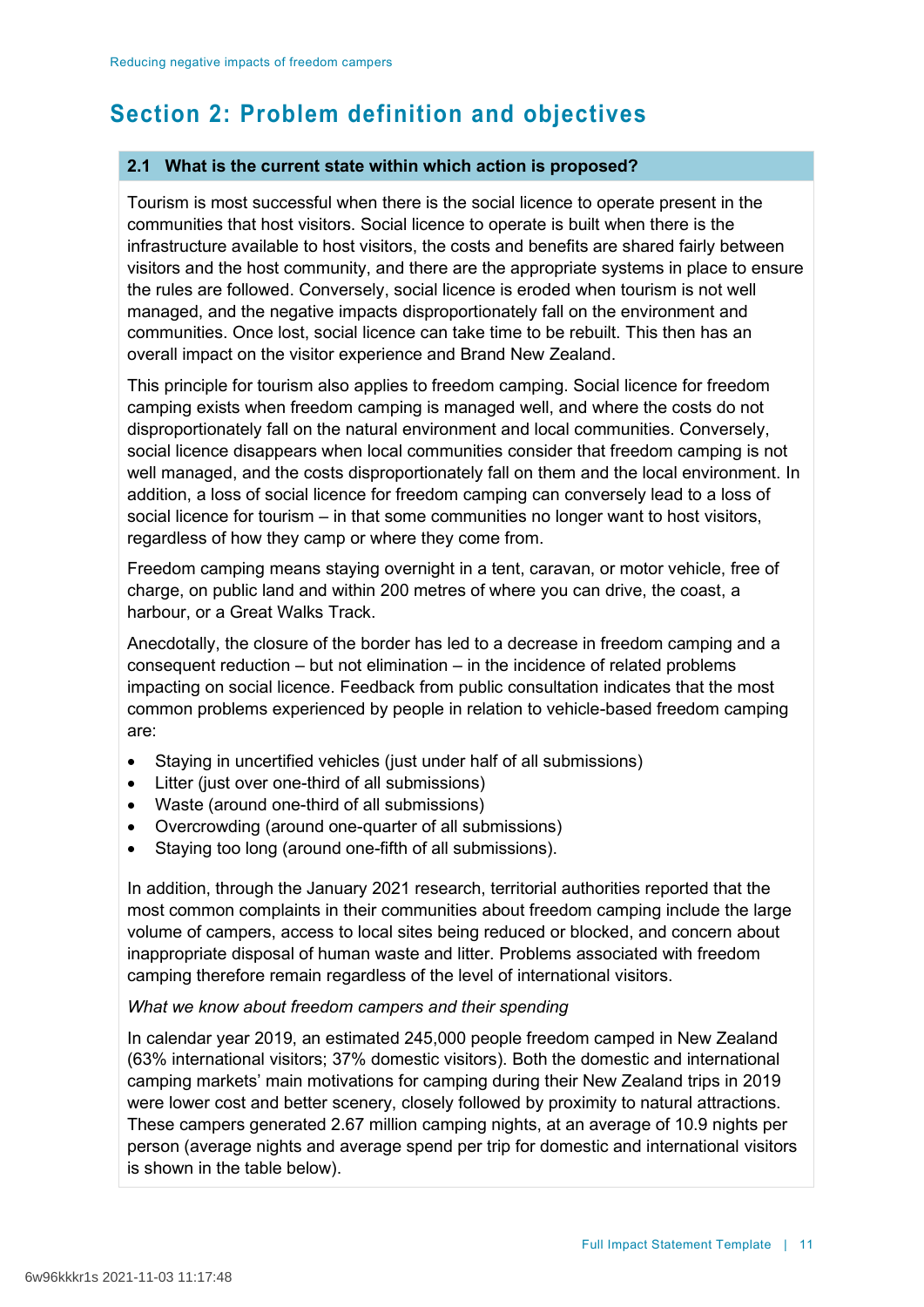# **Section 2: Problem definition and objectives**

### **2.1 What is the current state within which action is proposed?**

Tourism is most successful when there is the social licence to operate present in the communities that host visitors. Social licence to operate is built when there is the infrastructure available to host visitors, the costs and benefits are shared fairly between visitors and the host community, and there are the appropriate systems in place to ensure the rules are followed. Conversely, social licence is eroded when tourism is not well managed, and the negative impacts disproportionately fall on the environment and communities. Once lost, social licence can take time to be rebuilt. This then has an overall impact on the visitor experience and Brand New Zealand.

This principle for tourism also applies to freedom camping. Social licence for freedom camping exists when freedom camping is managed well, and where the costs do not disproportionately fall on the natural environment and local communities. Conversely, social licence disappears when local communities consider that freedom camping is not well managed, and the costs disproportionately fall on them and the local environment. In addition, a loss of social licence for freedom camping can conversely lead to a loss of social licence for tourism – in that some communities no longer want to host visitors, regardless of how they camp or where they come from.

Freedom camping means staying overnight in a tent, caravan, or motor vehicle, free of charge, on public land and within 200 metres of where you can drive, the coast, a harbour, or a Great Walks Track.

Anecdotally, the closure of the border has led to a decrease in freedom camping and a consequent reduction – but not elimination – in the incidence of related problems impacting on social licence. Feedback from public consultation indicates that the most common problems experienced by people in relation to vehicle-based freedom camping are:

- Staving in uncertified vehicles (just under half of all submissions)
- Litter (just over one-third of all submissions)
- Waste (around one-third of all submissions)
- Overcrowding (around one-quarter of all submissions)
- Staying too long (around one-fifth of all submissions).

In addition, through the January 2021 research, territorial authorities reported that the most common complaints in their communities about freedom camping include the large volume of campers, access to local sites being reduced or blocked, and concern about inappropriate disposal of human waste and litter. Problems associated with freedom camping therefore remain regardless of the level of international visitors.

### *What we know about freedom campers and their spending*

In calendar year 2019, an estimated 245,000 people freedom camped in New Zealand (63% international visitors; 37% domestic visitors). Both the domestic and international camping markets' main motivations for camping during their New Zealand trips in 2019 were lower cost and better scenery, closely followed by proximity to natural attractions. These campers generated 2.67 million camping nights, at an average of 10.9 nights per person (average nights and average spend per trip for domestic and international visitors is shown in the table below).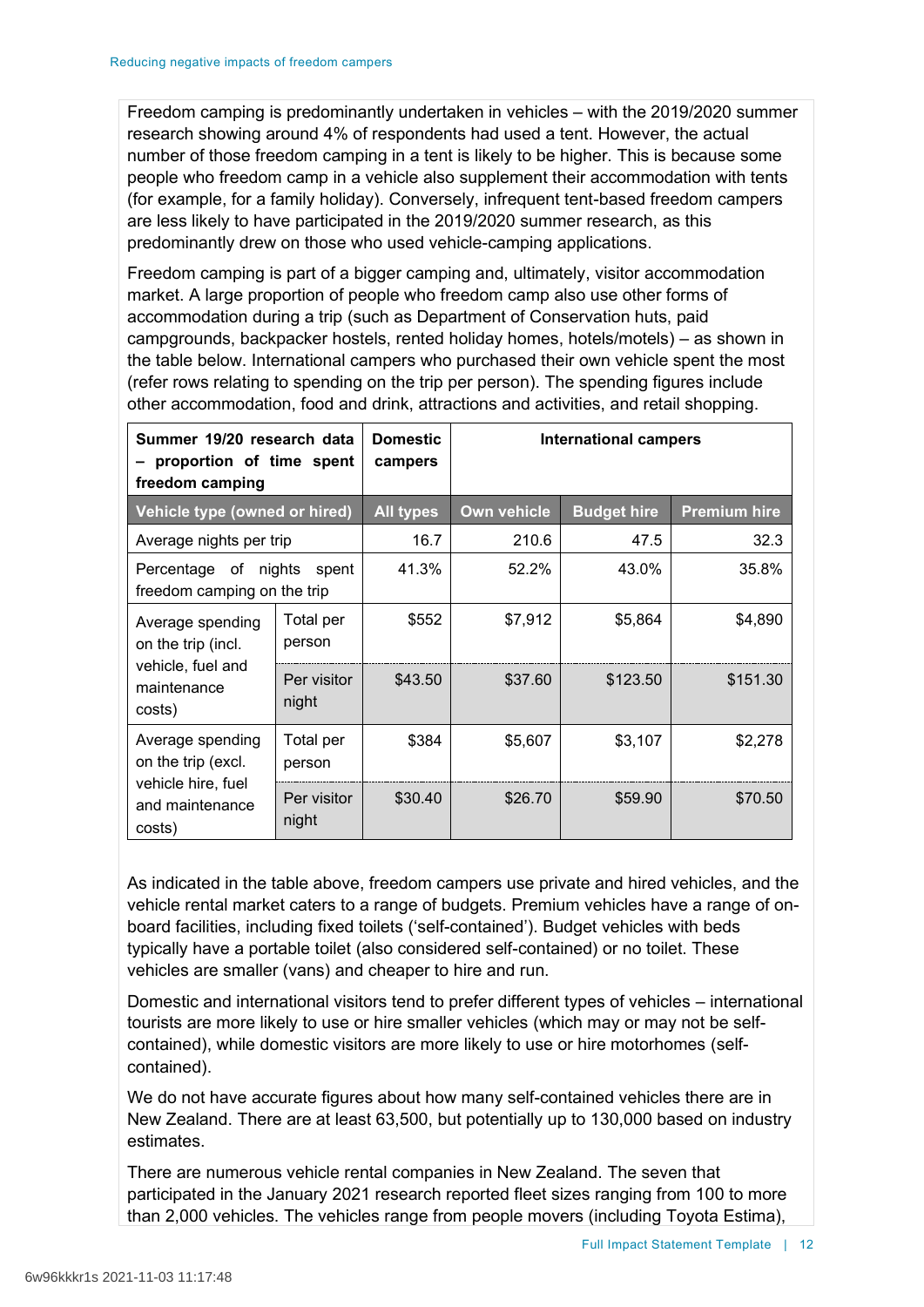Freedom camping is predominantly undertaken in vehicles – with the 2019/2020 summer research showing around 4% of respondents had used a tent. However, the actual number of those freedom camping in a tent is likely to be higher. This is because some people who freedom camp in a vehicle also supplement their accommodation with tents (for example, for a family holiday). Conversely, infrequent tent-based freedom campers are less likely to have participated in the 2019/2020 summer research, as this predominantly drew on those who used vehicle-camping applications.

Freedom camping is part of a bigger camping and, ultimately, visitor accommodation market. A large proportion of people who freedom camp also use other forms of accommodation during a trip (such as Department of Conservation huts, paid campgrounds, backpacker hostels, rented holiday homes, hotels/motels) – as shown in the table below. International campers who purchased their own vehicle spent the most (refer rows relating to spending on the trip per person). The spending figures include other accommodation, food and drink, attractions and activities, and retail shopping.

| Summer 19/20 research data<br>proportion of time spent<br>freedom camping |                      | <b>Domestic</b><br>campers | <b>International campers</b> |                    |                     |
|---------------------------------------------------------------------------|----------------------|----------------------------|------------------------------|--------------------|---------------------|
| Vehicle type (owned or hired)                                             |                      | <b>All types</b>           | Own vehicle                  | <b>Budget hire</b> | <b>Premium hire</b> |
| Average nights per trip                                                   |                      | 16.7                       | 210.6                        | 47.5               | 32.3                |
| Percentage of<br>nights<br>spent<br>freedom camping on the trip           |                      | 41.3%                      | 52.2%                        | 43.0%              | 35.8%               |
| Average spending<br>on the trip (incl.                                    | Total per<br>person  | \$552                      | \$7,912                      | \$5,864            | \$4,890             |
| vehicle, fuel and<br>maintenance<br>costs)                                | Per visitor<br>night | \$43.50                    | \$37.60                      | \$123.50           | \$151.30            |
| Average spending<br>on the trip (excl.                                    | Total per<br>person  | \$384                      | \$5,607                      | \$3,107            | \$2,278             |
| vehicle hire, fuel<br>and maintenance<br>costs)                           | Per visitor<br>night | \$30.40                    | \$26.70                      | \$59.90            | \$70.50             |

As indicated in the table above, freedom campers use private and hired vehicles, and the vehicle rental market caters to a range of budgets. Premium vehicles have a range of onboard facilities, including fixed toilets ('self-contained'). Budget vehicles with beds typically have a portable toilet (also considered self-contained) or no toilet. These vehicles are smaller (vans) and cheaper to hire and run.

Domestic and international visitors tend to prefer different types of vehicles – international tourists are more likely to use or hire smaller vehicles (which may or may not be selfcontained), while domestic visitors are more likely to use or hire motorhomes (selfcontained).

We do not have accurate figures about how many self-contained vehicles there are in New Zealand. There are at least 63,500, but potentially up to 130,000 based on industry estimates.

There are numerous vehicle rental companies in New Zealand. The seven that participated in the January 2021 research reported fleet sizes ranging from 100 to more than 2,000 vehicles. The vehicles range from people movers (including Toyota Estima),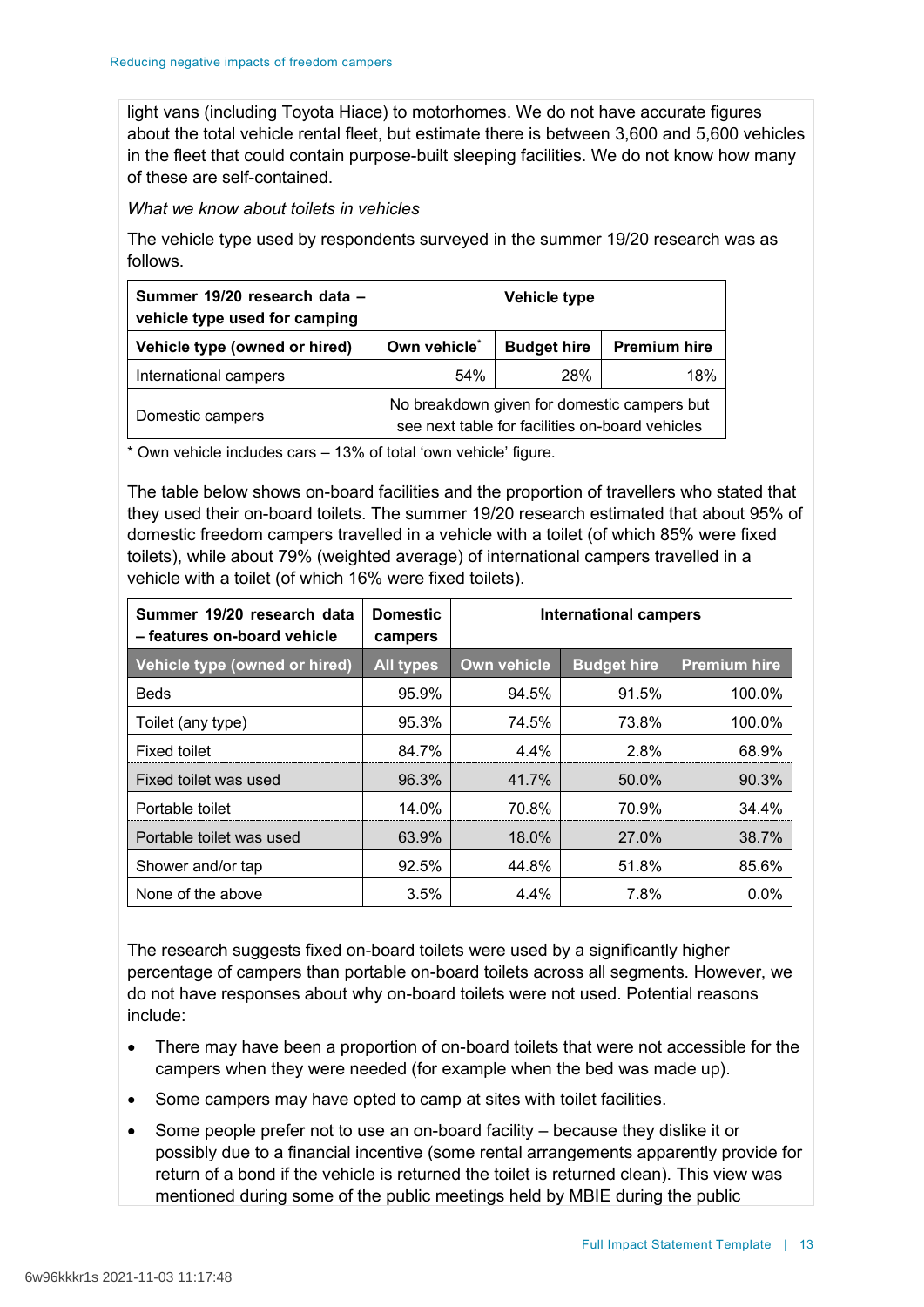light vans (including Toyota Hiace) to motorhomes. We do not have accurate figures about the total vehicle rental fleet, but estimate there is between 3,600 and 5,600 vehicles in the fleet that could contain purpose-built sleeping facilities. We do not know how many of these are self-contained.

*What we know about toilets in vehicles*

The vehicle type used by respondents surveyed in the summer 19/20 research was as follows.

| Summer 19/20 research data -<br>vehicle type used for camping | Vehicle type                                                                                   |                    |                     |
|---------------------------------------------------------------|------------------------------------------------------------------------------------------------|--------------------|---------------------|
| Vehicle type (owned or hired)                                 | Own vehicle <sup>*</sup>                                                                       | <b>Budget hire</b> | <b>Premium hire</b> |
| International campers                                         | 54%                                                                                            | 28%                | 18%                 |
| Domestic campers                                              | No breakdown given for domestic campers but<br>see next table for facilities on-board vehicles |                    |                     |

\* Own vehicle includes cars – 13% of total 'own vehicle' figure.

The table below shows on-board facilities and the proportion of travellers who stated that they used their on-board toilets. The summer 19/20 research estimated that about 95% of domestic freedom campers travelled in a vehicle with a toilet (of which 85% were fixed toilets), while about 79% (weighted average) of international campers travelled in a vehicle with a toilet (of which 16% were fixed toilets).

| Summer 19/20 research data<br>- features on-board vehicle | <b>Domestic</b><br>campers | <b>International campers</b> |                    |                     |
|-----------------------------------------------------------|----------------------------|------------------------------|--------------------|---------------------|
| Vehicle type (owned or hired)                             | <b>All types</b>           | Own vehicle                  | <b>Budget hire</b> | <b>Premium hire</b> |
| <b>Beds</b>                                               | 95.9%                      | 94.5%                        | 91.5%              | 100.0%              |
| Toilet (any type)                                         | 95.3%                      | 74.5%                        | 73.8%              | 100.0%              |
| <b>Fixed toilet</b>                                       | 84.7%                      | 4.4%                         | 2.8%               | 68.9%               |
| Fixed toilet was used                                     | 96.3%                      | 41.7%                        | 50.0%              | 90.3%               |
| Portable toilet                                           | 14.0%                      | 70.8%                        | 70.9%              | 34.4%               |
| Portable toilet was used                                  | 63.9%                      | 18.0%                        | 27.0%              | 38.7%               |
| Shower and/or tap                                         | 92.5%                      | 44.8%                        | 51.8%              | 85.6%               |
| None of the above                                         | 3.5%                       | 4.4%                         | 7.8%               | $0.0\%$             |

The research suggests fixed on-board toilets were used by a significantly higher percentage of campers than portable on-board toilets across all segments. However, we do not have responses about why on-board toilets were not used. Potential reasons include:

- There may have been a proportion of on-board toilets that were not accessible for the campers when they were needed (for example when the bed was made up).
- Some campers may have opted to camp at sites with toilet facilities.
- Some people prefer not to use an on-board facility because they dislike it or possibly due to a financial incentive (some rental arrangements apparently provide for return of a bond if the vehicle is returned the toilet is returned clean). This view was mentioned during some of the public meetings held by MBIE during the public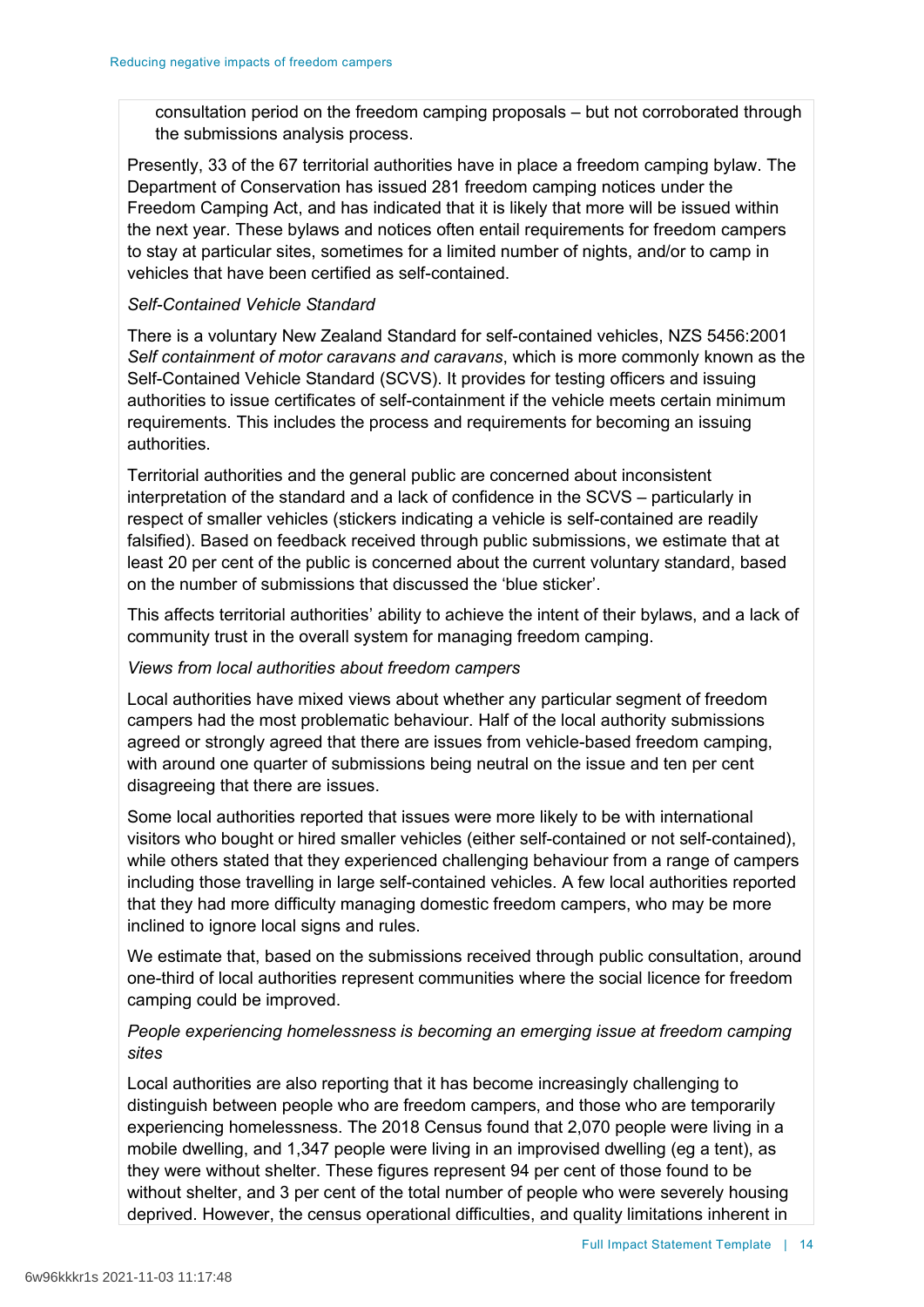consultation period on the freedom camping proposals – but not corroborated through the submissions analysis process.

Presently, 33 of the 67 territorial authorities have in place a freedom camping bylaw. The Department of Conservation has issued 281 freedom camping notices under the Freedom Camping Act, and has indicated that it is likely that more will be issued within the next year. These bylaws and notices often entail requirements for freedom campers to stay at particular sites, sometimes for a limited number of nights, and/or to camp in vehicles that have been certified as self-contained.

### *Self-Contained Vehicle Standard*

There is a voluntary New Zealand Standard for self-contained vehicles, NZS 5456:2001 *Self containment of motor caravans and caravans*, which is more commonly known as the Self-Contained Vehicle Standard (SCVS). It provides for testing officers and issuing authorities to issue certificates of self-containment if the vehicle meets certain minimum requirements. This includes the process and requirements for becoming an issuing authorities.

Territorial authorities and the general public are concerned about inconsistent interpretation of the standard and a lack of confidence in the SCVS – particularly in respect of smaller vehicles (stickers indicating a vehicle is self-contained are readily falsified). Based on feedback received through public submissions, we estimate that at least 20 per cent of the public is concerned about the current voluntary standard, based on the number of submissions that discussed the 'blue sticker'.

This affects territorial authorities' ability to achieve the intent of their bylaws, and a lack of community trust in the overall system for managing freedom camping.

## *Views from local authorities about freedom campers*

Local authorities have mixed views about whether any particular segment of freedom campers had the most problematic behaviour. Half of the local authority submissions agreed or strongly agreed that there are issues from vehicle-based freedom camping, with around one quarter of submissions being neutral on the issue and ten per cent disagreeing that there are issues.

Some local authorities reported that issues were more likely to be with international visitors who bought or hired smaller vehicles (either self-contained or not self-contained), while others stated that they experienced challenging behaviour from a range of campers including those travelling in large self-contained vehicles. A few local authorities reported that they had more difficulty managing domestic freedom campers, who may be more inclined to ignore local signs and rules.

We estimate that, based on the submissions received through public consultation, around one-third of local authorities represent communities where the social licence for freedom camping could be improved.

# *People experiencing homelessness is becoming an emerging issue at freedom camping sites*

Local authorities are also reporting that it has become increasingly challenging to distinguish between people who are freedom campers, and those who are temporarily experiencing homelessness. The 2018 Census found that 2,070 people were living in a mobile dwelling, and 1,347 people were living in an improvised dwelling (eg a tent), as they were without shelter. These figures represent 94 per cent of those found to be without shelter, and 3 per cent of the total number of people who were severely housing deprived. However, the census operational difficulties, and quality limitations inherent in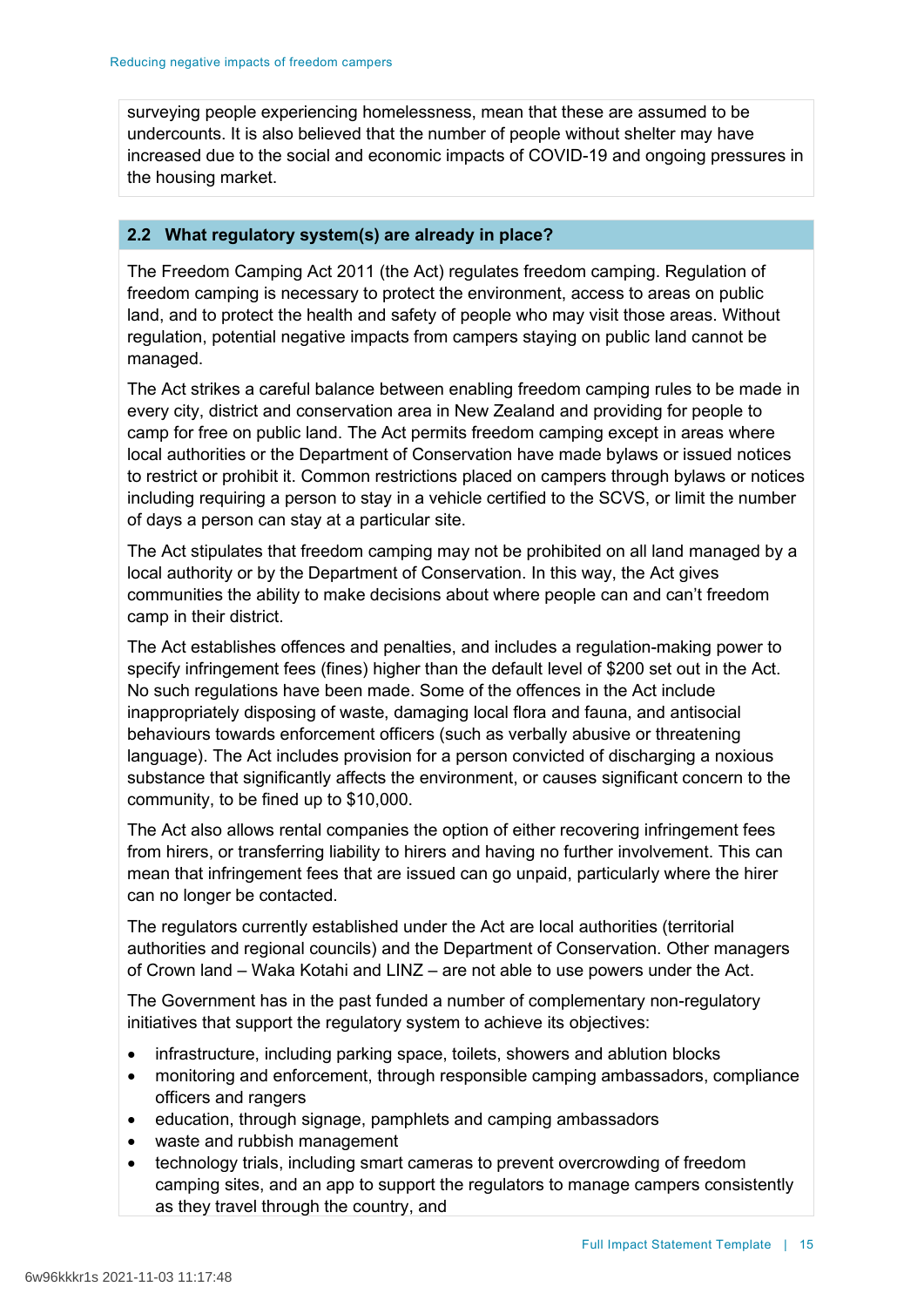surveying people experiencing homelessness, mean that these are assumed to be undercounts. It is also believed that the number of people without shelter may have increased due to the social and economic impacts of COVID-19 and ongoing pressures in the housing market.

### **2.2 What regulatory system(s) are already in place?**

The Freedom Camping Act 2011 (the Act) regulates freedom camping. Regulation of freedom camping is necessary to protect the environment, access to areas on public land, and to protect the health and safety of people who may visit those areas. Without regulation, potential negative impacts from campers staying on public land cannot be managed.

The Act strikes a careful balance between enabling freedom camping rules to be made in every city, district and conservation area in New Zealand and providing for people to camp for free on public land. The Act permits freedom camping except in areas where local authorities or the Department of Conservation have made bylaws or issued notices to restrict or prohibit it. Common restrictions placed on campers through bylaws or notices including requiring a person to stay in a vehicle certified to the SCVS, or limit the number of days a person can stay at a particular site.

The Act stipulates that freedom camping may not be prohibited on all land managed by a local authority or by the Department of Conservation. In this way, the Act gives communities the ability to make decisions about where people can and can't freedom camp in their district.

The Act establishes offences and penalties, and includes a regulation-making power to specify infringement fees (fines) higher than the default level of \$200 set out in the Act. No such regulations have been made. Some of the offences in the Act include inappropriately disposing of waste, damaging local flora and fauna, and antisocial behaviours towards enforcement officers (such as verbally abusive or threatening language). The Act includes provision for a person convicted of discharging a noxious substance that significantly affects the environment, or causes significant concern to the community, to be fined up to \$10,000.

The Act also allows rental companies the option of either recovering infringement fees from hirers, or transferring liability to hirers and having no further involvement. This can mean that infringement fees that are issued can go unpaid, particularly where the hirer can no longer be contacted.

The regulators currently established under the Act are local authorities (territorial authorities and regional councils) and the Department of Conservation. Other managers of Crown land – Waka Kotahi and LINZ – are not able to use powers under the Act.

The Government has in the past funded a number of complementary non-regulatory initiatives that support the regulatory system to achieve its objectives:

- infrastructure, including parking space, toilets, showers and ablution blocks
- monitoring and enforcement, through responsible camping ambassadors, compliance officers and rangers
- education, through signage, pamphlets and camping ambassadors
- waste and rubbish management
- technology trials, including smart cameras to prevent overcrowding of freedom camping sites, and an app to support the regulators to manage campers consistently as they travel through the country, and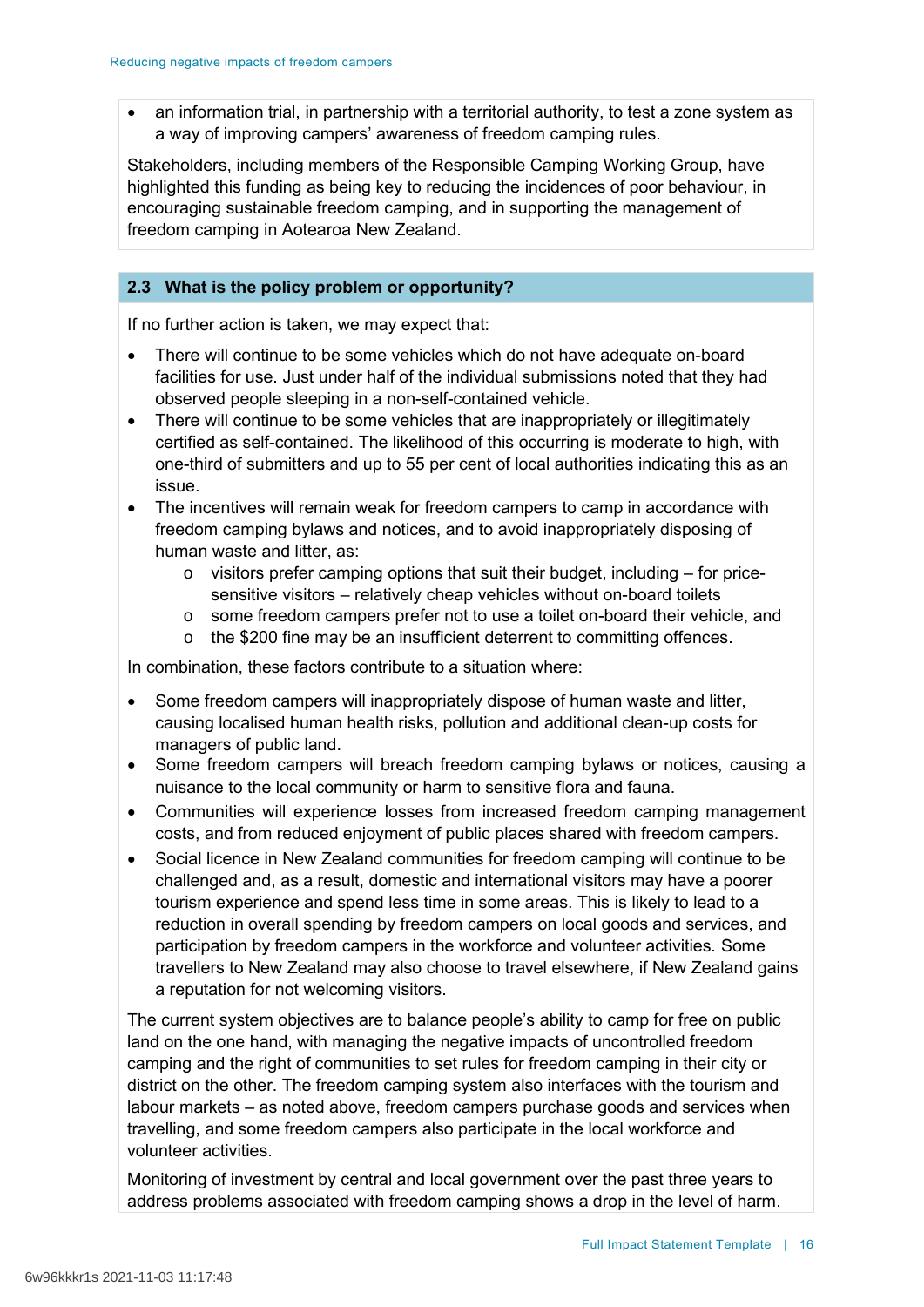• an information trial, in partnership with a territorial authority, to test a zone system as a way of improving campers' awareness of freedom camping rules.

Stakeholders, including members of the Responsible Camping Working Group, have highlighted this funding as being key to reducing the incidences of poor behaviour, in encouraging sustainable freedom camping, and in supporting the management of freedom camping in Aotearoa New Zealand.

## **2.3 What is the policy problem or opportunity?**

If no further action is taken, we may expect that:

- There will continue to be some vehicles which do not have adequate on-board facilities for use. Just under half of the individual submissions noted that they had observed people sleeping in a non-self-contained vehicle.
- There will continue to be some vehicles that are inappropriately or illegitimately certified as self-contained. The likelihood of this occurring is moderate to high, with one-third of submitters and up to 55 per cent of local authorities indicating this as an issue.
- The incentives will remain weak for freedom campers to camp in accordance with freedom camping bylaws and notices, and to avoid inappropriately disposing of human waste and litter, as:
	- $\circ$  visitors prefer camping options that suit their budget, including for pricesensitive visitors – relatively cheap vehicles without on-board toilets
	- o some freedom campers prefer not to use a toilet on-board their vehicle, and
	- o the \$200 fine may be an insufficient deterrent to committing offences.

In combination, these factors contribute to a situation where:

- Some freedom campers will inappropriately dispose of human waste and litter, causing localised human health risks, pollution and additional clean-up costs for managers of public land.
- Some freedom campers will breach freedom camping bylaws or notices, causing a nuisance to the local community or harm to sensitive flora and fauna.
- Communities will experience losses from increased freedom camping management costs, and from reduced enjoyment of public places shared with freedom campers.
- Social licence in New Zealand communities for freedom camping will continue to be challenged and, as a result, domestic and international visitors may have a poorer tourism experience and spend less time in some areas. This is likely to lead to a reduction in overall spending by freedom campers on local goods and services, and participation by freedom campers in the workforce and volunteer activities. Some travellers to New Zealand may also choose to travel elsewhere, if New Zealand gains a reputation for not welcoming visitors.

The current system objectives are to balance people's ability to camp for free on public land on the one hand, with managing the negative impacts of uncontrolled freedom camping and the right of communities to set rules for freedom camping in their city or district on the other. The freedom camping system also interfaces with the tourism and labour markets – as noted above, freedom campers purchase goods and services when travelling, and some freedom campers also participate in the local workforce and volunteer activities.

Monitoring of investment by central and local government over the past three years to address problems associated with freedom camping shows a drop in the level of harm.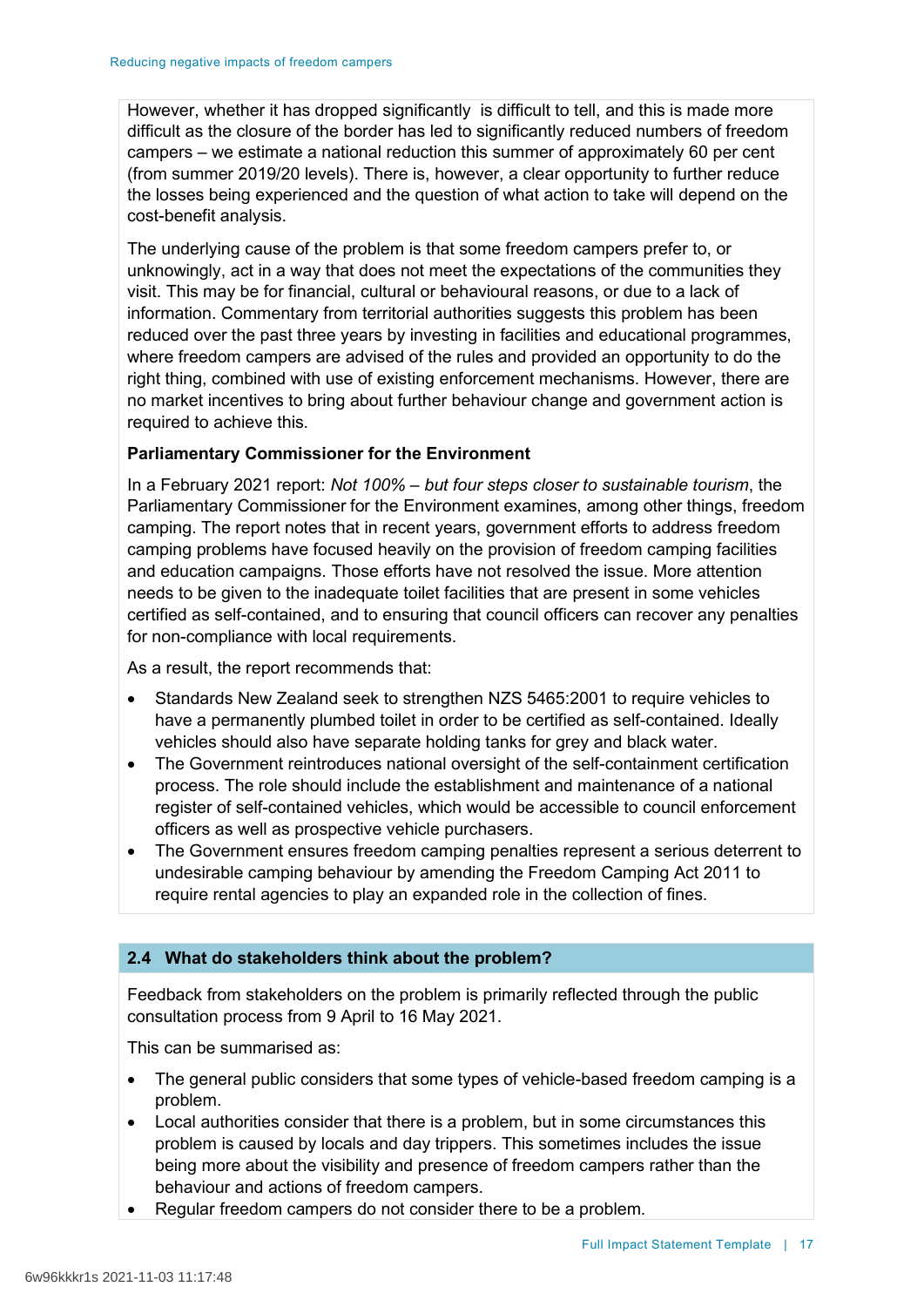However, whether it has dropped significantly is difficult to tell, and this is made more difficult as the closure of the border has led to significantly reduced numbers of freedom campers – we estimate a national reduction this summer of approximately 60 per cent (from summer 2019/20 levels). There is, however, a clear opportunity to further reduce the losses being experienced and the question of what action to take will depend on the cost-benefit analysis.

The underlying cause of the problem is that some freedom campers prefer to, or unknowingly, act in a way that does not meet the expectations of the communities they visit. This may be for financial, cultural or behavioural reasons, or due to a lack of information. Commentary from territorial authorities suggests this problem has been reduced over the past three years by investing in facilities and educational programmes, where freedom campers are advised of the rules and provided an opportunity to do the right thing, combined with use of existing enforcement mechanisms. However, there are no market incentives to bring about further behaviour change and government action is required to achieve this.

## **Parliamentary Commissioner for the Environment**

In a February 2021 report: *Not 100% – but four steps closer to sustainable tourism*, the Parliamentary Commissioner for the Environment examines, among other things, freedom camping. The report notes that in recent years, government efforts to address freedom camping problems have focused heavily on the provision of freedom camping facilities and education campaigns. Those efforts have not resolved the issue. More attention needs to be given to the inadequate toilet facilities that are present in some vehicles certified as self-contained, and to ensuring that council officers can recover any penalties for non-compliance with local requirements.

As a result, the report recommends that:

- Standards New Zealand seek to strengthen NZS 5465:2001 to require vehicles to have a permanently plumbed toilet in order to be certified as self-contained. Ideally vehicles should also have separate holding tanks for grey and black water.
- The Government reintroduces national oversight of the self-containment certification process. The role should include the establishment and maintenance of a national register of self-contained vehicles, which would be accessible to council enforcement officers as well as prospective vehicle purchasers.
- The Government ensures freedom camping penalties represent a serious deterrent to undesirable camping behaviour by amending the Freedom Camping Act 2011 to require rental agencies to play an expanded role in the collection of fines.

## **2.4 What do stakeholders think about the problem?**

Feedback from stakeholders on the problem is primarily reflected through the public consultation process from 9 April to 16 May 2021.

This can be summarised as:

- The general public considers that some types of vehicle-based freedom camping is a problem.
- Local authorities consider that there is a problem, but in some circumstances this problem is caused by locals and day trippers. This sometimes includes the issue being more about the visibility and presence of freedom campers rather than the behaviour and actions of freedom campers.
- Regular freedom campers do not consider there to be a problem.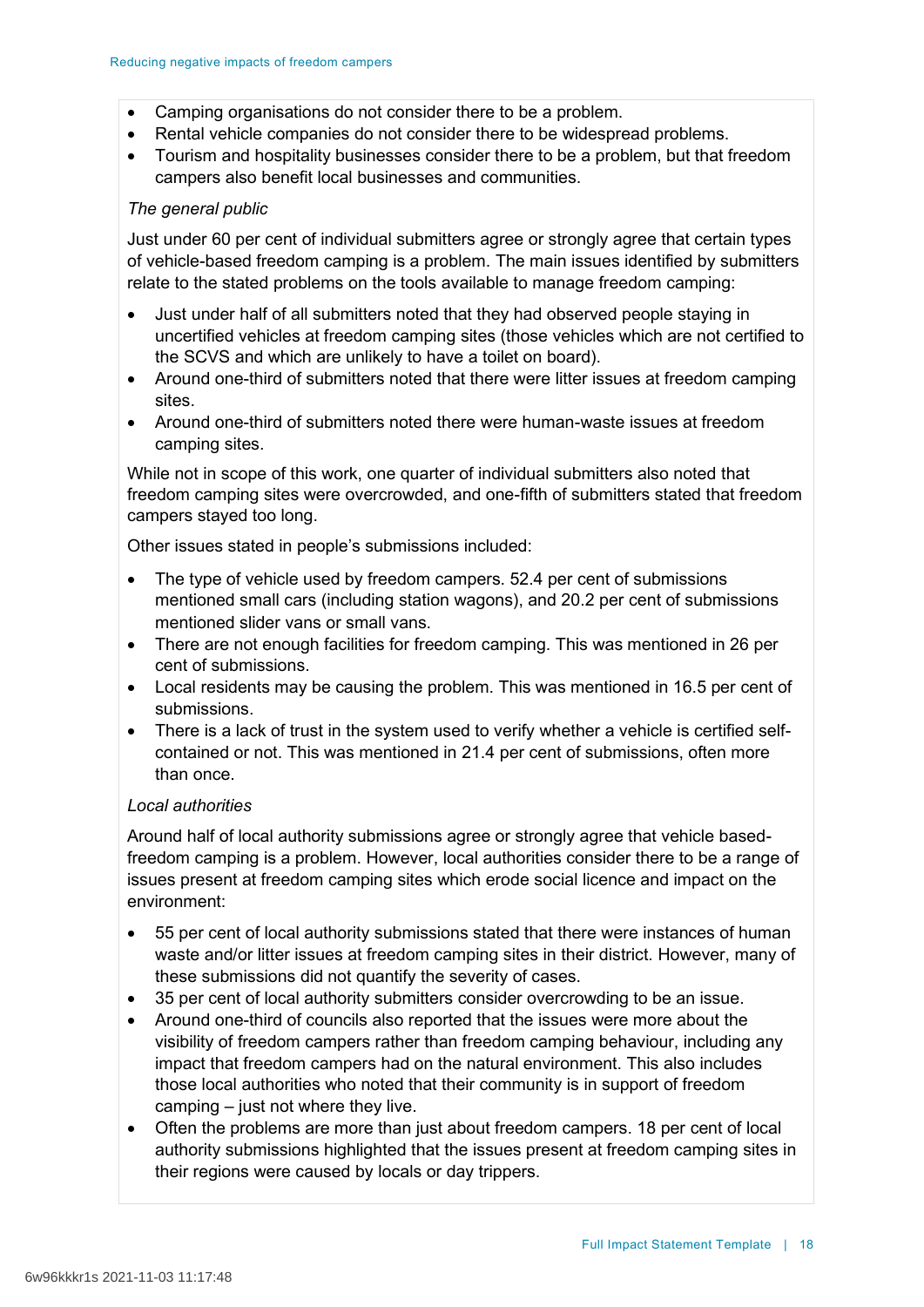- Camping organisations do not consider there to be a problem.
- Rental vehicle companies do not consider there to be widespread problems.
- Tourism and hospitality businesses consider there to be a problem, but that freedom campers also benefit local businesses and communities.

## *The general public*

Just under 60 per cent of individual submitters agree or strongly agree that certain types of vehicle-based freedom camping is a problem. The main issues identified by submitters relate to the stated problems on the tools available to manage freedom camping:

- Just under half of all submitters noted that they had observed people staying in uncertified vehicles at freedom camping sites (those vehicles which are not certified to the SCVS and which are unlikely to have a toilet on board).
- Around one-third of submitters noted that there were litter issues at freedom camping sites.
- Around one-third of submitters noted there were human-waste issues at freedom camping sites.

While not in scope of this work, one quarter of individual submitters also noted that freedom camping sites were overcrowded, and one-fifth of submitters stated that freedom campers stayed too long.

Other issues stated in people's submissions included:

- The type of vehicle used by freedom campers. 52.4 per cent of submissions mentioned small cars (including station wagons), and 20.2 per cent of submissions mentioned slider vans or small vans.
- There are not enough facilities for freedom camping. This was mentioned in 26 per cent of submissions.
- Local residents may be causing the problem. This was mentioned in 16.5 per cent of submissions.
- There is a lack of trust in the system used to verify whether a vehicle is certified selfcontained or not. This was mentioned in 21.4 per cent of submissions, often more than once.

## *Local authorities*

Around half of local authority submissions agree or strongly agree that vehicle basedfreedom camping is a problem. However, local authorities consider there to be a range of issues present at freedom camping sites which erode social licence and impact on the environment:

- 55 per cent of local authority submissions stated that there were instances of human waste and/or litter issues at freedom camping sites in their district. However, many of these submissions did not quantify the severity of cases.
- 35 per cent of local authority submitters consider overcrowding to be an issue.
- Around one-third of councils also reported that the issues were more about the visibility of freedom campers rather than freedom camping behaviour, including any impact that freedom campers had on the natural environment. This also includes those local authorities who noted that their community is in support of freedom camping – just not where they live.
- Often the problems are more than just about freedom campers. 18 per cent of local authority submissions highlighted that the issues present at freedom camping sites in their regions were caused by locals or day trippers.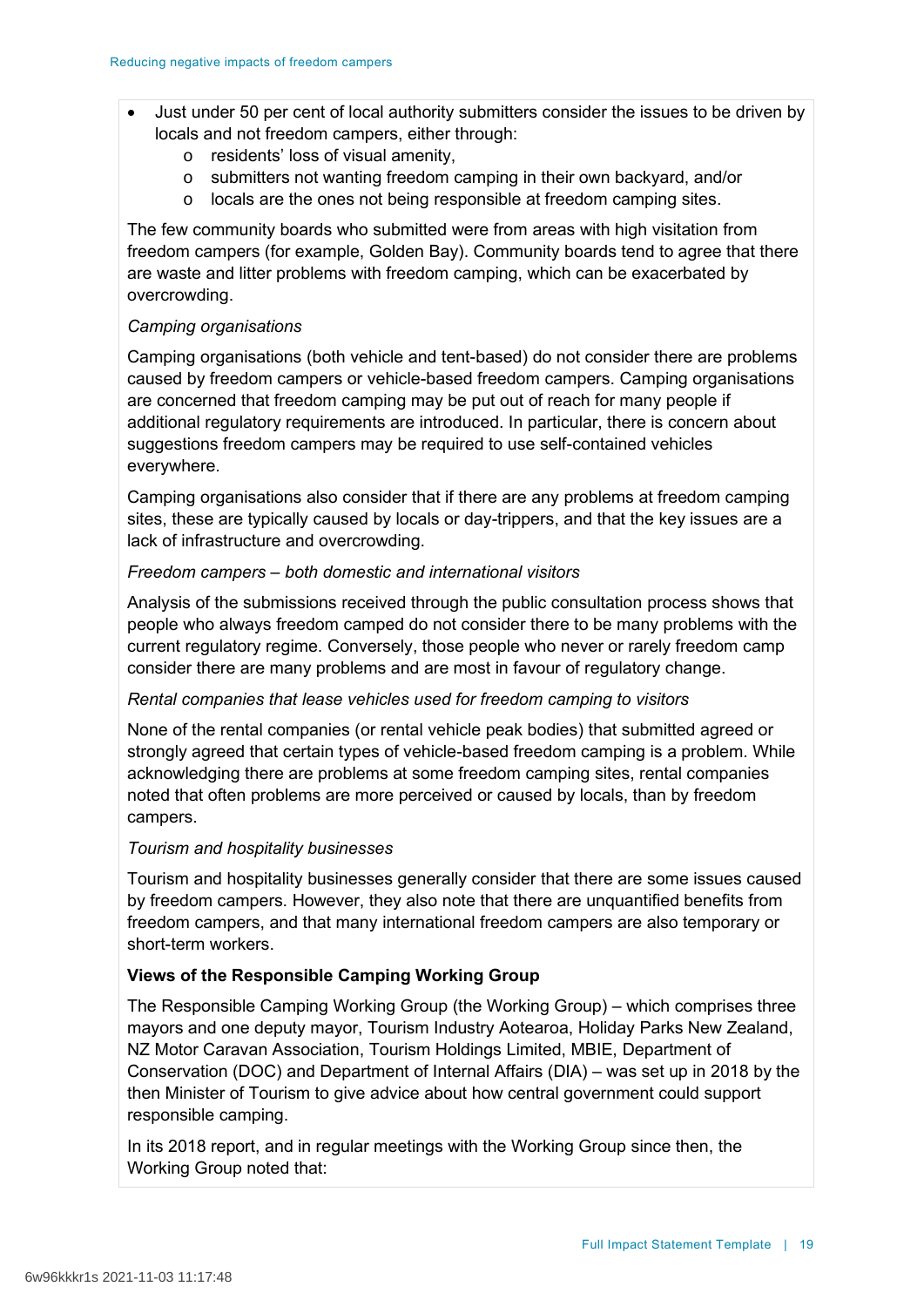- Just under 50 per cent of local authority submitters consider the issues to be driven by locals and not freedom campers, either through:
	- o residents' loss of visual amenity,
	- o submitters not wanting freedom camping in their own backyard, and/or
	- o locals are the ones not being responsible at freedom camping sites.

The few community boards who submitted were from areas with high visitation from freedom campers (for example, Golden Bay). Community boards tend to agree that there are waste and litter problems with freedom camping, which can be exacerbated by overcrowding.

### *Camping organisations*

Camping organisations (both vehicle and tent-based) do not consider there are problems caused by freedom campers or vehicle-based freedom campers. Camping organisations are concerned that freedom camping may be put out of reach for many people if additional regulatory requirements are introduced. In particular, there is concern about suggestions freedom campers may be required to use self-contained vehicles everywhere.

Camping organisations also consider that if there are any problems at freedom camping sites, these are typically caused by locals or day-trippers, and that the key issues are a lack of infrastructure and overcrowding.

## *Freedom campers – both domestic and international visitors*

Analysis of the submissions received through the public consultation process shows that people who always freedom camped do not consider there to be many problems with the current regulatory regime. Conversely, those people who never or rarely freedom camp consider there are many problems and are most in favour of regulatory change.

## *Rental companies that lease vehicles used for freedom camping to visitors*

None of the rental companies (or rental vehicle peak bodies) that submitted agreed or strongly agreed that certain types of vehicle-based freedom camping is a problem. While acknowledging there are problems at some freedom camping sites, rental companies noted that often problems are more perceived or caused by locals, than by freedom campers.

### *Tourism and hospitality businesses*

Tourism and hospitality businesses generally consider that there are some issues caused by freedom campers. However, they also note that there are unquantified benefits from freedom campers, and that many international freedom campers are also temporary or short-term workers.

### **Views of the Responsible Camping Working Group**

The Responsible Camping Working Group (the Working Group) – which comprises three mayors and one deputy mayor, Tourism Industry Aotearoa, Holiday Parks New Zealand, NZ Motor Caravan Association, Tourism Holdings Limited, MBIE, Department of Conservation (DOC) and Department of Internal Affairs (DIA) – was set up in 2018 by the then Minister of Tourism to give advice about how central government could support responsible camping.

In its 2018 report, and in regular meetings with the Working Group since then, the Working Group noted that: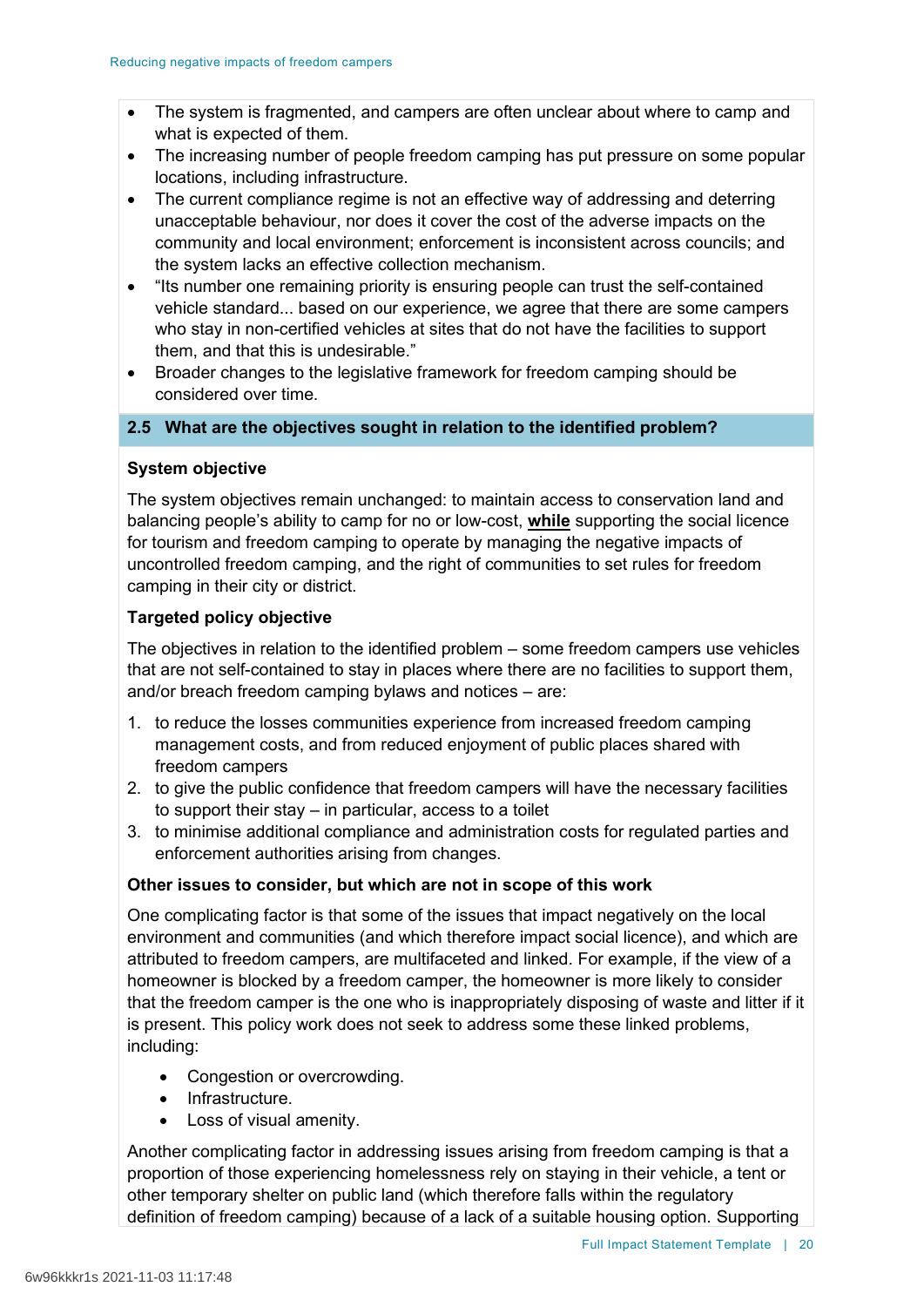- The system is fragmented, and campers are often unclear about where to camp and what is expected of them.
- The increasing number of people freedom camping has put pressure on some popular locations, including infrastructure.
- The current compliance regime is not an effective way of addressing and deterring unacceptable behaviour, nor does it cover the cost of the adverse impacts on the community and local environment; enforcement is inconsistent across councils; and the system lacks an effective collection mechanism.
- "Its number one remaining priority is ensuring people can trust the self-contained vehicle standard... based on our experience, we agree that there are some campers who stay in non-certified vehicles at sites that do not have the facilities to support them, and that this is undesirable."
- Broader changes to the legislative framework for freedom camping should be considered over time.

# **2.5 What are the objectives sought in relation to the identified problem?**

# **System objective**

The system objectives remain unchanged: to maintain access to conservation land and balancing people's ability to camp for no or low-cost, **while** supporting the social licence for tourism and freedom camping to operate by managing the negative impacts of uncontrolled freedom camping, and the right of communities to set rules for freedom camping in their city or district.

# **Targeted policy objective**

The objectives in relation to the identified problem – some freedom campers use vehicles that are not self-contained to stay in places where there are no facilities to support them, and/or breach freedom camping bylaws and notices – are:

- 1. to reduce the losses communities experience from increased freedom camping management costs, and from reduced enjoyment of public places shared with freedom campers
- 2. to give the public confidence that freedom campers will have the necessary facilities to support their stay – in particular, access to a toilet
- 3. to minimise additional compliance and administration costs for regulated parties and enforcement authorities arising from changes.

## **Other issues to consider, but which are not in scope of this work**

One complicating factor is that some of the issues that impact negatively on the local environment and communities (and which therefore impact social licence), and which are attributed to freedom campers, are multifaceted and linked. For example, if the view of a homeowner is blocked by a freedom camper, the homeowner is more likely to consider that the freedom camper is the one who is inappropriately disposing of waste and litter if it is present. This policy work does not seek to address some these linked problems, including:

- Congestion or overcrowding.
- Infrastructure.
- Loss of visual amenity.

Another complicating factor in addressing issues arising from freedom camping is that a proportion of those experiencing homelessness rely on staying in their vehicle, a tent or other temporary shelter on public land (which therefore falls within the regulatory definition of freedom camping) because of a lack of a suitable housing option. Supporting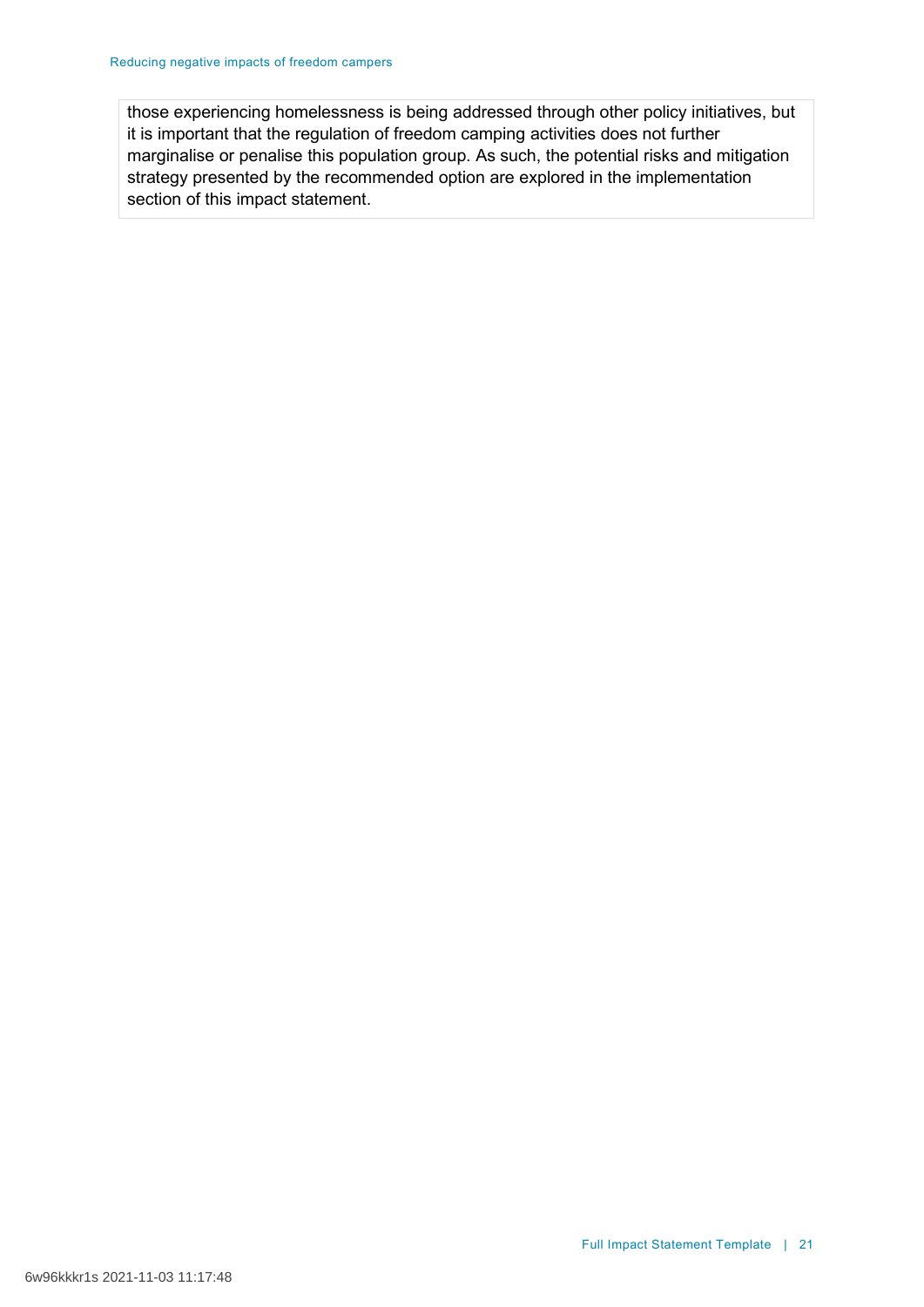those experiencing homelessness is being addressed through other policy initiatives, but it is important that the regulation of freedom camping activities does not further marginalise or penalise this population group. As such, the potential risks and mitigation strategy presented by the recommended option are explored in the implementation section of this impact statement.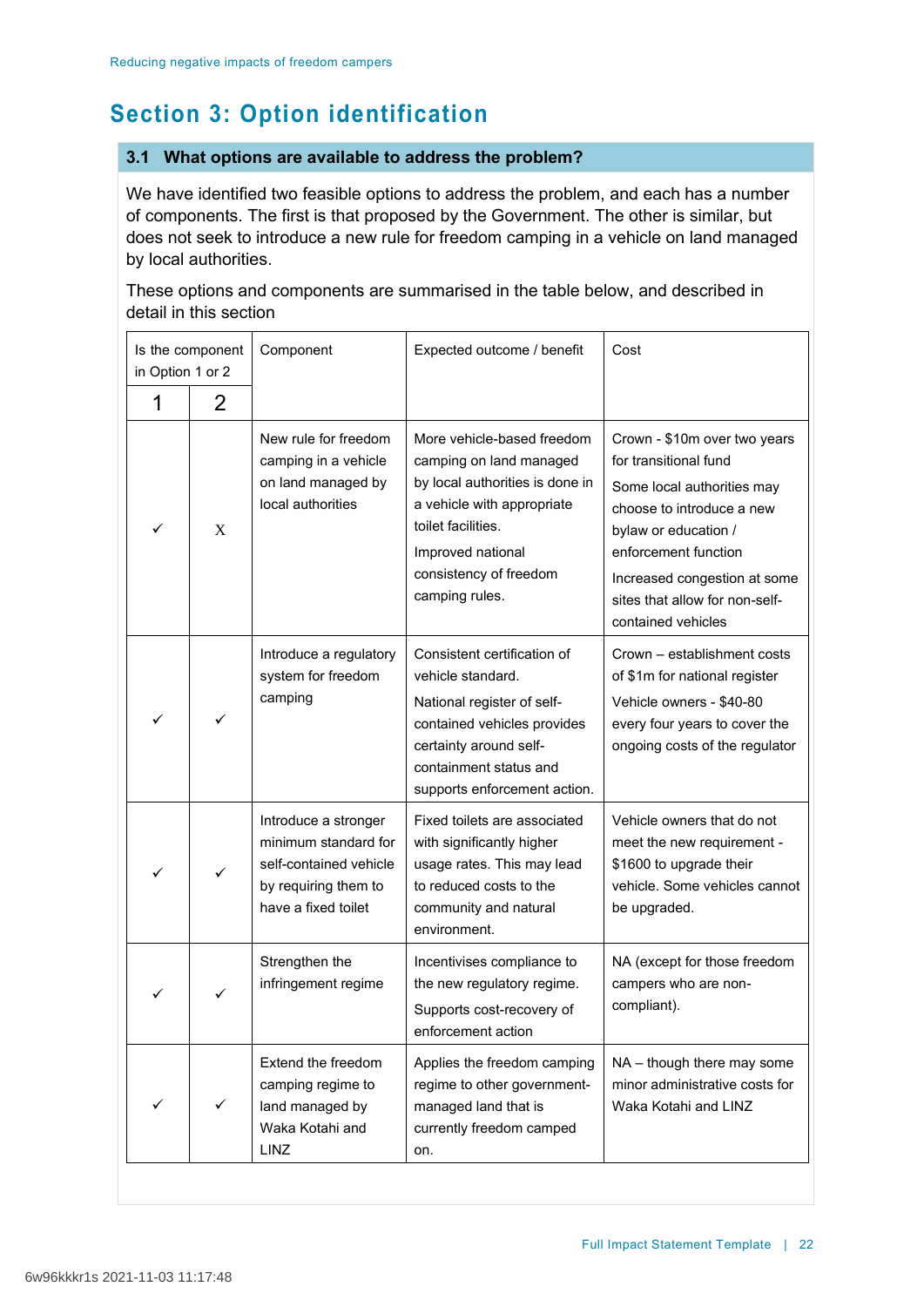# **Section 3: Option identification**

# **3.1 What options are available to address the problem?**

We have identified two feasible options to address the problem, and each has a number of components. The first is that proposed by the Government. The other is similar, but does not seek to introduce a new rule for freedom camping in a vehicle on land managed by local authorities.

These options and components are summarised in the table below, and described in detail in this section

| Is the component<br>in Option 1 or 2 |   | Component                                                                                                             | Expected outcome / benefit                                                                                                                                                                                    | Cost                                                                                                                                                                                                                                                     |
|--------------------------------------|---|-----------------------------------------------------------------------------------------------------------------------|---------------------------------------------------------------------------------------------------------------------------------------------------------------------------------------------------------------|----------------------------------------------------------------------------------------------------------------------------------------------------------------------------------------------------------------------------------------------------------|
| 1                                    | 2 |                                                                                                                       |                                                                                                                                                                                                               |                                                                                                                                                                                                                                                          |
|                                      | X | New rule for freedom<br>camping in a vehicle<br>on land managed by<br>local authorities                               | More vehicle-based freedom<br>camping on land managed<br>by local authorities is done in<br>a vehicle with appropriate<br>toilet facilities.<br>Improved national<br>consistency of freedom<br>camping rules. | Crown - \$10m over two years<br>for transitional fund<br>Some local authorities may<br>choose to introduce a new<br>bylaw or education /<br>enforcement function<br>Increased congestion at some<br>sites that allow for non-self-<br>contained vehicles |
|                                      | ✓ | Introduce a regulatory<br>system for freedom<br>camping                                                               | Consistent certification of<br>vehicle standard.<br>National register of self-<br>contained vehicles provides<br>certainty around self-<br>containment status and<br>supports enforcement action.             | Crown - establishment costs<br>of \$1m for national register<br>Vehicle owners - \$40-80<br>every four years to cover the<br>ongoing costs of the regulator                                                                                              |
|                                      | ✓ | Introduce a stronger<br>minimum standard for<br>self-contained vehicle<br>by requiring them to<br>have a fixed toilet | Fixed toilets are associated<br>with significantly higher<br>usage rates. This may lead<br>to reduced costs to the<br>community and natural<br>environment.                                                   | Vehicle owners that do not<br>meet the new requirement -<br>\$1600 to upgrade their<br>vehicle. Some vehicles cannot<br>be upgraded.                                                                                                                     |
|                                      |   | Strengthen the<br>infringement regime                                                                                 | Incentivises compliance to<br>the new regulatory regime.<br>Supports cost-recovery of<br>enforcement action                                                                                                   | NA (except for those freedom<br>campers who are non-<br>compliant).                                                                                                                                                                                      |
|                                      | ✓ | Extend the freedom<br>camping regime to<br>land managed by<br>Waka Kotahi and<br>LINZ                                 | Applies the freedom camping<br>regime to other government-<br>managed land that is<br>currently freedom camped<br>on.                                                                                         | NA - though there may some<br>minor administrative costs for<br>Waka Kotahi and LINZ                                                                                                                                                                     |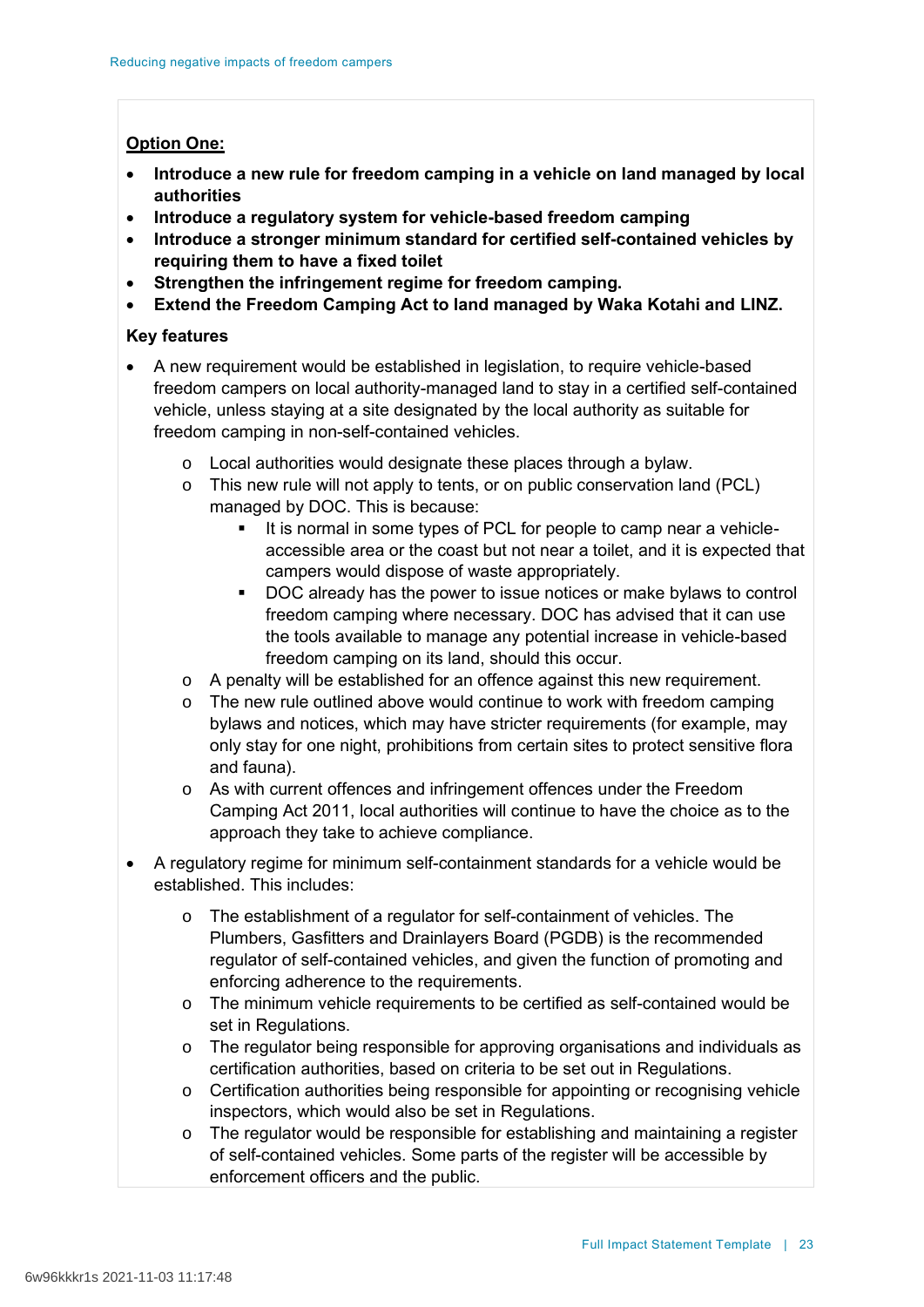## **Option One:**

- **Introduce a new rule for freedom camping in a vehicle on land managed by local authorities**
- **Introduce a regulatory system for vehicle-based freedom camping**
- **Introduce a stronger minimum standard for certified self-contained vehicles by requiring them to have a fixed toilet**
- **Strengthen the infringement regime for freedom camping.**
- **Extend the Freedom Camping Act to land managed by Waka Kotahi and LINZ.**

## **Key features**

- A new requirement would be established in legislation, to require vehicle-based freedom campers on local authority-managed land to stay in a certified self-contained vehicle, unless staying at a site designated by the local authority as suitable for freedom camping in non-self-contained vehicles.
	- o Local authorities would designate these places through a bylaw.
	- o This new rule will not apply to tents, or on public conservation land (PCL) managed by DOC. This is because:
		- It is normal in some types of PCL for people to camp near a vehicleaccessible area or the coast but not near a toilet, and it is expected that campers would dispose of waste appropriately.
		- DOC already has the power to issue notices or make bylaws to control freedom camping where necessary. DOC has advised that it can use the tools available to manage any potential increase in vehicle-based freedom camping on its land, should this occur.
	- o A penalty will be established for an offence against this new requirement.
	- $\circ$  The new rule outlined above would continue to work with freedom camping bylaws and notices, which may have stricter requirements (for example, may only stay for one night, prohibitions from certain sites to protect sensitive flora and fauna).
	- o As with current offences and infringement offences under the Freedom Camping Act 2011, local authorities will continue to have the choice as to the approach they take to achieve compliance.
- A regulatory regime for minimum self-containment standards for a vehicle would be established. This includes:
	- o The establishment of a regulator for self-containment of vehicles. The Plumbers, Gasfitters and Drainlayers Board (PGDB) is the recommended regulator of self-contained vehicles, and given the function of promoting and enforcing adherence to the requirements.
	- $\circ$  The minimum vehicle requirements to be certified as self-contained would be set in Regulations.
	- o The regulator being responsible for approving organisations and individuals as certification authorities, based on criteria to be set out in Regulations.
	- o Certification authorities being responsible for appointing or recognising vehicle inspectors, which would also be set in Regulations.
	- o The regulator would be responsible for establishing and maintaining a register of self-contained vehicles. Some parts of the register will be accessible by enforcement officers and the public.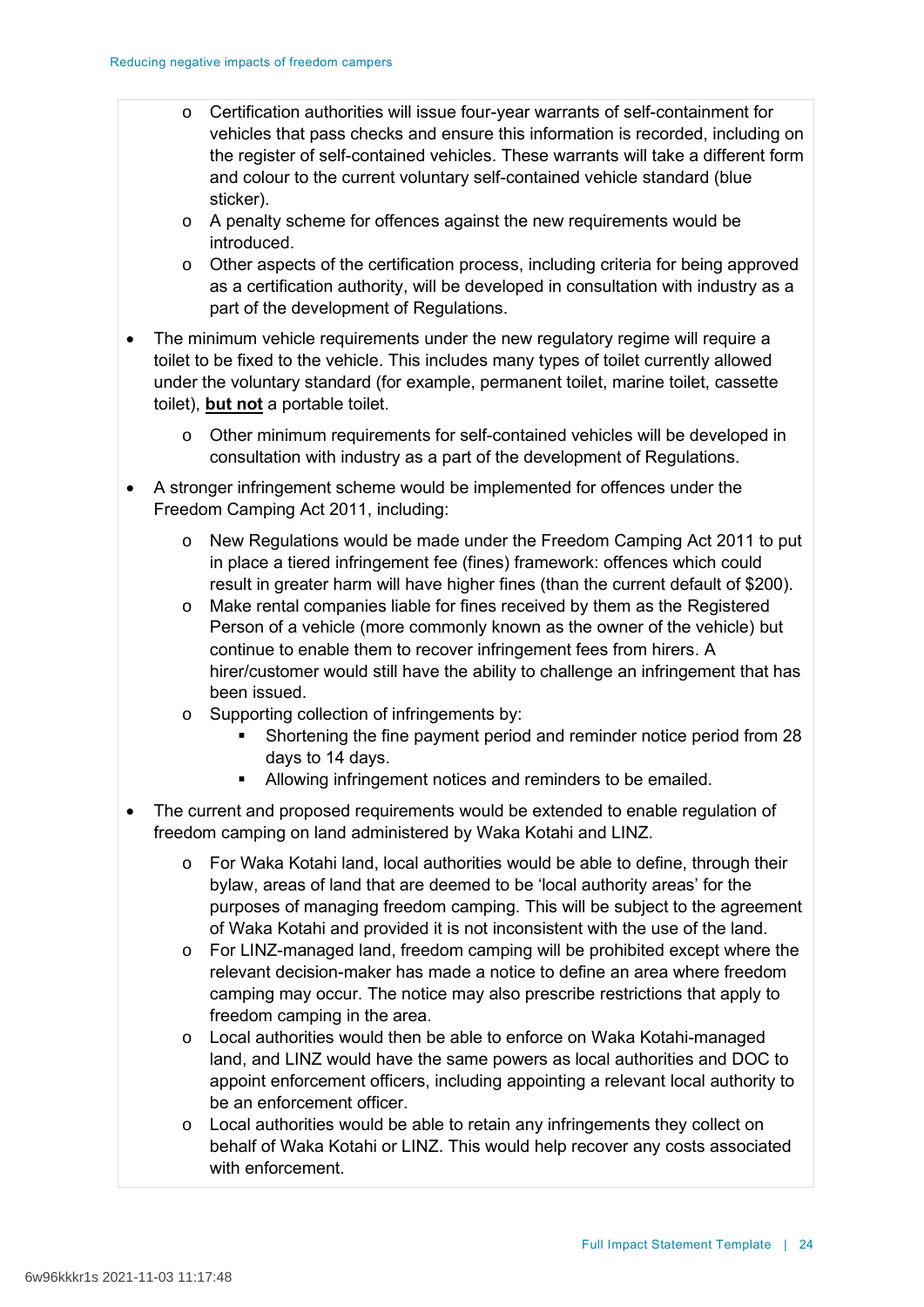- o Certification authorities will issue four-year warrants of self-containment for vehicles that pass checks and ensure this information is recorded, including on the register of self-contained vehicles. These warrants will take a different form and colour to the current voluntary self-contained vehicle standard (blue sticker).
- o A penalty scheme for offences against the new requirements would be introduced.
- $\circ$  Other aspects of the certification process, including criteria for being approved as a certification authority, will be developed in consultation with industry as a part of the development of Regulations.
- The minimum vehicle requirements under the new regulatory regime will require a toilet to be fixed to the vehicle. This includes many types of toilet currently allowed under the voluntary standard (for example, permanent toilet, marine toilet, cassette toilet), **but not** a portable toilet.
	- o Other minimum requirements for self-contained vehicles will be developed in consultation with industry as a part of the development of Regulations.
- A stronger infringement scheme would be implemented for offences under the Freedom Camping Act 2011, including:
	- o New Regulations would be made under the Freedom Camping Act 2011 to put in place a tiered infringement fee (fines) framework: offences which could result in greater harm will have higher fines (than the current default of \$200).
	- o Make rental companies liable for fines received by them as the Registered Person of a vehicle (more commonly known as the owner of the vehicle) but continue to enable them to recover infringement fees from hirers. A hirer/customer would still have the ability to challenge an infringement that has been issued.
	- o Supporting collection of infringements by:
		- Shortening the fine payment period and reminder notice period from 28 days to 14 days.
		- Allowing infringement notices and reminders to be emailed.
- The current and proposed requirements would be extended to enable regulation of freedom camping on land administered by Waka Kotahi and LINZ.
	- $\circ$  For Waka Kotahi land, local authorities would be able to define, through their bylaw, areas of land that are deemed to be 'local authority areas' for the purposes of managing freedom camping. This will be subject to the agreement of Waka Kotahi and provided it is not inconsistent with the use of the land.
	- $\circ$  For LINZ-managed land, freedom camping will be prohibited except where the relevant decision-maker has made a notice to define an area where freedom camping may occur. The notice may also prescribe restrictions that apply to freedom camping in the area.
	- o Local authorities would then be able to enforce on Waka Kotahi-managed land, and LINZ would have the same powers as local authorities and DOC to appoint enforcement officers, including appointing a relevant local authority to be an enforcement officer.
	- o Local authorities would be able to retain any infringements they collect on behalf of Waka Kotahi or LINZ. This would help recover any costs associated with enforcement.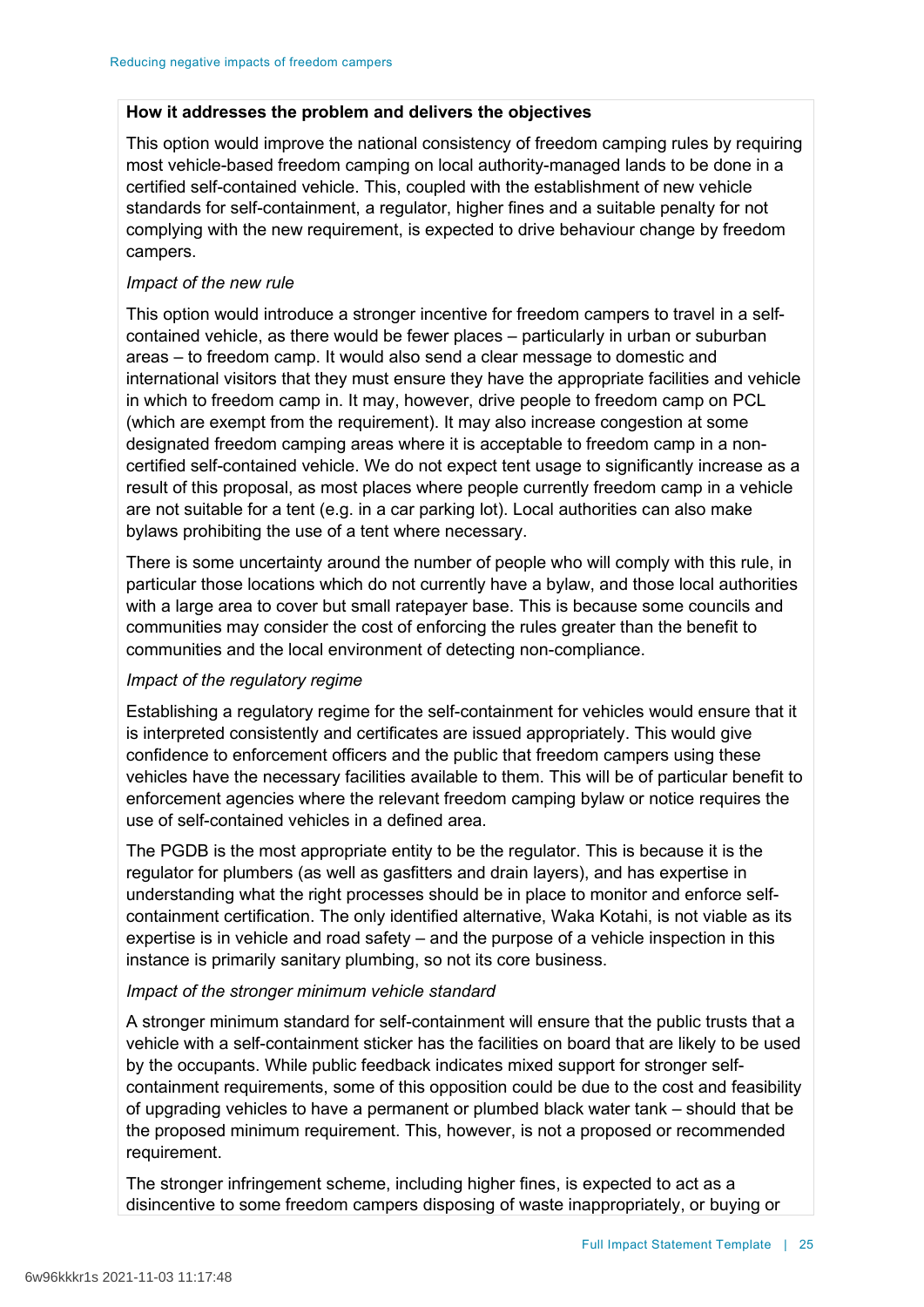### **How it addresses the problem and delivers the objectives**

This option would improve the national consistency of freedom camping rules by requiring most vehicle-based freedom camping on local authority-managed lands to be done in a certified self-contained vehicle. This, coupled with the establishment of new vehicle standards for self-containment, a regulator, higher fines and a suitable penalty for not complying with the new requirement, is expected to drive behaviour change by freedom campers.

### *Impact of the new rule*

This option would introduce a stronger incentive for freedom campers to travel in a selfcontained vehicle, as there would be fewer places – particularly in urban or suburban areas – to freedom camp. It would also send a clear message to domestic and international visitors that they must ensure they have the appropriate facilities and vehicle in which to freedom camp in. It may, however, drive people to freedom camp on PCL (which are exempt from the requirement). It may also increase congestion at some designated freedom camping areas where it is acceptable to freedom camp in a noncertified self-contained vehicle. We do not expect tent usage to significantly increase as a result of this proposal, as most places where people currently freedom camp in a vehicle are not suitable for a tent (e.g. in a car parking lot). Local authorities can also make bylaws prohibiting the use of a tent where necessary.

There is some uncertainty around the number of people who will comply with this rule, in particular those locations which do not currently have a bylaw, and those local authorities with a large area to cover but small ratepayer base. This is because some councils and communities may consider the cost of enforcing the rules greater than the benefit to communities and the local environment of detecting non-compliance.

### *Impact of the regulatory regime*

Establishing a regulatory regime for the self-containment for vehicles would ensure that it is interpreted consistently and certificates are issued appropriately. This would give confidence to enforcement officers and the public that freedom campers using these vehicles have the necessary facilities available to them. This will be of particular benefit to enforcement agencies where the relevant freedom camping bylaw or notice requires the use of self-contained vehicles in a defined area.

The PGDB is the most appropriate entity to be the regulator. This is because it is the regulator for plumbers (as well as gasfitters and drain layers), and has expertise in understanding what the right processes should be in place to monitor and enforce selfcontainment certification. The only identified alternative, Waka Kotahi, is not viable as its expertise is in vehicle and road safety – and the purpose of a vehicle inspection in this instance is primarily sanitary plumbing, so not its core business.

### *Impact of the stronger minimum vehicle standard*

A stronger minimum standard for self-containment will ensure that the public trusts that a vehicle with a self-containment sticker has the facilities on board that are likely to be used by the occupants. While public feedback indicates mixed support for stronger selfcontainment requirements, some of this opposition could be due to the cost and feasibility of upgrading vehicles to have a permanent or plumbed black water tank – should that be the proposed minimum requirement. This, however, is not a proposed or recommended requirement.

The stronger infringement scheme, including higher fines, is expected to act as a disincentive to some freedom campers disposing of waste inappropriately, or buying or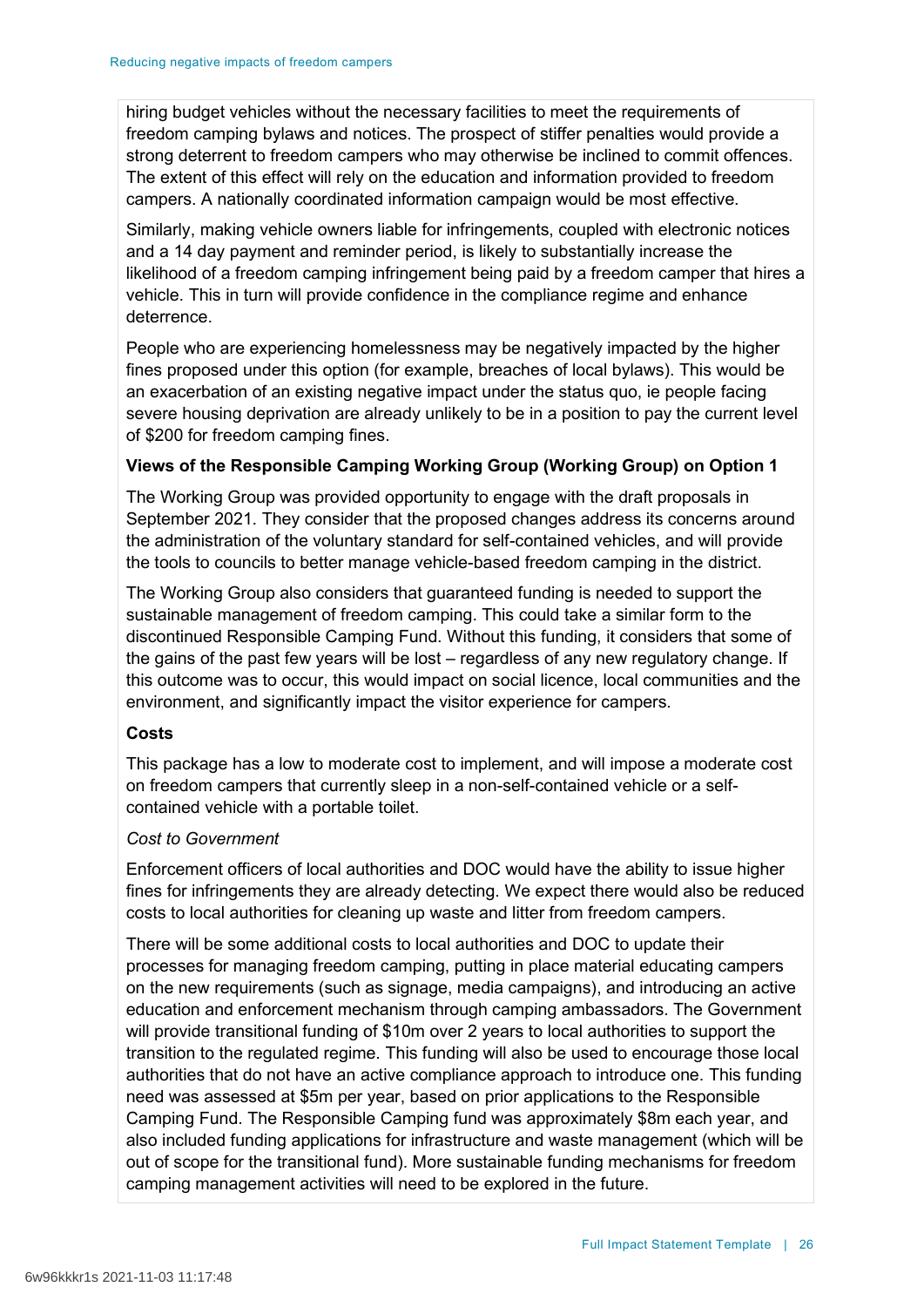hiring budget vehicles without the necessary facilities to meet the requirements of freedom camping bylaws and notices. The prospect of stiffer penalties would provide a strong deterrent to freedom campers who may otherwise be inclined to commit offences. The extent of this effect will rely on the education and information provided to freedom campers. A nationally coordinated information campaign would be most effective.

Similarly, making vehicle owners liable for infringements, coupled with electronic notices and a 14 day payment and reminder period, is likely to substantially increase the likelihood of a freedom camping infringement being paid by a freedom camper that hires a vehicle. This in turn will provide confidence in the compliance regime and enhance deterrence.

People who are experiencing homelessness may be negatively impacted by the higher fines proposed under this option (for example, breaches of local bylaws). This would be an exacerbation of an existing negative impact under the status quo, ie people facing severe housing deprivation are already unlikely to be in a position to pay the current level of \$200 for freedom camping fines.

## **Views of the Responsible Camping Working Group (Working Group) on Option 1**

The Working Group was provided opportunity to engage with the draft proposals in September 2021. They consider that the proposed changes address its concerns around the administration of the voluntary standard for self-contained vehicles, and will provide the tools to councils to better manage vehicle-based freedom camping in the district.

The Working Group also considers that guaranteed funding is needed to support the sustainable management of freedom camping. This could take a similar form to the discontinued Responsible Camping Fund. Without this funding, it considers that some of the gains of the past few years will be lost – regardless of any new regulatory change. If this outcome was to occur, this would impact on social licence, local communities and the environment, and significantly impact the visitor experience for campers.

### **Costs**

This package has a low to moderate cost to implement, and will impose a moderate cost on freedom campers that currently sleep in a non-self-contained vehicle or a selfcontained vehicle with a portable toilet.

### *Cost to Government*

Enforcement officers of local authorities and DOC would have the ability to issue higher fines for infringements they are already detecting. We expect there would also be reduced costs to local authorities for cleaning up waste and litter from freedom campers.

There will be some additional costs to local authorities and DOC to update their processes for managing freedom camping, putting in place material educating campers on the new requirements (such as signage, media campaigns), and introducing an active education and enforcement mechanism through camping ambassadors. The Government will provide transitional funding of \$10m over 2 years to local authorities to support the transition to the regulated regime. This funding will also be used to encourage those local authorities that do not have an active compliance approach to introduce one. This funding need was assessed at \$5m per year, based on prior applications to the Responsible Camping Fund. The Responsible Camping fund was approximately \$8m each year, and also included funding applications for infrastructure and waste management (which will be out of scope for the transitional fund). More sustainable funding mechanisms for freedom camping management activities will need to be explored in the future.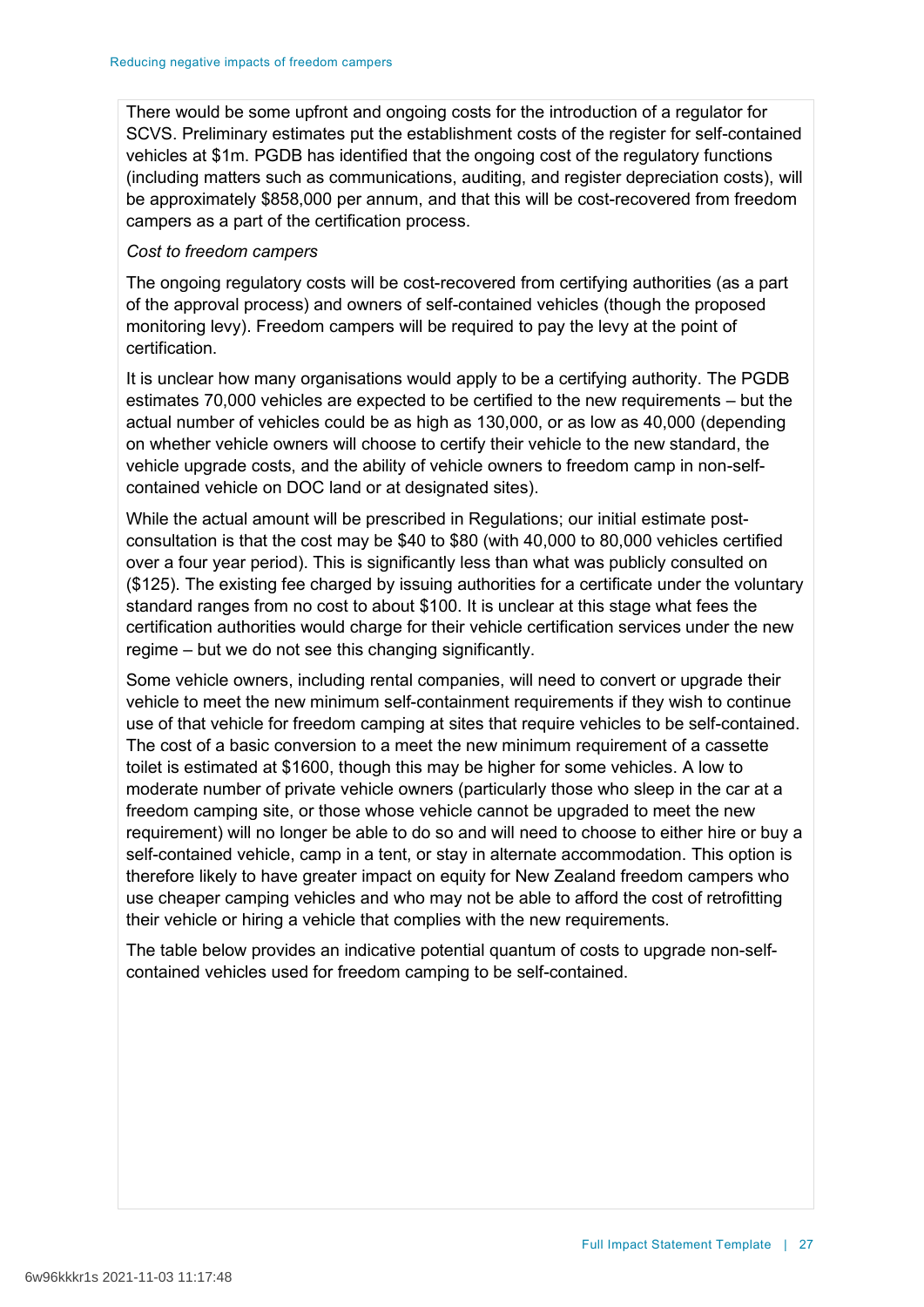There would be some upfront and ongoing costs for the introduction of a regulator for SCVS. Preliminary estimates put the establishment costs of the register for self-contained vehicles at \$1m. PGDB has identified that the ongoing cost of the regulatory functions (including matters such as communications, auditing, and register depreciation costs), will be approximately \$858,000 per annum, and that this will be cost-recovered from freedom campers as a part of the certification process.

### *Cost to freedom campers*

The ongoing regulatory costs will be cost-recovered from certifying authorities (as a part of the approval process) and owners of self-contained vehicles (though the proposed monitoring levy). Freedom campers will be required to pay the levy at the point of certification.

It is unclear how many organisations would apply to be a certifying authority. The PGDB estimates 70,000 vehicles are expected to be certified to the new requirements – but the actual number of vehicles could be as high as 130,000, or as low as 40,000 (depending on whether vehicle owners will choose to certify their vehicle to the new standard, the vehicle upgrade costs, and the ability of vehicle owners to freedom camp in non-selfcontained vehicle on DOC land or at designated sites).

While the actual amount will be prescribed in Regulations; our initial estimate postconsultation is that the cost may be \$40 to \$80 (with 40,000 to 80,000 vehicles certified over a four year period). This is significantly less than what was publicly consulted on (\$125). The existing fee charged by issuing authorities for a certificate under the voluntary standard ranges from no cost to about \$100. It is unclear at this stage what fees the certification authorities would charge for their vehicle certification services under the new regime – but we do not see this changing significantly.

Some vehicle owners, including rental companies, will need to convert or upgrade their vehicle to meet the new minimum self-containment requirements if they wish to continue use of that vehicle for freedom camping at sites that require vehicles to be self-contained. The cost of a basic conversion to a meet the new minimum requirement of a cassette toilet is estimated at \$1600, though this may be higher for some vehicles. A low to moderate number of private vehicle owners (particularly those who sleep in the car at a freedom camping site, or those whose vehicle cannot be upgraded to meet the new requirement) will no longer be able to do so and will need to choose to either hire or buy a self-contained vehicle, camp in a tent, or stay in alternate accommodation. This option is therefore likely to have greater impact on equity for New Zealand freedom campers who use cheaper camping vehicles and who may not be able to afford the cost of retrofitting their vehicle or hiring a vehicle that complies with the new requirements.

The table below provides an indicative potential quantum of costs to upgrade non-selfcontained vehicles used for freedom camping to be self-contained.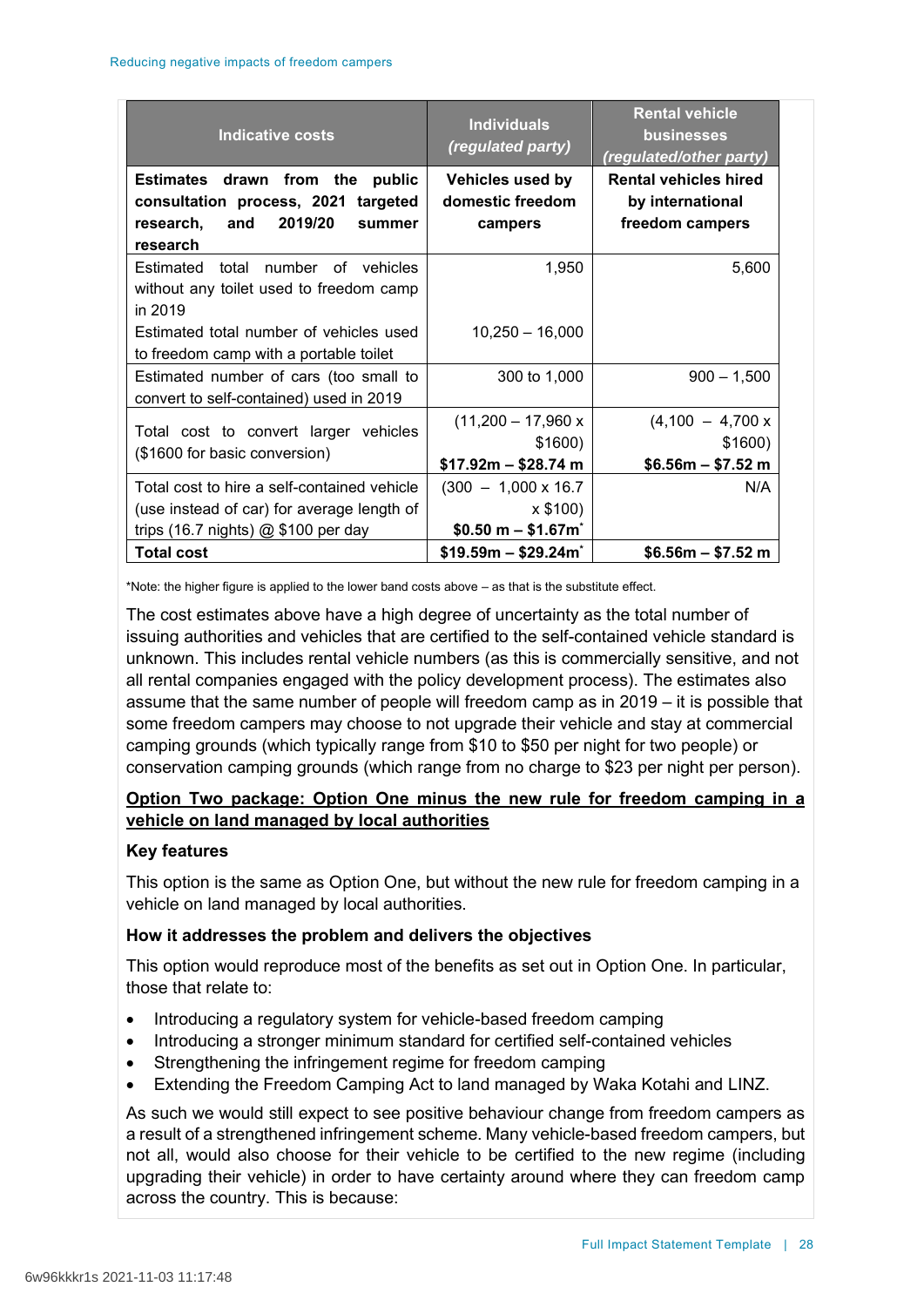| Indicative costs                                                                                                                   | <b>Individuals</b><br>(regulated party)                      | <b>Rental vehicle</b><br><b>businesses</b><br>(regulated/other party) |
|------------------------------------------------------------------------------------------------------------------------------------|--------------------------------------------------------------|-----------------------------------------------------------------------|
| Estimates drawn from the public<br>consultation process, 2021 targeted<br>2019/20<br>research,<br>and<br>summer<br>research        | <b>Vehicles used by</b><br>domestic freedom<br>campers       | <b>Rental vehicles hired</b><br>by international<br>freedom campers   |
| Estimated total number of vehicles<br>without any toilet used to freedom camp<br>in 2019                                           | 1,950                                                        | 5,600                                                                 |
| Estimated total number of vehicles used<br>to freedom camp with a portable toilet                                                  | $10,250 - 16,000$                                            |                                                                       |
| Estimated number of cars (too small to<br>convert to self-contained) used in 2019                                                  | 300 to 1,000                                                 | $900 - 1,500$                                                         |
| Total cost to convert larger vehicles<br>(\$1600 for basic conversion)                                                             | $(11,200 - 17,960 x$<br>\$1600)<br>$$17.92m - $28.74 m$      | $(4,100 - 4,700 x)$<br>\$1600)<br>$$6.56m - $7.52m$                   |
| Total cost to hire a self-contained vehicle<br>(use instead of car) for average length of<br>trips (16.7 nights) $@$ \$100 per day | $(300 - 1,000 \times 16.7)$<br>x \$100<br>$$0.50 m - $1.67m$ | N/A                                                                   |
| <b>Total cost</b>                                                                                                                  | $$19.59m - $29.24m$                                          | $$6.56m - $7.52m$                                                     |

\*Note: the higher figure is applied to the lower band costs above – as that is the substitute effect.

The cost estimates above have a high degree of uncertainty as the total number of issuing authorities and vehicles that are certified to the self-contained vehicle standard is unknown. This includes rental vehicle numbers (as this is commercially sensitive, and not all rental companies engaged with the policy development process). The estimates also assume that the same number of people will freedom camp as in 2019 – it is possible that some freedom campers may choose to not upgrade their vehicle and stay at commercial camping grounds (which typically range from \$10 to \$50 per night for two people) or conservation camping grounds (which range from no charge to \$23 per night per person).

# **Option Two package: Option One minus the new rule for freedom camping in a vehicle on land managed by local authorities**

## **Key features**

This option is the same as Option One, but without the new rule for freedom camping in a vehicle on land managed by local authorities.

# **How it addresses the problem and delivers the objectives**

This option would reproduce most of the benefits as set out in Option One. In particular, those that relate to:

- Introducing a regulatory system for vehicle-based freedom camping
- Introducing a stronger minimum standard for certified self-contained vehicles
- Strengthening the infringement regime for freedom camping
- Extending the Freedom Camping Act to land managed by Waka Kotahi and LINZ.

As such we would still expect to see positive behaviour change from freedom campers as a result of a strengthened infringement scheme. Many vehicle-based freedom campers, but not all, would also choose for their vehicle to be certified to the new regime (including upgrading their vehicle) in order to have certainty around where they can freedom camp across the country. This is because: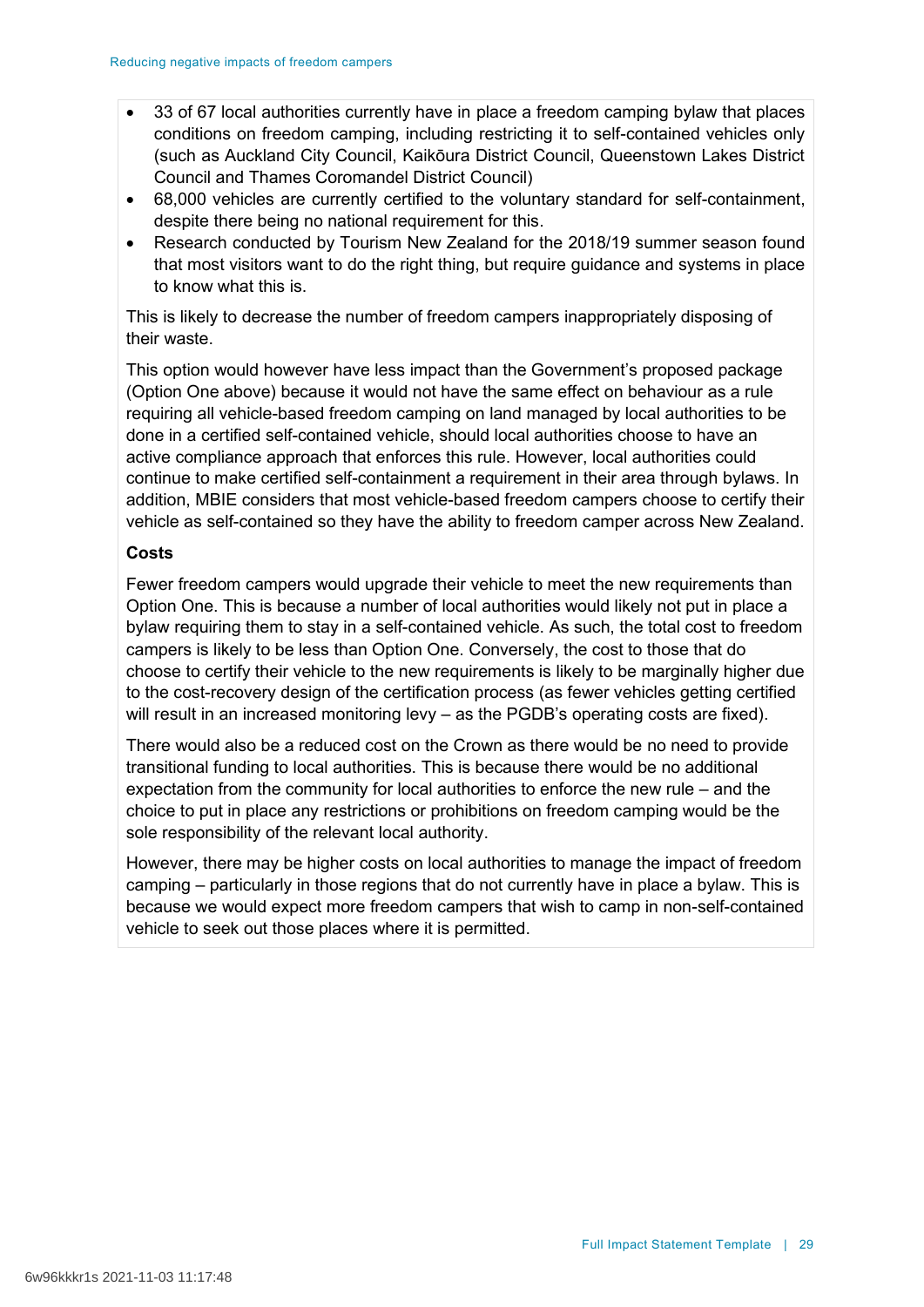- 33 of 67 local authorities currently have in place a freedom camping bylaw that places conditions on freedom camping, including restricting it to self-contained vehicles only (such as Auckland City Council, Kaikōura District Council, Queenstown Lakes District Council and Thames Coromandel District Council)
- 68,000 vehicles are currently certified to the voluntary standard for self-containment, despite there being no national requirement for this.
- Research conducted by Tourism New Zealand for the 2018/19 summer season found that most visitors want to do the right thing, but require guidance and systems in place to know what this is.

This is likely to decrease the number of freedom campers inappropriately disposing of their waste.

This option would however have less impact than the Government's proposed package (Option One above) because it would not have the same effect on behaviour as a rule requiring all vehicle-based freedom camping on land managed by local authorities to be done in a certified self-contained vehicle, should local authorities choose to have an active compliance approach that enforces this rule. However, local authorities could continue to make certified self-containment a requirement in their area through bylaws. In addition, MBIE considers that most vehicle-based freedom campers choose to certify their vehicle as self-contained so they have the ability to freedom camper across New Zealand.

### **Costs**

Fewer freedom campers would upgrade their vehicle to meet the new requirements than Option One. This is because a number of local authorities would likely not put in place a bylaw requiring them to stay in a self-contained vehicle. As such, the total cost to freedom campers is likely to be less than Option One. Conversely, the cost to those that do choose to certify their vehicle to the new requirements is likely to be marginally higher due to the cost-recovery design of the certification process (as fewer vehicles getting certified will result in an increased monitoring levy – as the PGDB's operating costs are fixed).

There would also be a reduced cost on the Crown as there would be no need to provide transitional funding to local authorities. This is because there would be no additional expectation from the community for local authorities to enforce the new rule – and the choice to put in place any restrictions or prohibitions on freedom camping would be the sole responsibility of the relevant local authority.

However, there may be higher costs on local authorities to manage the impact of freedom camping – particularly in those regions that do not currently have in place a bylaw. This is because we would expect more freedom campers that wish to camp in non-self-contained vehicle to seek out those places where it is permitted.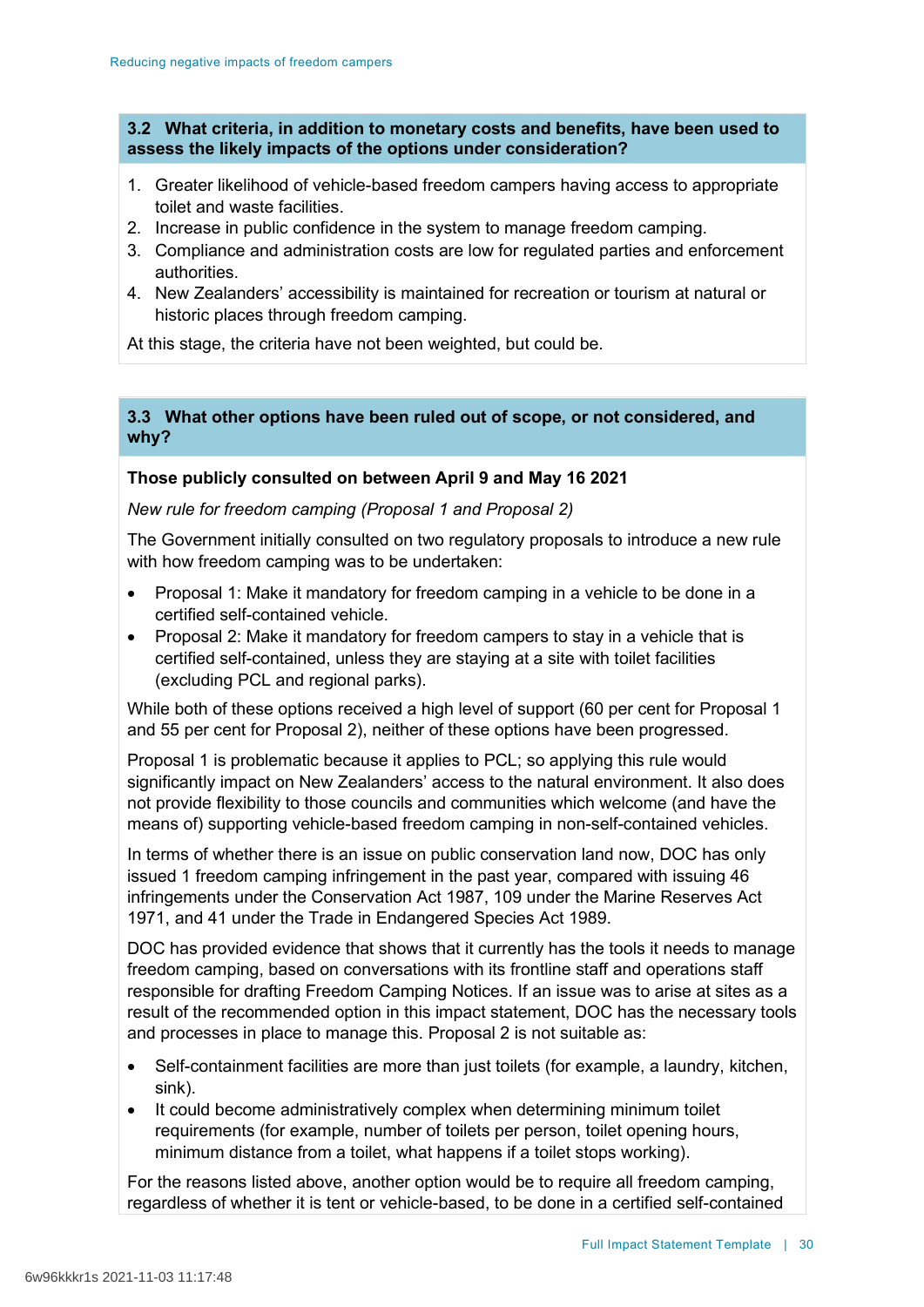### **3.2 What criteria, in addition to monetary costs and benefits, have been used to assess the likely impacts of the options under consideration?**

- 1. Greater likelihood of vehicle-based freedom campers having access to appropriate toilet and waste facilities.
- 2. Increase in public confidence in the system to manage freedom camping.
- 3. Compliance and administration costs are low for regulated parties and enforcement authorities.
- 4. New Zealanders' accessibility is maintained for recreation or tourism at natural or historic places through freedom camping.

At this stage, the criteria have not been weighted, but could be.

### **3.3 What other options have been ruled out of scope, or not considered, and why?**

## **Those publicly consulted on between April 9 and May 16 2021**

*New rule for freedom camping (Proposal 1 and Proposal 2)*

The Government initially consulted on two regulatory proposals to introduce a new rule with how freedom camping was to be undertaken:

- Proposal 1: Make it mandatory for freedom camping in a vehicle to be done in a certified self-contained vehicle.
- Proposal 2: Make it mandatory for freedom campers to stay in a vehicle that is certified self-contained, unless they are staying at a site with toilet facilities (excluding PCL and regional parks).

While both of these options received a high level of support (60 per cent for Proposal 1 and 55 per cent for Proposal 2), neither of these options have been progressed.

Proposal 1 is problematic because it applies to PCL; so applying this rule would significantly impact on New Zealanders' access to the natural environment. It also does not provide flexibility to those councils and communities which welcome (and have the means of) supporting vehicle-based freedom camping in non-self-contained vehicles.

In terms of whether there is an issue on public conservation land now, DOC has only issued 1 freedom camping infringement in the past year, compared with issuing 46 infringements under the Conservation Act 1987, 109 under the Marine Reserves Act 1971, and 41 under the Trade in Endangered Species Act 1989.

DOC has provided evidence that shows that it currently has the tools it needs to manage freedom camping, based on conversations with its frontline staff and operations staff responsible for drafting Freedom Camping Notices. If an issue was to arise at sites as a result of the recommended option in this impact statement, DOC has the necessary tools and processes in place to manage this. Proposal 2 is not suitable as:

- Self-containment facilities are more than just toilets (for example, a laundry, kitchen, sink).
- It could become administratively complex when determining minimum toilet requirements (for example, number of toilets per person, toilet opening hours, minimum distance from a toilet, what happens if a toilet stops working).

For the reasons listed above, another option would be to require all freedom camping, regardless of whether it is tent or vehicle-based, to be done in a certified self-contained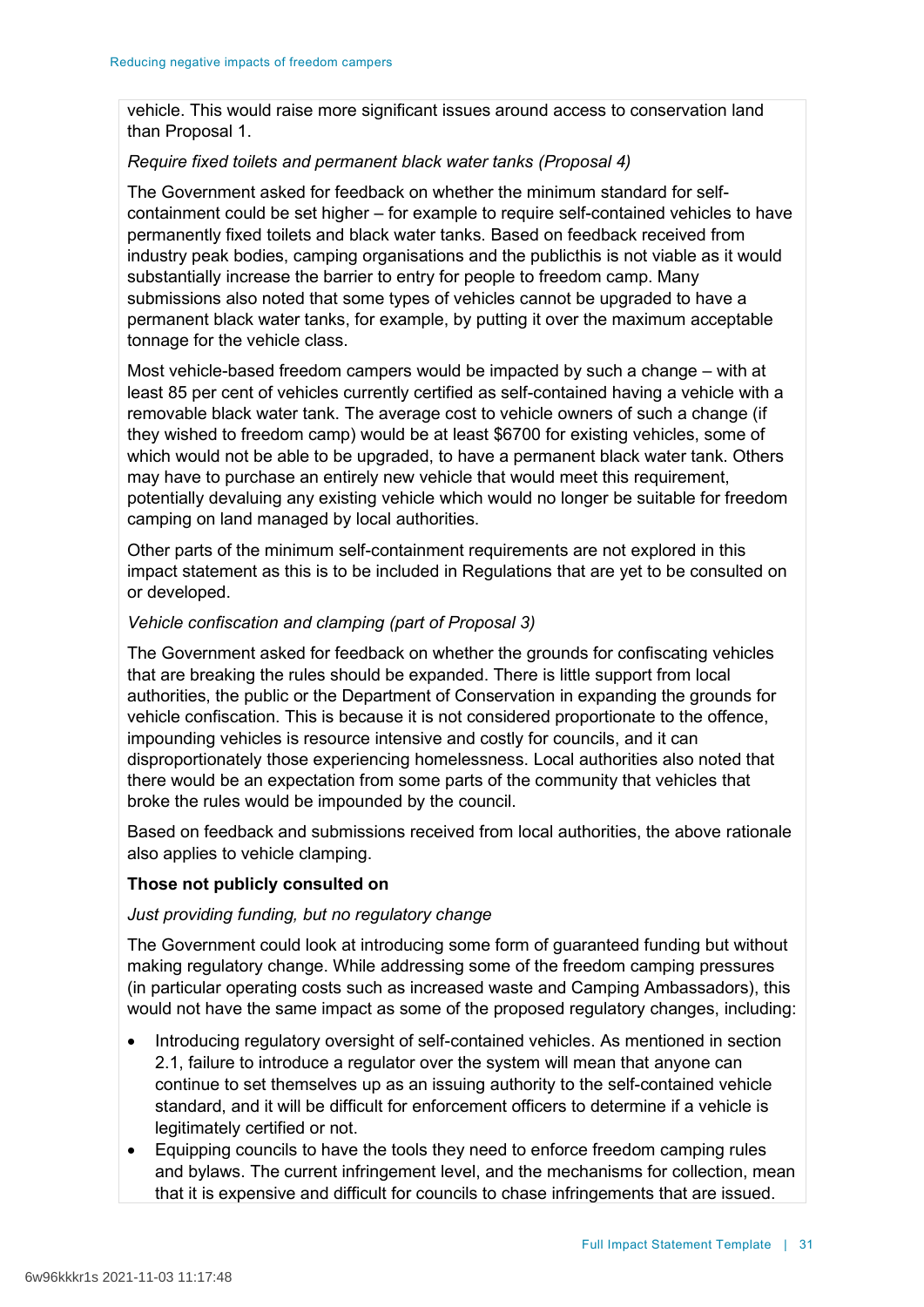vehicle. This would raise more significant issues around access to conservation land than Proposal 1.

### *Require fixed toilets and permanent black water tanks (Proposal 4)*

The Government asked for feedback on whether the minimum standard for selfcontainment could be set higher – for example to require self-contained vehicles to have permanently fixed toilets and black water tanks. Based on feedback received from industry peak bodies, camping organisations and the publicthis is not viable as it would substantially increase the barrier to entry for people to freedom camp. Many submissions also noted that some types of vehicles cannot be upgraded to have a permanent black water tanks, for example, by putting it over the maximum acceptable tonnage for the vehicle class.

Most vehicle-based freedom campers would be impacted by such a change – with at least 85 per cent of vehicles currently certified as self-contained having a vehicle with a removable black water tank. The average cost to vehicle owners of such a change (if they wished to freedom camp) would be at least \$6700 for existing vehicles, some of which would not be able to be upgraded, to have a permanent black water tank. Others may have to purchase an entirely new vehicle that would meet this requirement, potentially devaluing any existing vehicle which would no longer be suitable for freedom camping on land managed by local authorities.

Other parts of the minimum self-containment requirements are not explored in this impact statement as this is to be included in Regulations that are yet to be consulted on or developed.

### *Vehicle confiscation and clamping (part of Proposal 3)*

The Government asked for feedback on whether the grounds for confiscating vehicles that are breaking the rules should be expanded. There is little support from local authorities, the public or the Department of Conservation in expanding the grounds for vehicle confiscation. This is because it is not considered proportionate to the offence, impounding vehicles is resource intensive and costly for councils, and it can disproportionately those experiencing homelessness. Local authorities also noted that there would be an expectation from some parts of the community that vehicles that broke the rules would be impounded by the council.

Based on feedback and submissions received from local authorities, the above rationale also applies to vehicle clamping.

### **Those not publicly consulted on**

### *Just providing funding, but no regulatory change*

The Government could look at introducing some form of guaranteed funding but without making regulatory change. While addressing some of the freedom camping pressures (in particular operating costs such as increased waste and Camping Ambassadors), this would not have the same impact as some of the proposed regulatory changes, including:

- Introducing regulatory oversight of self-contained vehicles. As mentioned in section 2.1, failure to introduce a regulator over the system will mean that anyone can continue to set themselves up as an issuing authority to the self-contained vehicle standard, and it will be difficult for enforcement officers to determine if a vehicle is legitimately certified or not.
- Equipping councils to have the tools they need to enforce freedom camping rules and bylaws. The current infringement level, and the mechanisms for collection, mean that it is expensive and difficult for councils to chase infringements that are issued.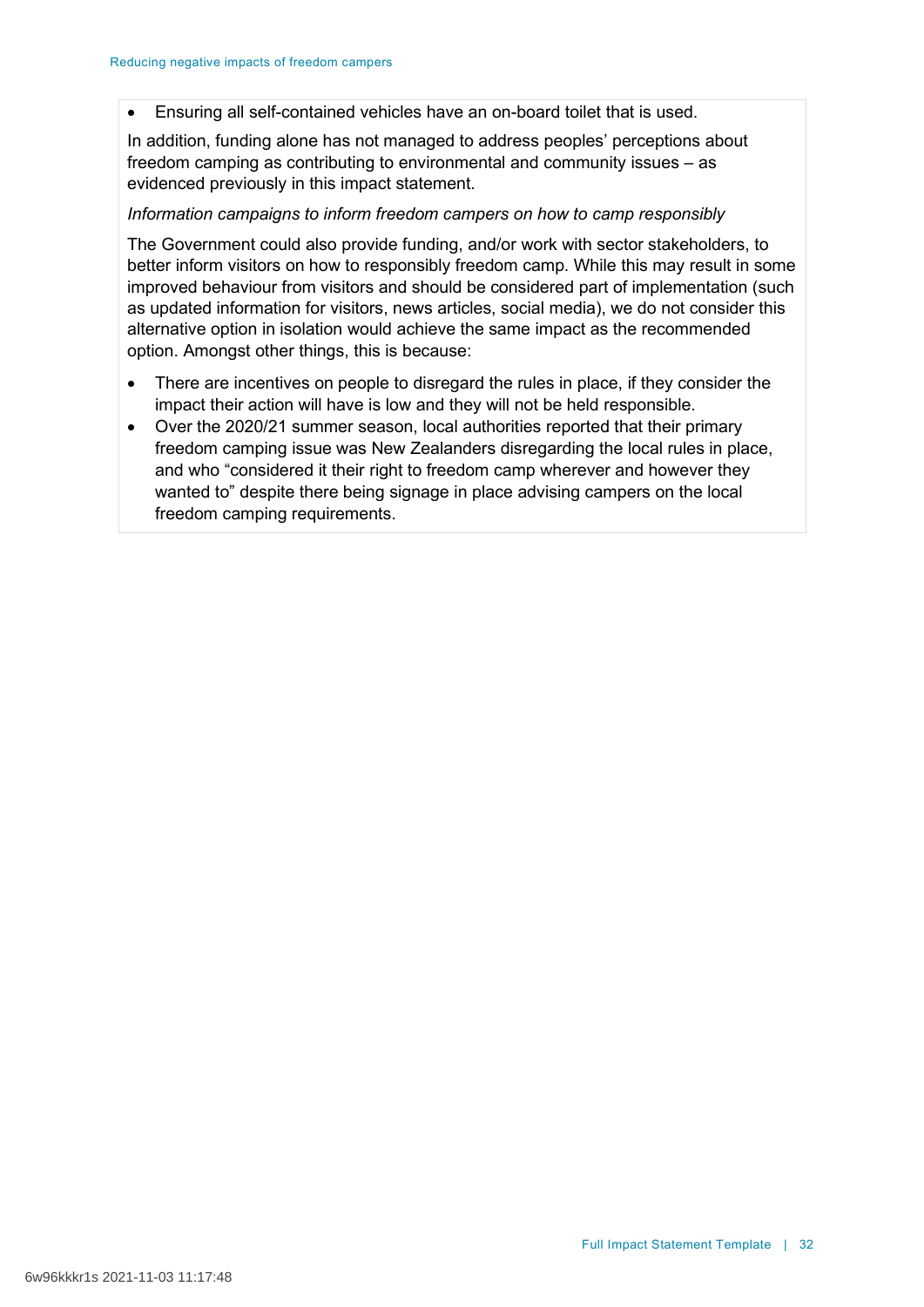• Ensuring all self-contained vehicles have an on-board toilet that is used.

In addition, funding alone has not managed to address peoples' perceptions about freedom camping as contributing to environmental and community issues – as evidenced previously in this impact statement.

### *Information campaigns to inform freedom campers on how to camp responsibly*

The Government could also provide funding, and/or work with sector stakeholders, to better inform visitors on how to responsibly freedom camp. While this may result in some improved behaviour from visitors and should be considered part of implementation (such as updated information for visitors, news articles, social media), we do not consider this alternative option in isolation would achieve the same impact as the recommended option. Amongst other things, this is because:

- There are incentives on people to disregard the rules in place, if they consider the impact their action will have is low and they will not be held responsible.
- Over the 2020/21 summer season, local authorities reported that their primary freedom camping issue was New Zealanders disregarding the local rules in place, and who "considered it their right to freedom camp wherever and however they wanted to" despite there being signage in place advising campers on the local freedom camping requirements.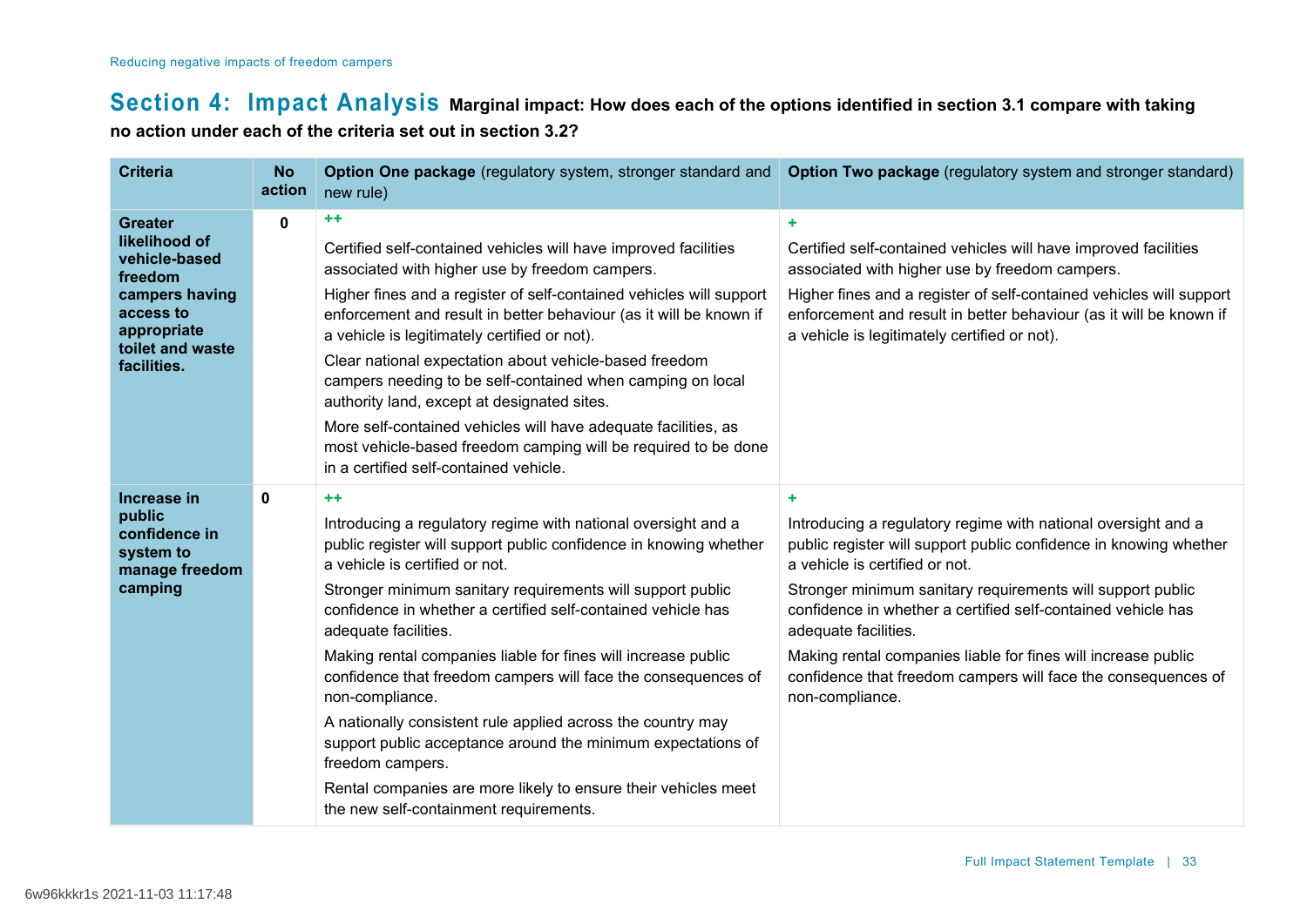# **Section 4: Impact Analysis Marginal impact: How does each of the options identified in section 3.1 compare with taking no action under each of the criteria set out in section 3.2?**

| <b>Criteria</b>                                                                                                                              | <b>No</b><br>action | Option One package (regulatory system, stronger standard and<br>new rule)                                                                                                                                                                                                                                                                                                                                                                                                                                                                                                                                                       | Option Two package (regulatory system and stronger standard)                                                                                                                                                                                                                                                         |
|----------------------------------------------------------------------------------------------------------------------------------------------|---------------------|---------------------------------------------------------------------------------------------------------------------------------------------------------------------------------------------------------------------------------------------------------------------------------------------------------------------------------------------------------------------------------------------------------------------------------------------------------------------------------------------------------------------------------------------------------------------------------------------------------------------------------|----------------------------------------------------------------------------------------------------------------------------------------------------------------------------------------------------------------------------------------------------------------------------------------------------------------------|
| <b>Greater</b><br>likelihood of<br>vehicle-based<br>freedom<br>campers having<br>access to<br>appropriate<br>toilet and waste<br>facilities. | $\mathbf 0$         | ++<br>Certified self-contained vehicles will have improved facilities<br>associated with higher use by freedom campers.<br>Higher fines and a register of self-contained vehicles will support<br>enforcement and result in better behaviour (as it will be known if<br>a vehicle is legitimately certified or not).<br>Clear national expectation about vehicle-based freedom<br>campers needing to be self-contained when camping on local<br>authority land, except at designated sites.<br>More self-contained vehicles will have adequate facilities, as<br>most vehicle-based freedom camping will be required to be done | ÷.<br>Certified self-contained vehicles will have improved facilities<br>associated with higher use by freedom campers.<br>Higher fines and a register of self-contained vehicles will support<br>enforcement and result in better behaviour (as it will be known if<br>a vehicle is legitimately certified or not). |
|                                                                                                                                              |                     | in a certified self-contained vehicle.                                                                                                                                                                                                                                                                                                                                                                                                                                                                                                                                                                                          |                                                                                                                                                                                                                                                                                                                      |
| Increase in<br>public<br>confidence in<br>system to<br>manage freedom                                                                        | 0                   | $++$<br>Introducing a regulatory regime with national oversight and a<br>public register will support public confidence in knowing whether<br>a vehicle is certified or not.                                                                                                                                                                                                                                                                                                                                                                                                                                                    | ÷<br>Introducing a regulatory regime with national oversight and a<br>public register will support public confidence in knowing whether<br>a vehicle is certified or not.                                                                                                                                            |
| camping                                                                                                                                      |                     | Stronger minimum sanitary requirements will support public<br>confidence in whether a certified self-contained vehicle has<br>adequate facilities.                                                                                                                                                                                                                                                                                                                                                                                                                                                                              | Stronger minimum sanitary requirements will support public<br>confidence in whether a certified self-contained vehicle has<br>adequate facilities.                                                                                                                                                                   |
|                                                                                                                                              |                     | Making rental companies liable for fines will increase public<br>confidence that freedom campers will face the consequences of<br>non-compliance.                                                                                                                                                                                                                                                                                                                                                                                                                                                                               | Making rental companies liable for fines will increase public<br>confidence that freedom campers will face the consequences of<br>non-compliance.                                                                                                                                                                    |
|                                                                                                                                              |                     | A nationally consistent rule applied across the country may<br>support public acceptance around the minimum expectations of<br>freedom campers.                                                                                                                                                                                                                                                                                                                                                                                                                                                                                 |                                                                                                                                                                                                                                                                                                                      |
|                                                                                                                                              |                     | Rental companies are more likely to ensure their vehicles meet<br>the new self-containment requirements.                                                                                                                                                                                                                                                                                                                                                                                                                                                                                                                        |                                                                                                                                                                                                                                                                                                                      |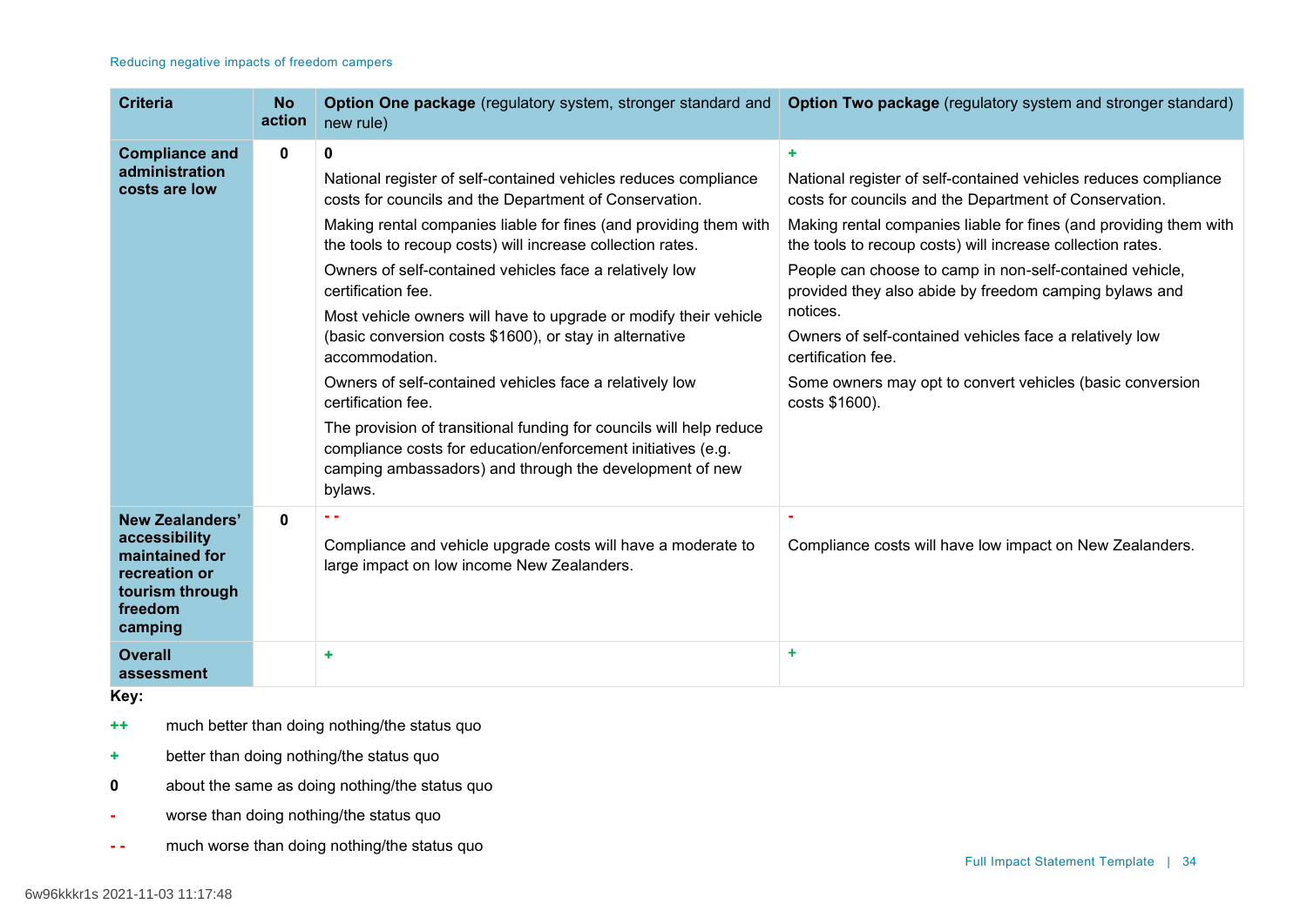| <b>Criteria</b>                                                                                              | <b>No</b><br>action | Option One package (regulatory system, stronger standard and<br>new rule)                                                                                                                                 | Option Two package (regulatory system and stronger standard)                                                                    |
|--------------------------------------------------------------------------------------------------------------|---------------------|-----------------------------------------------------------------------------------------------------------------------------------------------------------------------------------------------------------|---------------------------------------------------------------------------------------------------------------------------------|
| <b>Compliance and</b>                                                                                        | 0                   | 0                                                                                                                                                                                                         | ٠                                                                                                                               |
| administration<br>costs are low                                                                              |                     | National register of self-contained vehicles reduces compliance<br>costs for councils and the Department of Conservation.                                                                                 | National register of self-contained vehicles reduces compliance<br>costs for councils and the Department of Conservation.       |
|                                                                                                              |                     | Making rental companies liable for fines (and providing them with<br>the tools to recoup costs) will increase collection rates.                                                                           | Making rental companies liable for fines (and providing them with<br>the tools to recoup costs) will increase collection rates. |
|                                                                                                              |                     | Owners of self-contained vehicles face a relatively low<br>certification fee.                                                                                                                             | People can choose to camp in non-self-contained vehicle,<br>provided they also abide by freedom camping bylaws and              |
|                                                                                                              |                     | Most vehicle owners will have to upgrade or modify their vehicle<br>(basic conversion costs \$1600), or stay in alternative<br>accommodation.                                                             | notices.<br>Owners of self-contained vehicles face a relatively low<br>certification fee.                                       |
|                                                                                                              |                     | Owners of self-contained vehicles face a relatively low<br>certification fee.                                                                                                                             | Some owners may opt to convert vehicles (basic conversion<br>costs \$1600).                                                     |
|                                                                                                              |                     | The provision of transitional funding for councils will help reduce<br>compliance costs for education/enforcement initiatives (e.g.<br>camping ambassadors) and through the development of new<br>bylaws. |                                                                                                                                 |
| New Zealanders'<br>accessibility<br>maintained for<br>recreation or<br>tourism through<br>freedom<br>camping | 0                   | Compliance and vehicle upgrade costs will have a moderate to<br>large impact on low income New Zealanders.                                                                                                | Compliance costs will have low impact on New Zealanders.                                                                        |
| <b>Overall</b><br>assessment                                                                                 |                     | ٠                                                                                                                                                                                                         | ÷                                                                                                                               |

**Key:**

**++** much better than doing nothing/the status quo

- **+** better than doing nothing/the status quo
- **0** about the same as doing nothing/the status quo
- **-** worse than doing nothing/the status quo
- **- -** much worse than doing nothing/the status quo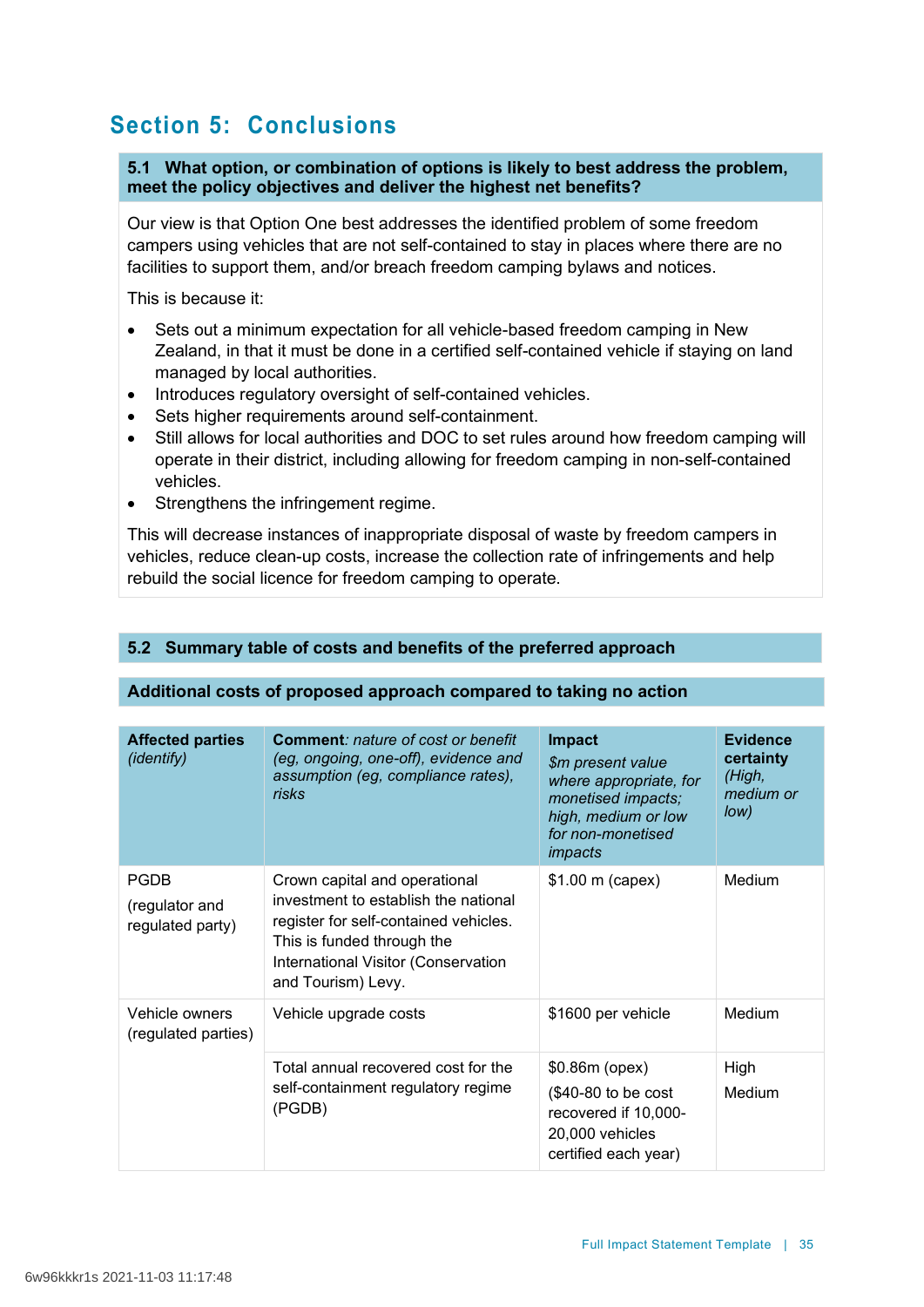# **Section 5: Conclusions**

**5.1 What option, or combination of options is likely to best address the problem, meet the policy objectives and deliver the highest net benefits?**

Our view is that Option One best addresses the identified problem of some freedom campers using vehicles that are not self-contained to stay in places where there are no facilities to support them, and/or breach freedom camping bylaws and notices.

This is because it:

- Sets out a minimum expectation for all vehicle-based freedom camping in New Zealand, in that it must be done in a certified self-contained vehicle if staying on land managed by local authorities.
- Introduces regulatory oversight of self-contained vehicles.
- Sets higher requirements around self-containment.
- Still allows for local authorities and DOC to set rules around how freedom camping will operate in their district, including allowing for freedom camping in non-self-contained vehicles.
- Strengthens the infringement regime.

This will decrease instances of inappropriate disposal of waste by freedom campers in vehicles, reduce clean-up costs, increase the collection rate of infringements and help rebuild the social licence for freedom camping to operate.

# **5.2 Summary table of costs and benefits of the preferred approach**

## **Additional costs of proposed approach compared to taking no action**

| <b>Affected parties</b><br>(identify)             | <b>Comment: nature of cost or benefit</b><br>(eg, ongoing, one-off), evidence and<br>assumption (eg, compliance rates),<br>risks                                                                          | <b>Impact</b><br>\$m present value<br>where appropriate, for<br>monetised impacts;<br>high, medium or low<br>for non-monetised<br>impacts | <b>Evidence</b><br>certainty<br>(High,<br>medium or<br>low) |
|---------------------------------------------------|-----------------------------------------------------------------------------------------------------------------------------------------------------------------------------------------------------------|-------------------------------------------------------------------------------------------------------------------------------------------|-------------------------------------------------------------|
| <b>PGDB</b><br>(regulator and<br>regulated party) | Crown capital and operational<br>investment to establish the national<br>register for self-contained vehicles.<br>This is funded through the<br>International Visitor (Conservation<br>and Tourism) Levy. | \$1.00 m (capex)                                                                                                                          | Medium                                                      |
| Vehicle owners<br>(regulated parties)             | Vehicle upgrade costs                                                                                                                                                                                     | \$1600 per vehicle                                                                                                                        | Medium                                                      |
|                                                   | Total annual recovered cost for the<br>self-containment regulatory regime<br>(PGDB)                                                                                                                       | \$0.86m (opex)<br>$$40-80$ to be cost<br>recovered if 10,000-<br>20,000 vehicles<br>certified each year)                                  | High<br>Medium                                              |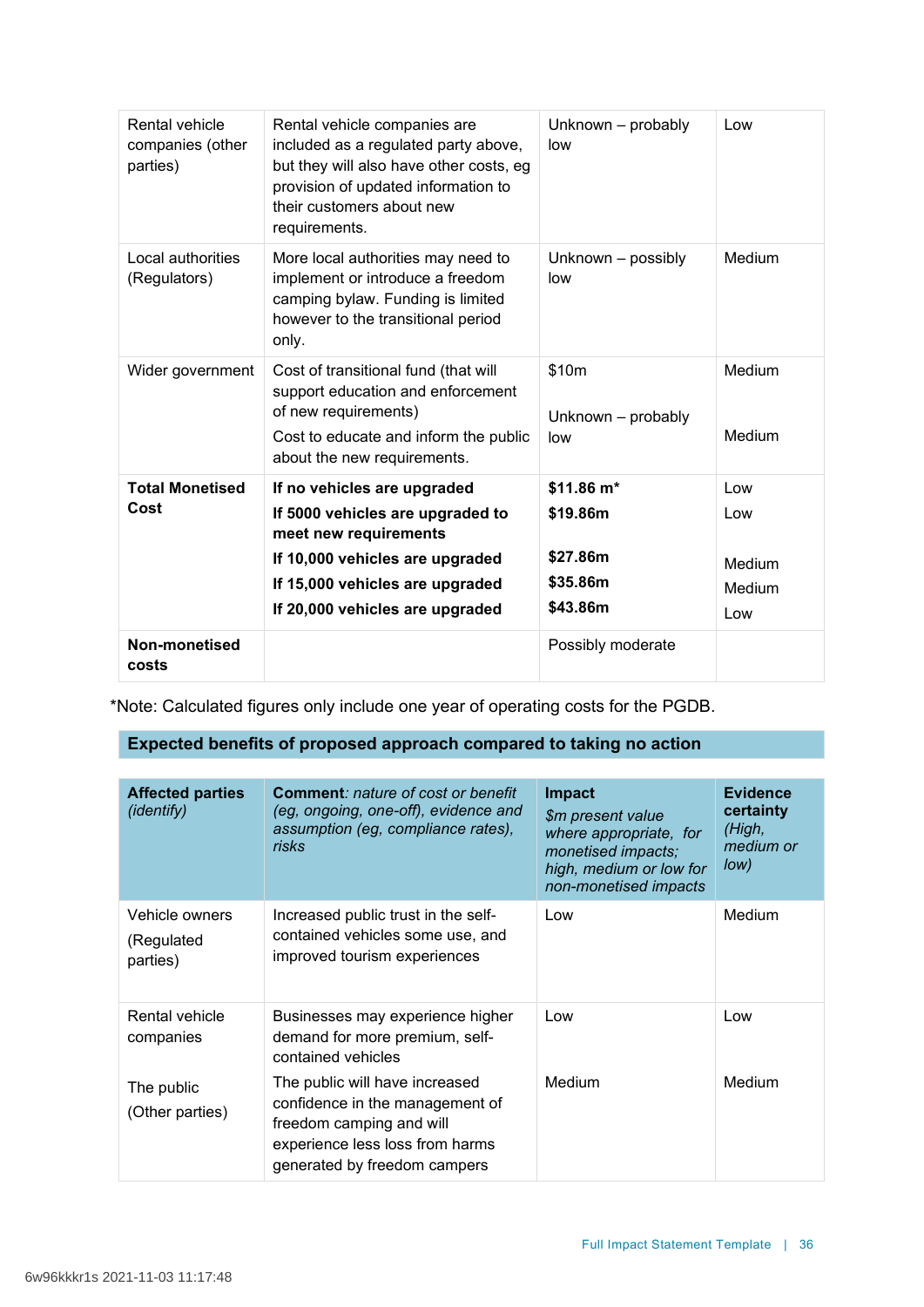| Rental vehicle<br>companies (other<br>parties) | Rental vehicle companies are<br>included as a regulated party above,<br>but they will also have other costs, eg<br>provision of updated information to<br>their customers about new<br>requirements. | Unknown - probably<br>low                                  | Low                                   |
|------------------------------------------------|------------------------------------------------------------------------------------------------------------------------------------------------------------------------------------------------------|------------------------------------------------------------|---------------------------------------|
| Local authorities<br>(Regulators)              | More local authorities may need to<br>implement or introduce a freedom<br>camping bylaw. Funding is limited<br>however to the transitional period<br>only.                                           | Unknown - possibly<br>low                                  | Medium                                |
| Wider government                               | Cost of transitional fund (that will<br>support education and enforcement<br>of new requirements)<br>Cost to educate and inform the public<br>about the new requirements.                            | \$10m<br>Unknown - probably<br>low                         | Medium<br>Medium                      |
| <b>Total Monetised</b><br>Cost                 | If no vehicles are upgraded<br>If 5000 vehicles are upgraded to<br>meet new requirements<br>If 10,000 vehicles are upgraded<br>If 15,000 vehicles are upgraded<br>If 20,000 vehicles are upgraded    | \$11.86 m*<br>\$19.86m<br>\$27.86m<br>\$35.86m<br>\$43.86m | Low<br>Low<br>Medium<br>Medium<br>Low |
| Non-monetised<br>costs                         |                                                                                                                                                                                                      | Possibly moderate                                          |                                       |

\*Note: Calculated figures only include one year of operating costs for the PGDB.

# **Expected benefits of proposed approach compared to taking no action**

| <b>Affected parties</b><br>(identify)    | <b>Comment: nature of cost or benefit</b><br>(eg, ongoing, one-off), evidence and<br>assumption (eg, compliance rates),<br><b>risks</b>                          | <b>Impact</b><br>\$m present value<br>where appropriate, for<br>monetised impacts;<br>high, medium or low for<br>non-monetised impacts | <b>Evidence</b><br>certainty<br>(High,<br>medium or<br>Iow) |
|------------------------------------------|------------------------------------------------------------------------------------------------------------------------------------------------------------------|----------------------------------------------------------------------------------------------------------------------------------------|-------------------------------------------------------------|
| Vehicle owners<br>(Regulated<br>parties) | Increased public trust in the self-<br>contained vehicles some use, and<br>improved tourism experiences                                                          | Low                                                                                                                                    | Medium                                                      |
| Rental vehicle<br>companies              | Businesses may experience higher<br>demand for more premium, self-<br>contained vehicles                                                                         | Low                                                                                                                                    | Low                                                         |
| The public<br>(Other parties)            | The public will have increased<br>confidence in the management of<br>freedom camping and will<br>experience less loss from harms<br>generated by freedom campers | Medium                                                                                                                                 | Medium                                                      |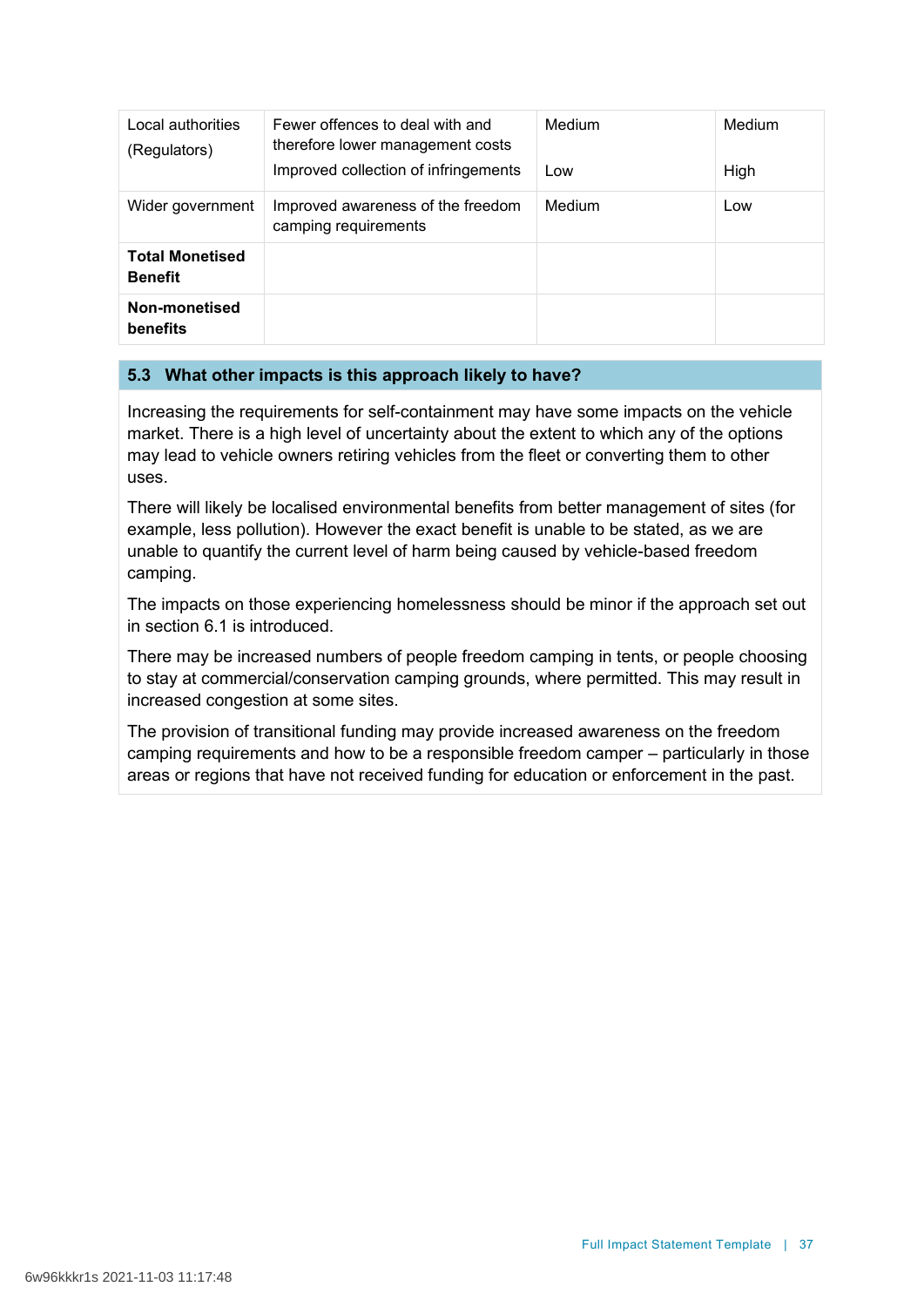| Local authorities<br>(Regulators)        | Fewer offences to deal with and<br>therefore lower management costs<br>Improved collection of infringements | Medium<br>Low | Medium<br>High |
|------------------------------------------|-------------------------------------------------------------------------------------------------------------|---------------|----------------|
| Wider government                         | Improved awareness of the freedom<br>camping requirements                                                   | Medium        | Low            |
| <b>Total Monetised</b><br><b>Benefit</b> |                                                                                                             |               |                |
| Non-monetised<br>benefits                |                                                                                                             |               |                |

# **5.3 What other impacts is this approach likely to have?**

Increasing the requirements for self-containment may have some impacts on the vehicle market. There is a high level of uncertainty about the extent to which any of the options may lead to vehicle owners retiring vehicles from the fleet or converting them to other uses.

There will likely be localised environmental benefits from better management of sites (for example, less pollution). However the exact benefit is unable to be stated, as we are unable to quantify the current level of harm being caused by vehicle-based freedom camping.

The impacts on those experiencing homelessness should be minor if the approach set out in section 6.1 is introduced.

There may be increased numbers of people freedom camping in tents, or people choosing to stay at commercial/conservation camping grounds, where permitted. This may result in increased congestion at some sites.

The provision of transitional funding may provide increased awareness on the freedom camping requirements and how to be a responsible freedom camper – particularly in those areas or regions that have not received funding for education or enforcement in the past.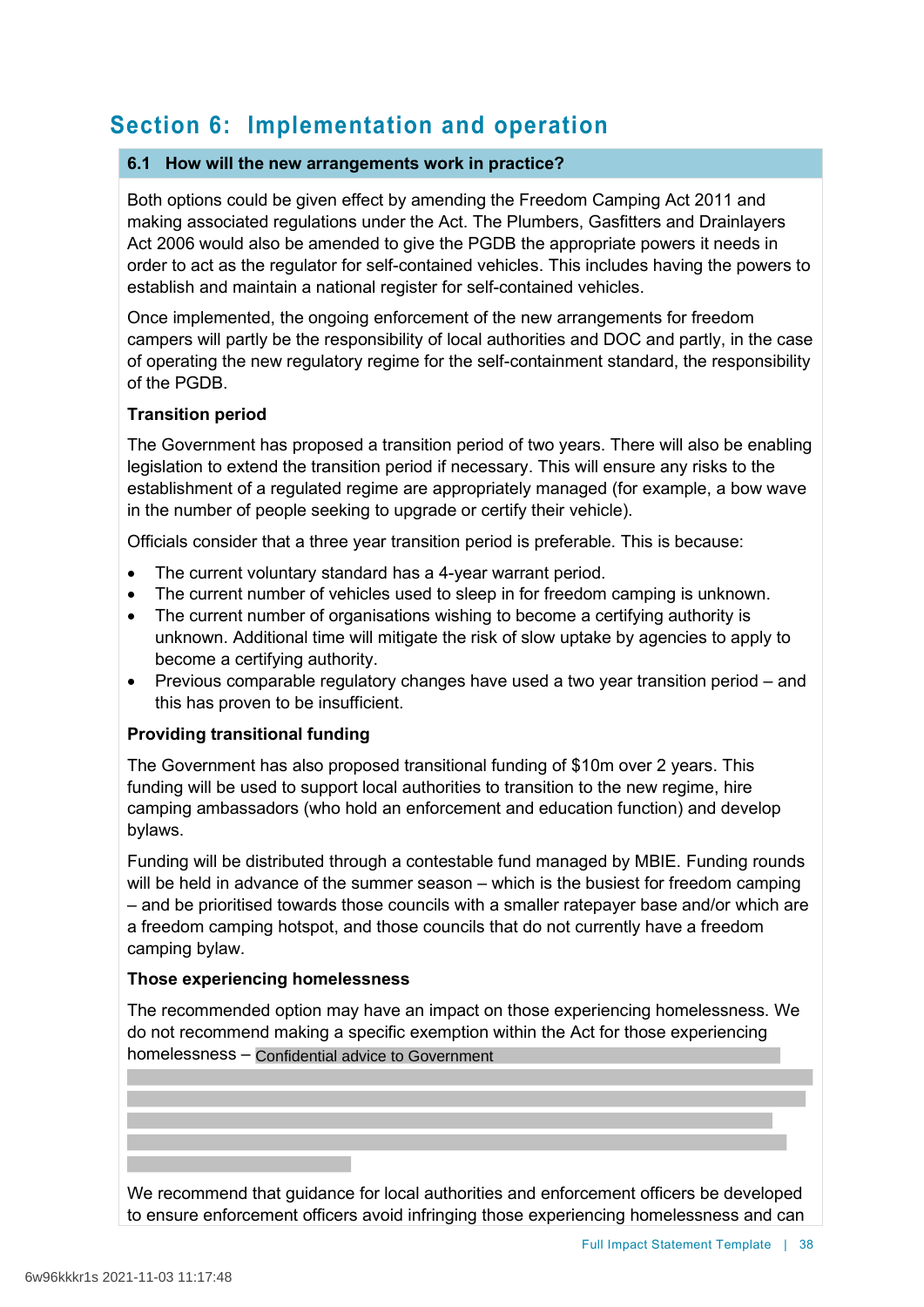# **Section 6: Implementation and operation**

## **6.1 How will the new arrangements work in practice?**

Both options could be given effect by amending the Freedom Camping Act 2011 and making associated regulations under the Act. The Plumbers, Gasfitters and Drainlayers Act 2006 would also be amended to give the PGDB the appropriate powers it needs in order to act as the regulator for self-contained vehicles. This includes having the powers to establish and maintain a national register for self-contained vehicles.

Once implemented, the ongoing enforcement of the new arrangements for freedom campers will partly be the responsibility of local authorities and DOC and partly, in the case of operating the new regulatory regime for the self-containment standard, the responsibility of the PGDB.

# **Transition period**

The Government has proposed a transition period of two years. There will also be enabling legislation to extend the transition period if necessary. This will ensure any risks to the establishment of a regulated regime are appropriately managed (for example, a bow wave in the number of people seeking to upgrade or certify their vehicle).

Officials consider that a three year transition period is preferable. This is because:

- The current voluntary standard has a 4-year warrant period.
- The current number of vehicles used to sleep in for freedom camping is unknown.
- The current number of organisations wishing to become a certifying authority is unknown. Additional time will mitigate the risk of slow uptake by agencies to apply to become a certifying authority.
- Previous comparable regulatory changes have used a two year transition period and this has proven to be insufficient.

# **Providing transitional funding**

The Government has also proposed transitional funding of \$10m over 2 years. This funding will be used to support local authorities to transition to the new regime, hire camping ambassadors (who hold an enforcement and education function) and develop bylaws.

Funding will be distributed through a contestable fund managed by MBIE. Funding rounds will be held in advance of the summer season – which is the busiest for freedom camping – and be prioritised towards those councils with a smaller ratepayer base and/or which are a freedom camping hotspot, and those councils that do not currently have a freedom camping bylaw.

## **Those experiencing homelessness**

The recommended option may have an impact on those experiencing homelessness. We do not recommend making a specific exemption within the Act for those experiencing homelessness – Confidential advice to Government

We recommend that guidance for local authorities and enforcement officers be developed to ensure enforcement officers avoid infringing those experiencing homelessness and can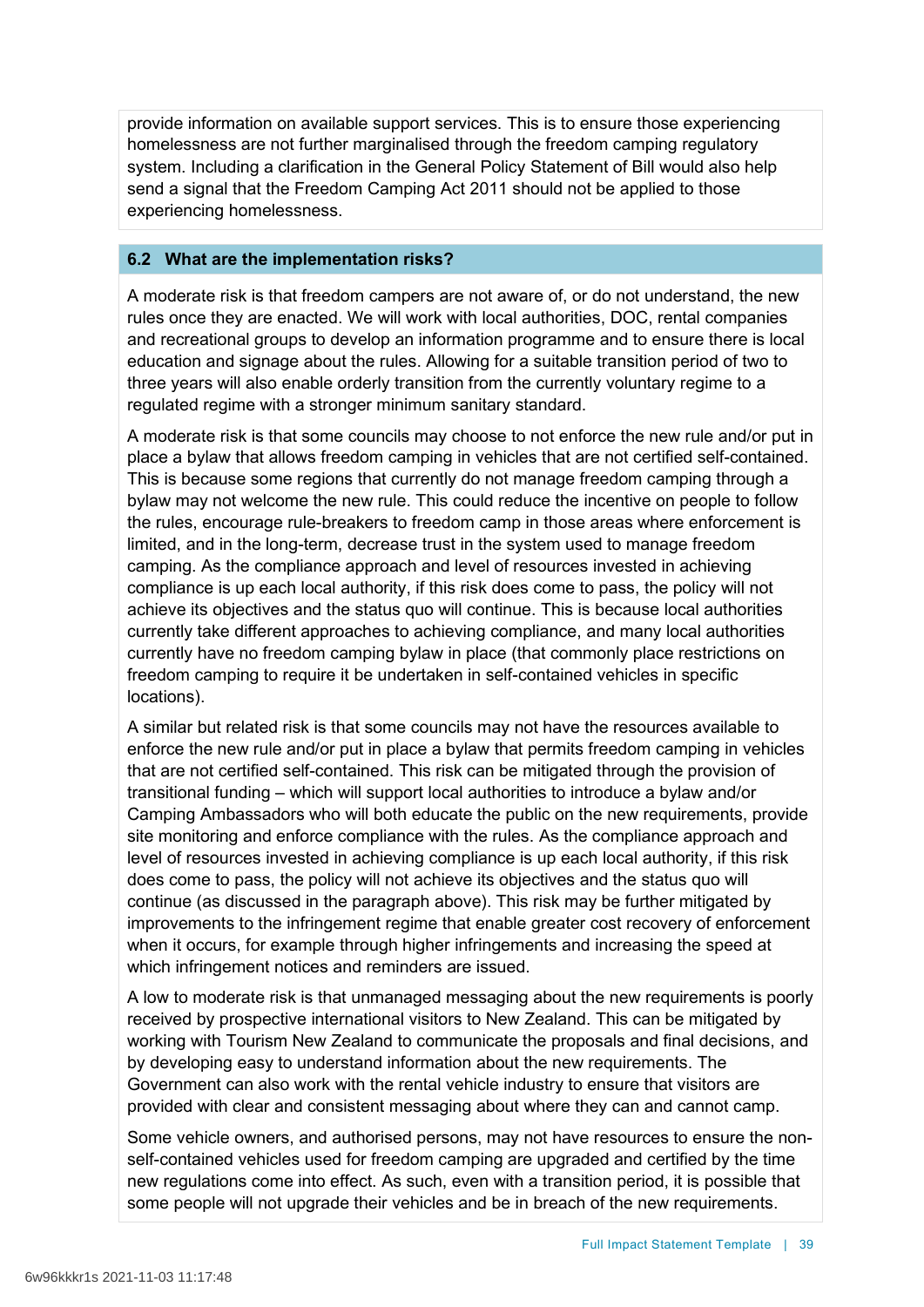provide information on available support services. This is to ensure those experiencing homelessness are not further marginalised through the freedom camping regulatory system. Including a clarification in the General Policy Statement of Bill would also help send a signal that the Freedom Camping Act 2011 should not be applied to those experiencing homelessness.

## **6.2 What are the implementation risks?**

A moderate risk is that freedom campers are not aware of, or do not understand, the new rules once they are enacted. We will work with local authorities, DOC, rental companies and recreational groups to develop an information programme and to ensure there is local education and signage about the rules. Allowing for a suitable transition period of two to three years will also enable orderly transition from the currently voluntary regime to a regulated regime with a stronger minimum sanitary standard.

A moderate risk is that some councils may choose to not enforce the new rule and/or put in place a bylaw that allows freedom camping in vehicles that are not certified self-contained. This is because some regions that currently do not manage freedom camping through a bylaw may not welcome the new rule. This could reduce the incentive on people to follow the rules, encourage rule-breakers to freedom camp in those areas where enforcement is limited, and in the long-term, decrease trust in the system used to manage freedom camping. As the compliance approach and level of resources invested in achieving compliance is up each local authority, if this risk does come to pass, the policy will not achieve its objectives and the status quo will continue. This is because local authorities currently take different approaches to achieving compliance, and many local authorities currently have no freedom camping bylaw in place (that commonly place restrictions on freedom camping to require it be undertaken in self-contained vehicles in specific locations).

A similar but related risk is that some councils may not have the resources available to enforce the new rule and/or put in place a bylaw that permits freedom camping in vehicles that are not certified self-contained. This risk can be mitigated through the provision of transitional funding – which will support local authorities to introduce a bylaw and/or Camping Ambassadors who will both educate the public on the new requirements, provide site monitoring and enforce compliance with the rules. As the compliance approach and level of resources invested in achieving compliance is up each local authority, if this risk does come to pass, the policy will not achieve its objectives and the status quo will continue (as discussed in the paragraph above). This risk may be further mitigated by improvements to the infringement regime that enable greater cost recovery of enforcement when it occurs, for example through higher infringements and increasing the speed at which infringement notices and reminders are issued.

A low to moderate risk is that unmanaged messaging about the new requirements is poorly received by prospective international visitors to New Zealand. This can be mitigated by working with Tourism New Zealand to communicate the proposals and final decisions, and by developing easy to understand information about the new requirements. The Government can also work with the rental vehicle industry to ensure that visitors are provided with clear and consistent messaging about where they can and cannot camp.

Some vehicle owners, and authorised persons, may not have resources to ensure the nonself-contained vehicles used for freedom camping are upgraded and certified by the time new regulations come into effect. As such, even with a transition period, it is possible that some people will not upgrade their vehicles and be in breach of the new requirements.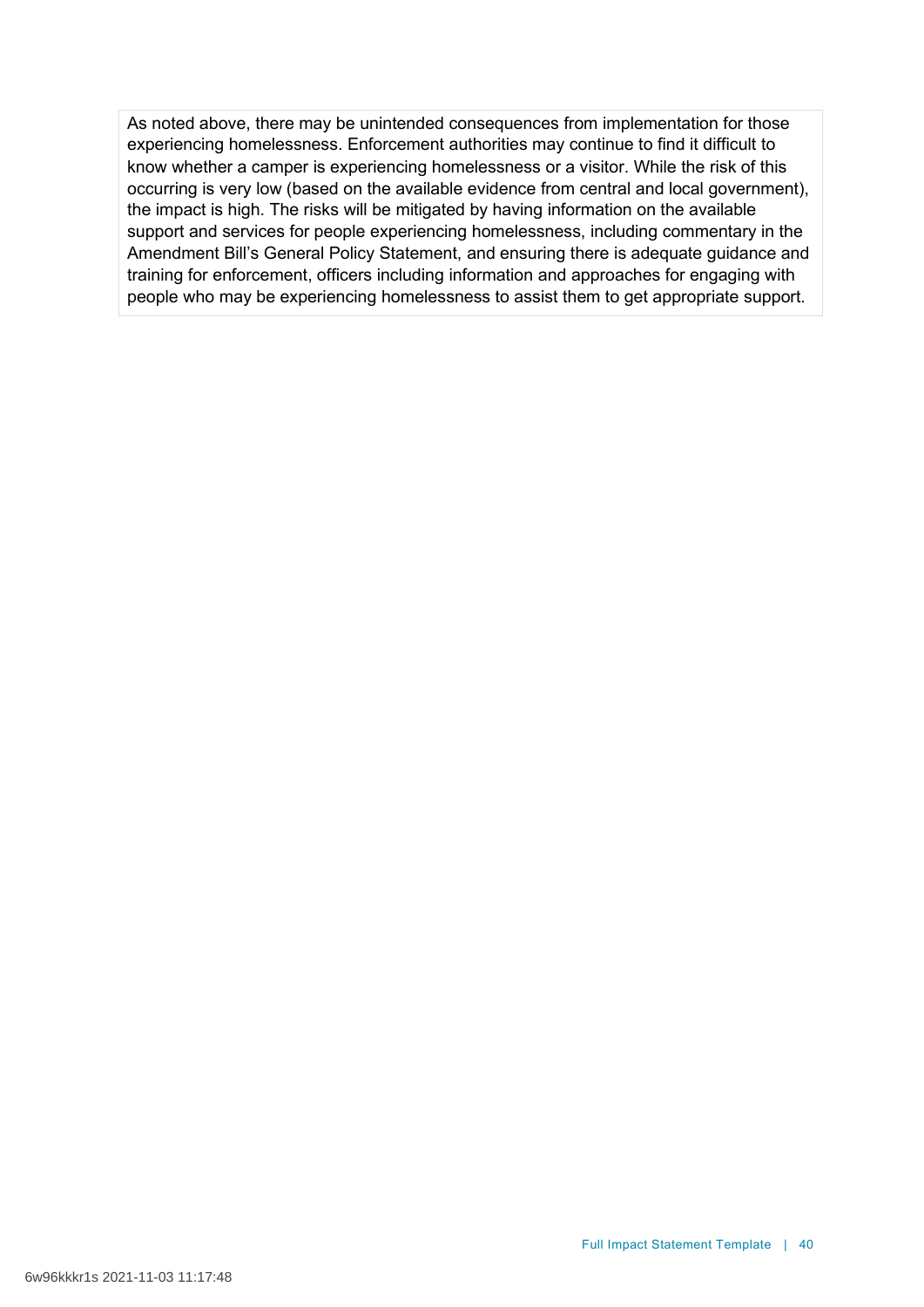As noted above, there may be unintended consequences from implementation for those experiencing homelessness. Enforcement authorities may continue to find it difficult to know whether a camper is experiencing homelessness or a visitor. While the risk of this occurring is very low (based on the available evidence from central and local government), the impact is high. The risks will be mitigated by having information on the available support and services for people experiencing homelessness, including commentary in the Amendment Bill's General Policy Statement, and ensuring there is adequate guidance and training for enforcement, officers including information and approaches for engaging with people who may be experiencing homelessness to assist them to get appropriate support.